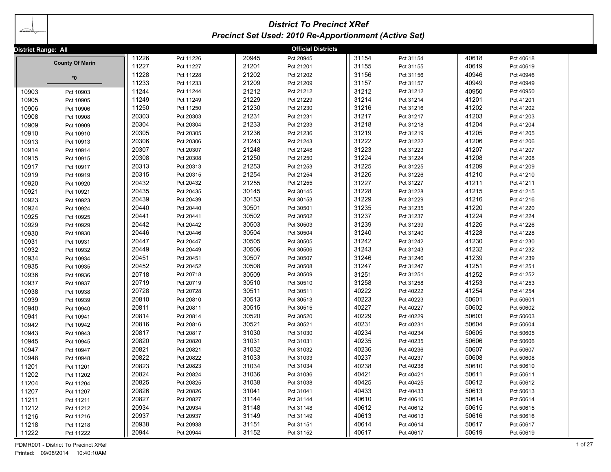| ada                 | <b>District To Precinct XRef</b><br><b>Precinct Set Used: 2010 Re-Apportionment (Active Set)</b> |       |           |       |                           |       |           |       |           |  |  |
|---------------------|--------------------------------------------------------------------------------------------------|-------|-----------|-------|---------------------------|-------|-----------|-------|-----------|--|--|
| District Range: All |                                                                                                  |       |           |       | <b>Official Districts</b> |       |           |       |           |  |  |
|                     |                                                                                                  | 11226 | Pct 11226 | 20945 | Pct 20945                 | 31154 | Pct 31154 | 40618 | Pct 40618 |  |  |
|                     | <b>County Of Marin</b>                                                                           | 11227 | Pct 11227 | 21201 | Pct 21201                 | 31155 | Pct 31155 | 40619 | Pct 40619 |  |  |
|                     | *0                                                                                               | 11228 | Pct 11228 | 21202 | Pct 21202                 | 31156 | Pct 31156 | 40946 | Pct 40946 |  |  |
|                     |                                                                                                  | 11233 | Pct 11233 | 21209 | Pct 21209                 | 31157 | Pct 31157 | 40949 | Pct 40949 |  |  |
| 10903               | Pct 10903                                                                                        | 11244 | Pct 11244 | 21212 | Pct 21212                 | 31212 | Pct 31212 | 40950 | Pct 40950 |  |  |
| 10905               | Pct 10905                                                                                        | 11249 | Pct 11249 | 21229 | Pct 21229                 | 31214 | Pct 31214 | 41201 | Pct 41201 |  |  |
| 10906               | Pct 10906                                                                                        | 11250 | Pct 11250 | 21230 | Pct 21230                 | 31216 | Pct 31216 | 41202 | Pct 41202 |  |  |
| 10908               | Pct 10908                                                                                        | 20303 | Pct 20303 | 21231 | Pct 21231                 | 31217 | Pct 31217 | 41203 | Pct 41203 |  |  |
| 10909               | Pct 10909                                                                                        | 20304 | Pct 20304 | 21233 | Pct 21233                 | 31218 | Pct 31218 | 41204 | Pct 41204 |  |  |
| 10910               | Pct 10910                                                                                        | 20305 | Pct 20305 | 21236 | Pct 21236                 | 31219 | Pct 31219 | 41205 | Pct 41205 |  |  |
| 10913               | Pct 10913                                                                                        | 20306 | Pct 20306 | 21243 | Pct 21243                 | 31222 | Pct 31222 | 41206 | Pct 41206 |  |  |
| 10914               | Pct 10914                                                                                        | 20307 | Pct 20307 | 21248 | Pct 21248                 | 31223 | Pct 31223 | 41207 | Pct 41207 |  |  |
| 10915               | Pct 10915                                                                                        | 20308 | Pct 20308 | 21250 | Pct 21250                 | 31224 | Pct 31224 | 41208 | Pct 41208 |  |  |
| 10917               | Pct 10917                                                                                        | 20313 | Pct 20313 | 21253 | Pct 21253                 | 31225 | Pct 31225 | 41209 | Pct 41209 |  |  |
| 10919               | Pct 10919                                                                                        | 20315 | Pct 20315 | 21254 | Pct 21254                 | 31226 | Pct 31226 | 41210 | Pct 41210 |  |  |
| 10920               | Pct 10920                                                                                        | 20432 | Pct 20432 | 21255 | Pct 21255                 | 31227 | Pct 31227 | 41211 | Pct 41211 |  |  |
| 10921               | Pct 10921                                                                                        | 20435 | Pct 20435 | 30145 | Pct 30145                 | 31228 | Pct 31228 | 41215 | Pct 41215 |  |  |
| 10923               | Pct 10923                                                                                        | 20439 | Pct 20439 | 30153 | Pct 30153                 | 31229 | Pct 31229 | 41216 | Pct 41216 |  |  |
| 10924               | Pct 10924                                                                                        | 20440 | Pct 20440 | 30501 | Pct 30501                 | 31235 | Pct 31235 | 41220 | Pct 41220 |  |  |
| 10925               | Pct 10925                                                                                        | 20441 | Pct 20441 | 30502 | Pct 30502                 | 31237 | Pct 31237 | 41224 | Pct 41224 |  |  |
| 10929               | Pct 10929                                                                                        | 20442 | Pct 20442 | 30503 | Pct 30503                 | 31239 | Pct 31239 | 41226 | Pct 41226 |  |  |
| 10930               | Pct 10930                                                                                        | 20446 | Pct 20446 | 30504 | Pct 30504                 | 31240 | Pct 31240 | 41228 | Pct 41228 |  |  |
| 10931               | Pct 10931                                                                                        | 20447 | Pct 20447 | 30505 | Pct 30505                 | 31242 | Pct 31242 | 41230 | Pct 41230 |  |  |
| 10932               | Pct 10932                                                                                        | 20449 | Pct 20449 | 30506 | Pct 30506                 | 31243 | Pct 31243 | 41232 | Pct 41232 |  |  |
| 10934               | Pct 10934                                                                                        | 20451 | Pct 20451 | 30507 | Pct 30507                 | 31246 | Pct 31246 | 41239 | Pct 41239 |  |  |
| 10935               | Pct 10935                                                                                        | 20452 | Pct 20452 | 30508 | Pct 30508                 | 31247 | Pct 31247 | 41251 | Pct 41251 |  |  |
| 10936               | Pct 10936                                                                                        | 20718 | Pct 20718 | 30509 | Pct 30509                 | 31251 | Pct 31251 | 41252 | Pct 41252 |  |  |
| 10937               | Pct 10937                                                                                        | 20719 | Pct 20719 | 30510 | Pct 30510                 | 31258 | Pct 31258 | 41253 | Pct 41253 |  |  |
| 10938               | Pct 10938                                                                                        | 20728 | Pct 20728 | 30511 | Pct 30511                 | 40222 | Pct 40222 | 41254 | Pct 41254 |  |  |
| 10939               | Pct 10939                                                                                        | 20810 | Pct 20810 | 30513 | Pct 30513                 | 40223 | Pct 40223 | 50601 | Pct 50601 |  |  |
| 10940               | Pct 10940                                                                                        | 20811 | Pct 20811 | 30515 | Pct 30515                 | 40227 | Pct 40227 | 50602 | Pct 50602 |  |  |
| 10941               | Pct 10941                                                                                        | 20814 | Pct 20814 | 30520 | Pct 30520                 | 40229 | Pct 40229 | 50603 | Pct 50603 |  |  |
| 10942               | Pct 10942                                                                                        | 20816 | Pct 20816 | 30521 | Pct 30521                 | 40231 | Pct 40231 | 50604 | Pct 50604 |  |  |
| 10943               | Pct 10943                                                                                        | 20817 | Pct 20817 | 31030 | Pct 31030                 | 40234 | Pct 40234 | 50605 | Pct 50605 |  |  |
| 10945               | Pct 10945                                                                                        | 20820 | Pct 20820 | 31031 | Pct 31031                 | 40235 | Pct 40235 | 50606 | Pct 50606 |  |  |
| 10947               | Pct 10947                                                                                        | 20821 | Pct 20821 | 31032 | Pct 31032                 | 40236 | Pct 40236 | 50607 | Pct 50607 |  |  |
| 10948               | Pct 10948                                                                                        | 20822 | Pct 20822 | 31033 | Pct 31033                 | 40237 | Pct 40237 | 50608 | Pct 50608 |  |  |
| 11201               | Pct 11201                                                                                        | 20823 | Pct 20823 | 31034 | Pct 31034                 | 40238 | Pct 40238 | 50610 | Pct 50610 |  |  |
| 11202               | Pct 11202                                                                                        | 20824 | Pct 20824 | 31036 | Pct 31036                 | 40421 | Pct 40421 | 50611 | Pct 50611 |  |  |
| 11204               | Pct 11204                                                                                        | 20825 | Pct 20825 | 31038 | Pct 31038                 | 40425 | Pct 40425 | 50612 | Pct 50612 |  |  |
| 11207               | Pct 11207                                                                                        | 20826 | Pct 20826 | 31041 | Pct 31041                 | 40433 | Pct 40433 | 50613 | Pct 50613 |  |  |
| 11211               | Pct 11211                                                                                        | 20827 | Pct 20827 | 31144 | Pct 31144                 | 40610 | Pct 40610 | 50614 | Pct 50614 |  |  |
| 11212               | Pct 11212                                                                                        | 20934 | Pct 20934 | 31148 | Pct 31148                 | 40612 | Pct 40612 | 50615 | Pct 50615 |  |  |
| 11216               | Pct 11216                                                                                        | 20937 | Pct 20937 | 31149 | Pct 31149                 | 40613 | Pct 40613 | 50616 | Pct 50616 |  |  |
| 11218               | Pct 11218                                                                                        | 20938 | Pct 20938 | 31151 | Pct 31151                 | 40614 | Pct 40614 | 50617 | Pct 50617 |  |  |
| 11222               | Pct 11222                                                                                        | 20944 | Pct 20944 | 31152 | Pct 31152                 | 40617 | Pct 40617 | 50619 | Pct 50619 |  |  |

PDMR001 - District To Precinct XRef 1 of 27 Printed: 09/08/2014 10:40:10AM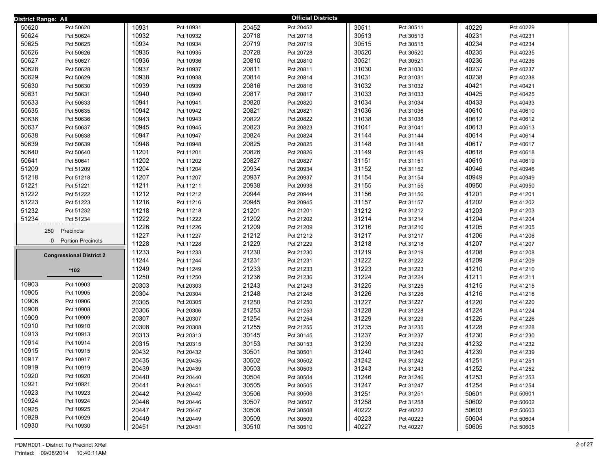| District Range: All             |       |           |       | <b>Official Districts</b> |       |           |       |           |  |
|---------------------------------|-------|-----------|-------|---------------------------|-------|-----------|-------|-----------|--|
| 50620<br>Pct 50620              | 10931 | Pct 10931 | 20452 | Pct 20452                 | 30511 | Pct 30511 | 40229 | Pct 40229 |  |
| 50624<br>Pct 50624              | 10932 | Pct 10932 | 20718 | Pct 20718                 | 30513 | Pct 30513 | 40231 | Pct 40231 |  |
| 50625<br>Pct 50625              | 10934 | Pct 10934 | 20719 | Pct 20719                 | 30515 | Pct 30515 | 40234 | Pct 40234 |  |
| 50626<br>Pct 50626              | 10935 | Pct 10935 | 20728 | Pct 20728                 | 30520 | Pct 30520 | 40235 | Pct 40235 |  |
| 50627<br>Pct 50627              | 10936 | Pct 10936 | 20810 | Pct 20810                 | 30521 | Pct 30521 | 40236 | Pct 40236 |  |
| 50628<br>Pct 50628              | 10937 | Pct 10937 | 20811 | Pct 20811                 | 31030 | Pct 31030 | 40237 | Pct 40237 |  |
| 50629<br>Pct 50629              | 10938 | Pct 10938 | 20814 | Pct 20814                 | 31031 | Pct 31031 | 40238 | Pct 40238 |  |
| 50630<br>Pct 50630              | 10939 | Pct 10939 | 20816 | Pct 20816                 | 31032 | Pct 31032 | 40421 | Pct 40421 |  |
| 50631<br>Pct 50631              | 10940 | Pct 10940 | 20817 | Pct 20817                 | 31033 | Pct 31033 | 40425 | Pct 40425 |  |
| 50633<br>Pct 50633              | 10941 | Pct 10941 | 20820 | Pct 20820                 | 31034 | Pct 31034 | 40433 | Pct 40433 |  |
| 50635<br>Pct 50635              | 10942 | Pct 10942 | 20821 | Pct 20821                 | 31036 | Pct 31036 | 40610 | Pct 40610 |  |
| 50636<br>Pct 50636              | 10943 | Pct 10943 | 20822 | Pct 20822                 | 31038 | Pct 31038 | 40612 | Pct 40612 |  |
| 50637<br>Pct 50637              | 10945 | Pct 10945 | 20823 | Pct 20823                 | 31041 | Pct 31041 | 40613 | Pct 40613 |  |
| 50638<br>Pct 50638              | 10947 | Pct 10947 | 20824 | Pct 20824                 | 31144 | Pct 31144 | 40614 | Pct 40614 |  |
| 50639<br>Pct 50639              | 10948 | Pct 10948 | 20825 | Pct 20825                 | 31148 | Pct 31148 | 40617 | Pct 40617 |  |
| 50640<br>Pct 50640              | 11201 | Pct 11201 | 20826 | Pct 20826                 | 31149 | Pct 31149 | 40618 | Pct 40618 |  |
| 50641<br>Pct 50641              | 11202 | Pct 11202 | 20827 | Pct 20827                 | 31151 | Pct 31151 | 40619 | Pct 40619 |  |
| 51209<br>Pct 51209              | 11204 | Pct 11204 | 20934 | Pct 20934                 | 31152 | Pct 31152 | 40946 | Pct 40946 |  |
| 51218<br>Pct 51218              | 11207 | Pct 11207 | 20937 | Pct 20937                 | 31154 | Pct 31154 | 40949 | Pct 40949 |  |
| 51221<br>Pct 51221              | 11211 | Pct 11211 | 20938 | Pct 20938                 | 31155 | Pct 31155 | 40950 | Pct 40950 |  |
| 51222<br>Pct 51222              | 11212 | Pct 11212 | 20944 | Pct 20944                 | 31156 | Pct 31156 | 41201 | Pct 41201 |  |
| 51223<br>Pct 51223              | 11216 | Pct 11216 | 20945 | Pct 20945                 | 31157 | Pct 31157 | 41202 | Pct 41202 |  |
| 51232<br>Pct 51232              | 11218 | Pct 11218 | 21201 | Pct 21201                 | 31212 | Pct 31212 | 41203 | Pct 41203 |  |
| 51234<br>Pct 51234              | 11222 | Pct 11222 | 21202 | Pct 21202                 | 31214 | Pct 31214 | 41204 | Pct 41204 |  |
| 250<br>Precincts                | 11226 | Pct 11226 | 21209 | Pct 21209                 | 31216 | Pct 31216 | 41205 | Pct 41205 |  |
| 0 Portion Precincts             | 11227 | Pct 11227 | 21212 | Pct 21212                 | 31217 | Pct 31217 | 41206 | Pct 41206 |  |
|                                 | 11228 | Pct 11228 | 21229 | Pct 21229                 | 31218 | Pct 31218 | 41207 | Pct 41207 |  |
| <b>Congressional District 2</b> | 11233 | Pct 11233 | 21230 | Pct 21230                 | 31219 | Pct 31219 | 41208 | Pct 41208 |  |
|                                 | 11244 | Pct 11244 | 21231 | Pct 21231                 | 31222 | Pct 31222 | 41209 | Pct 41209 |  |
| *102                            | 11249 | Pct 11249 | 21233 | Pct 21233                 | 31223 | Pct 31223 | 41210 | Pct 41210 |  |
|                                 | 11250 | Pct 11250 | 21236 | Pct 21236                 | 31224 | Pct 31224 | 41211 | Pct 41211 |  |
| 10903<br>Pct 10903              | 20303 | Pct 20303 | 21243 | Pct 21243                 | 31225 | Pct 31225 | 41215 | Pct 41215 |  |
| 10905<br>Pct 10905              | 20304 | Pct 20304 | 21248 | Pct 21248                 | 31226 | Pct 31226 | 41216 | Pct 41216 |  |
| 10906<br>Pct 10906              | 20305 | Pct 20305 | 21250 | Pct 21250                 | 31227 | Pct 31227 | 41220 | Pct 41220 |  |
| 10908<br>Pct 10908              | 20306 | Pct 20306 | 21253 | Pct 21253                 | 31228 | Pct 31228 | 41224 | Pct 41224 |  |
| 10909<br>Pct 10909<br>Pct 10910 | 20307 | Pct 20307 | 21254 | Pct 21254                 | 31229 | Pct 31229 | 41226 | Pct 41226 |  |
| 10910<br>10913<br>Pct 10913     | 20308 | Pct 20308 | 21255 | Pct 21255                 | 31235 | Pct 31235 | 41228 | Pct 41228 |  |
| 10914<br>Pct 10914              | 20313 | Pct 20313 | 30145 | Pct 30145                 | 31237 | Pct 31237 | 41230 | Pct 41230 |  |
| 10915<br>Pct 10915              | 20315 | Pct 20315 | 30153 | Pct 30153                 | 31239 | Pct 31239 | 41232 | Pct 41232 |  |
| 10917                           | 20432 | Pct 20432 | 30501 | Pct 30501                 | 31240 | Pct 31240 | 41239 | Pct 41239 |  |
| Pct 10917<br>10919<br>Pct 10919 | 20435 | Pct 20435 | 30502 | Pct 30502                 | 31242 | Pct 31242 | 41251 | Pct 41251 |  |
| 10920<br>Pct 10920              | 20439 | Pct 20439 | 30503 | Pct 30503                 | 31243 | Pct 31243 | 41252 | Pct 41252 |  |
| 10921<br>Pct 10921              | 20440 | Pct 20440 | 30504 | Pct 30504                 | 31246 | Pct 31246 | 41253 | Pct 41253 |  |
| 10923<br>Pct 10923              | 20441 | Pct 20441 | 30505 | Pct 30505                 | 31247 | Pct 31247 | 41254 | Pct 41254 |  |
| 10924<br>Pct 10924              | 20442 | Pct 20442 | 30506 | Pct 30506                 | 31251 | Pct 31251 | 50601 | Pct 50601 |  |
| 10925<br>Pct 10925              | 20446 | Pct 20446 | 30507 | Pct 30507                 | 31258 | Pct 31258 | 50602 | Pct 50602 |  |
| 10929<br>Pct 10929              | 20447 | Pct 20447 | 30508 | Pct 30508                 | 40222 | Pct 40222 | 50603 | Pct 50603 |  |
|                                 | 20449 | Pct 20449 | 30509 | Pct 30509                 | 40223 | Pct 40223 | 50604 | Pct 50604 |  |
| 10930<br>Pct 10930              | 20451 | Pct 20451 | 30510 | Pct 30510                 | 40227 | Pct 40227 | 50605 | Pct 50605 |  |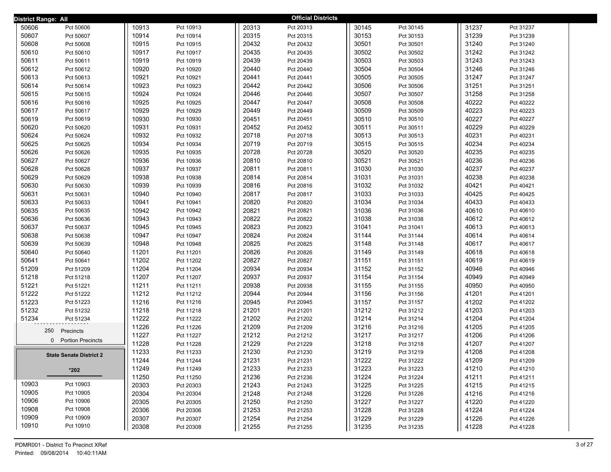| District Range: All |                                |       |           |       | <b>Official Districts</b> |       |           |       |           |  |
|---------------------|--------------------------------|-------|-----------|-------|---------------------------|-------|-----------|-------|-----------|--|
| 50606               | Pct 50606                      | 10913 | Pct 10913 | 20313 | Pct 20313                 | 30145 | Pct 30145 | 31237 | Pct 31237 |  |
| 50607               | Pct 50607                      | 10914 | Pct 10914 | 20315 | Pct 20315                 | 30153 | Pct 30153 | 31239 | Pct 31239 |  |
| 50608               | Pct 50608                      | 10915 | Pct 10915 | 20432 | Pct 20432                 | 30501 | Pct 30501 | 31240 | Pct 31240 |  |
| 50610               | Pct 50610                      | 10917 | Pct 10917 | 20435 | Pct 20435                 | 30502 | Pct 30502 | 31242 | Pct 31242 |  |
| 50611               | Pct 50611                      | 10919 | Pct 10919 | 20439 | Pct 20439                 | 30503 | Pct 30503 | 31243 | Pct 31243 |  |
| 50612               | Pct 50612                      | 10920 | Pct 10920 | 20440 | Pct 20440                 | 30504 | Pct 30504 | 31246 | Pct 31246 |  |
| 50613               | Pct 50613                      | 10921 | Pct 10921 | 20441 | Pct 20441                 | 30505 | Pct 30505 | 31247 | Pct 31247 |  |
| 50614               | Pct 50614                      | 10923 | Pct 10923 | 20442 | Pct 20442                 | 30506 | Pct 30506 | 31251 | Pct 31251 |  |
| 50615               | Pct 50615                      | 10924 | Pct 10924 | 20446 | Pct 20446                 | 30507 | Pct 30507 | 31258 | Pct 31258 |  |
| 50616               | Pct 50616                      | 10925 | Pct 10925 | 20447 | Pct 20447                 | 30508 | Pct 30508 | 40222 | Pct 40222 |  |
| 50617               | Pct 50617                      | 10929 | Pct 10929 | 20449 | Pct 20449                 | 30509 | Pct 30509 | 40223 | Pct 40223 |  |
| 50619               | Pct 50619                      | 10930 | Pct 10930 | 20451 | Pct 20451                 | 30510 | Pct 30510 | 40227 | Pct 40227 |  |
| 50620               | Pct 50620                      | 10931 | Pct 10931 | 20452 | Pct 20452                 | 30511 | Pct 30511 | 40229 | Pct 40229 |  |
| 50624               | Pct 50624                      | 10932 | Pct 10932 | 20718 | Pct 20718                 | 30513 | Pct 30513 | 40231 | Pct 40231 |  |
| 50625               | Pct 50625                      | 10934 | Pct 10934 | 20719 | Pct 20719                 | 30515 | Pct 30515 | 40234 | Pct 40234 |  |
| 50626               | Pct 50626                      | 10935 | Pct 10935 | 20728 | Pct 20728                 | 30520 | Pct 30520 | 40235 | Pct 40235 |  |
| 50627               | Pct 50627                      | 10936 | Pct 10936 | 20810 | Pct 20810                 | 30521 | Pct 30521 | 40236 | Pct 40236 |  |
| 50628               | Pct 50628                      | 10937 | Pct 10937 | 20811 | Pct 20811                 | 31030 | Pct 31030 | 40237 | Pct 40237 |  |
| 50629               | Pct 50629                      | 10938 | Pct 10938 | 20814 | Pct 20814                 | 31031 | Pct 31031 | 40238 | Pct 40238 |  |
| 50630               | Pct 50630                      | 10939 | Pct 10939 | 20816 | Pct 20816                 | 31032 | Pct 31032 | 40421 | Pct 40421 |  |
| 50631               | Pct 50631                      | 10940 | Pct 10940 | 20817 | Pct 20817                 | 31033 | Pct 31033 | 40425 | Pct 40425 |  |
| 50633               | Pct 50633                      | 10941 | Pct 10941 | 20820 | Pct 20820                 | 31034 | Pct 31034 | 40433 | Pct 40433 |  |
| 50635               | Pct 50635                      | 10942 | Pct 10942 | 20821 | Pct 20821                 | 31036 | Pct 31036 | 40610 | Pct 40610 |  |
| 50636               | Pct 50636                      | 10943 | Pct 10943 | 20822 | Pct 20822                 | 31038 | Pct 31038 | 40612 | Pct 40612 |  |
| 50637               | Pct 50637                      | 10945 | Pct 10945 | 20823 | Pct 20823                 | 31041 | Pct 31041 | 40613 | Pct 40613 |  |
| 50638               | Pct 50638                      | 10947 | Pct 10947 | 20824 | Pct 20824                 | 31144 | Pct 31144 | 40614 | Pct 40614 |  |
| 50639               | Pct 50639                      | 10948 | Pct 10948 | 20825 | Pct 20825                 | 31148 | Pct 31148 | 40617 | Pct 40617 |  |
| 50640               | Pct 50640                      | 11201 | Pct 11201 | 20826 | Pct 20826                 | 31149 | Pct 31149 | 40618 | Pct 40618 |  |
| 50641               | Pct 50641                      | 11202 | Pct 11202 | 20827 | Pct 20827                 | 31151 | Pct 31151 | 40619 | Pct 40619 |  |
| 51209               | Pct 51209                      | 11204 | Pct 11204 | 20934 | Pct 20934                 | 31152 | Pct 31152 | 40946 | Pct 40946 |  |
| 51218               | Pct 51218                      | 11207 | Pct 11207 | 20937 | Pct 20937                 | 31154 | Pct 31154 | 40949 | Pct 40949 |  |
| 51221               | Pct 51221                      | 11211 | Pct 11211 | 20938 | Pct 20938                 | 31155 | Pct 31155 | 40950 | Pct 40950 |  |
| 51222               | Pct 51222                      | 11212 | Pct 11212 | 20944 | Pct 20944                 | 31156 | Pct 31156 | 41201 | Pct 41201 |  |
| 51223               | Pct 51223                      | 11216 | Pct 11216 | 20945 | Pct 20945                 | 31157 | Pct 31157 | 41202 | Pct 41202 |  |
| 51232               | Pct 51232                      | 11218 | Pct 11218 | 21201 | Pct 21201                 | 31212 | Pct 31212 | 41203 | Pct 41203 |  |
| 51234               | Pct 51234                      | 11222 | Pct 11222 | 21202 | Pct 21202                 | 31214 | Pct 31214 | 41204 | Pct 41204 |  |
|                     | 250<br>Precincts               | 11226 | Pct 11226 | 21209 | Pct 21209                 | 31216 | Pct 31216 | 41205 | Pct 41205 |  |
|                     | 0 Portion Precincts            | 11227 | Pct 11227 | 21212 | Pct 21212                 | 31217 | Pct 31217 | 41206 | Pct 41206 |  |
|                     |                                | 11228 | Pct 11228 | 21229 | Pct 21229                 | 31218 | Pct 31218 | 41207 | Pct 41207 |  |
|                     | <b>State Senate District 2</b> | 11233 | Pct 11233 | 21230 | Pct 21230                 | 31219 | Pct 31219 | 41208 | Pct 41208 |  |
|                     |                                | 11244 | Pct 11244 | 21231 | Pct 21231                 | 31222 | Pct 31222 | 41209 | Pct 41209 |  |
|                     | $*202$                         | 11249 | Pct 11249 | 21233 | Pct 21233                 | 31223 | Pct 31223 | 41210 | Pct 41210 |  |
|                     |                                | 11250 | Pct 11250 | 21236 | Pct 21236                 | 31224 | Pct 31224 | 41211 | Pct 41211 |  |
| 10903               | Pct 10903                      | 20303 | Pct 20303 | 21243 | Pct 21243                 | 31225 | Pct 31225 | 41215 | Pct 41215 |  |
| 10905               | Pct 10905                      | 20304 | Pct 20304 | 21248 | Pct 21248                 | 31226 | Pct 31226 | 41216 | Pct 41216 |  |
| 10906               | Pct 10906                      | 20305 | Pct 20305 | 21250 | Pct 21250                 | 31227 | Pct 31227 | 41220 | Pct 41220 |  |
| 10908               | Pct 10908                      | 20306 | Pct 20306 | 21253 | Pct 21253                 | 31228 | Pct 31228 | 41224 | Pct 41224 |  |
| 10909               | Pct 10909                      | 20307 | Pct 20307 | 21254 | Pct 21254                 | 31229 | Pct 31229 | 41226 | Pct 41226 |  |
| 10910               | Pct 10910                      | 20308 | Pct 20308 | 21255 | Pct 21255                 | 31235 | Pct 31235 | 41228 | Pct 41228 |  |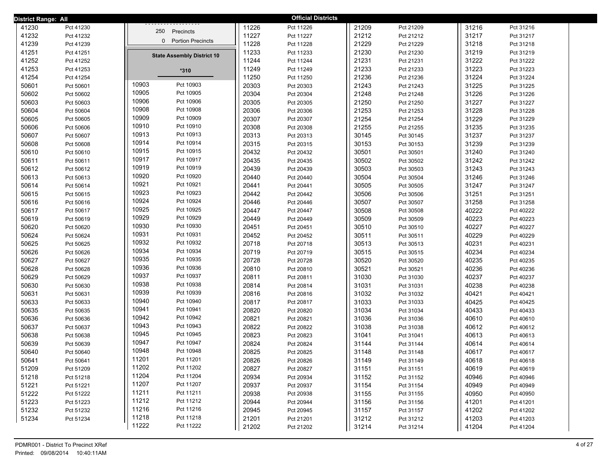| District Range: All |           |                                   |       | <b>Official Districts</b> |       |           |       |           |  |
|---------------------|-----------|-----------------------------------|-------|---------------------------|-------|-----------|-------|-----------|--|
| 41230               | Pct 41230 | 250 Precincts                     | 11226 | Pct 11226                 | 21209 | Pct 21209 | 31216 | Pct 31216 |  |
| 41232               | Pct 41232 |                                   | 11227 | Pct 11227                 | 21212 | Pct 21212 | 31217 | Pct 31217 |  |
| 41239               | Pct 41239 | 0 Portion Precincts               | 11228 | Pct 11228                 | 21229 | Pct 21229 | 31218 | Pct 31218 |  |
| 41251               | Pct 41251 | <b>State Assembly District 10</b> | 11233 | Pct 11233                 | 21230 | Pct 21230 | 31219 | Pct 31219 |  |
| 41252               | Pct 41252 |                                   | 11244 | Pct 11244                 | 21231 | Pct 21231 | 31222 | Pct 31222 |  |
| 41253               | Pct 41253 | $*310$                            | 11249 | Pct 11249                 | 21233 | Pct 21233 | 31223 | Pct 31223 |  |
| 41254               | Pct 41254 |                                   | 11250 | Pct 11250                 | 21236 | Pct 21236 | 31224 | Pct 31224 |  |
| 50601               | Pct 50601 | 10903<br>Pct 10903                | 20303 | Pct 20303                 | 21243 | Pct 21243 | 31225 | Pct 31225 |  |
| 50602               | Pct 50602 | 10905<br>Pct 10905                | 20304 | Pct 20304                 | 21248 | Pct 21248 | 31226 | Pct 31226 |  |
| 50603               | Pct 50603 | 10906<br>Pct 10906                | 20305 | Pct 20305                 | 21250 | Pct 21250 | 31227 | Pct 31227 |  |
| 50604               | Pct 50604 | 10908<br>Pct 10908                | 20306 | Pct 20306                 | 21253 | Pct 21253 | 31228 | Pct 31228 |  |
| 50605               | Pct 50605 | 10909<br>Pct 10909                | 20307 | Pct 20307                 | 21254 | Pct 21254 | 31229 | Pct 31229 |  |
| 50606               | Pct 50606 | 10910<br>Pct 10910                | 20308 | Pct 20308                 | 21255 | Pct 21255 | 31235 | Pct 31235 |  |
| 50607               | Pct 50607 | 10913<br>Pct 10913                | 20313 | Pct 20313                 | 30145 | Pct 30145 | 31237 | Pct 31237 |  |
| 50608               | Pct 50608 | 10914<br>Pct 10914                | 20315 | Pct 20315                 | 30153 | Pct 30153 | 31239 | Pct 31239 |  |
| 50610               | Pct 50610 | 10915<br>Pct 10915                | 20432 | Pct 20432                 | 30501 | Pct 30501 | 31240 | Pct 31240 |  |
| 50611               | Pct 50611 | 10917<br>Pct 10917                | 20435 | Pct 20435                 | 30502 | Pct 30502 | 31242 | Pct 31242 |  |
| 50612               | Pct 50612 | 10919<br>Pct 10919                | 20439 | Pct 20439                 | 30503 | Pct 30503 | 31243 | Pct 31243 |  |
| 50613               | Pct 50613 | 10920<br>Pct 10920                | 20440 | Pct 20440                 | 30504 | Pct 30504 | 31246 | Pct 31246 |  |
| 50614               | Pct 50614 | 10921<br>Pct 10921                | 20441 | Pct 20441                 | 30505 | Pct 30505 | 31247 | Pct 31247 |  |
| 50615               | Pct 50615 | 10923<br>Pct 10923                | 20442 | Pct 20442                 | 30506 | Pct 30506 | 31251 | Pct 31251 |  |
| 50616               | Pct 50616 | 10924<br>Pct 10924                | 20446 | Pct 20446                 | 30507 | Pct 30507 | 31258 | Pct 31258 |  |
| 50617               | Pct 50617 | 10925<br>Pct 10925                | 20447 | Pct 20447                 | 30508 | Pct 30508 | 40222 | Pct 40222 |  |
| 50619               | Pct 50619 | 10929<br>Pct 10929                | 20449 | Pct 20449                 | 30509 | Pct 30509 | 40223 | Pct 40223 |  |
| 50620               | Pct 50620 | 10930<br>Pct 10930                | 20451 | Pct 20451                 | 30510 | Pct 30510 | 40227 | Pct 40227 |  |
| 50624               | Pct 50624 | 10931<br>Pct 10931                | 20452 | Pct 20452                 | 30511 | Pct 30511 | 40229 | Pct 40229 |  |
| 50625               | Pct 50625 | 10932<br>Pct 10932                | 20718 | Pct 20718                 | 30513 | Pct 30513 | 40231 | Pct 40231 |  |
| 50626               | Pct 50626 | 10934<br>Pct 10934                | 20719 | Pct 20719                 | 30515 | Pct 30515 | 40234 | Pct 40234 |  |
| 50627               | Pct 50627 | 10935<br>Pct 10935                | 20728 | Pct 20728                 | 30520 | Pct 30520 | 40235 | Pct 40235 |  |
| 50628               | Pct 50628 | 10936<br>Pct 10936                | 20810 | Pct 20810                 | 30521 | Pct 30521 | 40236 | Pct 40236 |  |
| 50629               | Pct 50629 | 10937<br>Pct 10937                | 20811 | Pct 20811                 | 31030 | Pct 31030 | 40237 | Pct 40237 |  |
| 50630               | Pct 50630 | 10938<br>Pct 10938                | 20814 | Pct 20814                 | 31031 | Pct 31031 | 40238 | Pct 40238 |  |
| 50631               | Pct 50631 | 10939<br>Pct 10939                | 20816 | Pct 20816                 | 31032 | Pct 31032 | 40421 | Pct 40421 |  |
| 50633               | Pct 50633 | 10940<br>Pct 10940                | 20817 | Pct 20817                 | 31033 | Pct 31033 | 40425 | Pct 40425 |  |
| 50635               | Pct 50635 | 10941<br>Pct 10941                | 20820 | Pct 20820                 | 31034 | Pct 31034 | 40433 | Pct 40433 |  |
| 50636               | Pct 50636 | 10942<br>Pct 10942                | 20821 | Pct 20821                 | 31036 | Pct 31036 | 40610 | Pct 40610 |  |
| 50637               | Pct 50637 | 10943<br>Pct 10943                | 20822 | Pct 20822                 | 31038 | Pct 31038 | 40612 | Pct 40612 |  |
| 50638               | Pct 50638 | 10945<br>Pct 10945                | 20823 | Pct 20823                 | 31041 | Pct 31041 | 40613 | Pct 40613 |  |
| 50639               | Pct 50639 | 10947<br>Pct 10947                | 20824 | Pct 20824                 | 31144 | Pct 31144 | 40614 | Pct 40614 |  |
| 50640               | Pct 50640 | 10948<br>Pct 10948                | 20825 | Pct 20825                 | 31148 | Pct 31148 | 40617 | Pct 40617 |  |
| 50641               | Pct 50641 | 11201<br>Pct 11201                | 20826 | Pct 20826                 | 31149 | Pct 31149 | 40618 | Pct 40618 |  |
| 51209               | Pct 51209 | 11202<br>Pct 11202                | 20827 | Pct 20827                 | 31151 | Pct 31151 | 40619 | Pct 40619 |  |
| 51218               | Pct 51218 | 11204<br>Pct 11204                | 20934 | Pct 20934                 | 31152 | Pct 31152 | 40946 | Pct 40946 |  |
| 51221               | Pct 51221 | 11207<br>Pct 11207                | 20937 | Pct 20937                 | 31154 | Pct 31154 | 40949 | Pct 40949 |  |
| 51222               | Pct 51222 | 11211<br>Pct 11211                | 20938 | Pct 20938                 | 31155 | Pct 31155 | 40950 | Pct 40950 |  |
| 51223               | Pct 51223 | 11212<br>Pct 11212                | 20944 | Pct 20944                 | 31156 | Pct 31156 | 41201 | Pct 41201 |  |
| 51232               | Pct 51232 | 11216<br>Pct 11216                | 20945 | Pct 20945                 | 31157 | Pct 31157 | 41202 | Pct 41202 |  |
| 51234               | Pct 51234 | 11218<br>Pct 11218                | 21201 | Pct 21201                 | 31212 | Pct 31212 | 41203 | Pct 41203 |  |
|                     |           | 11222<br>Pct 11222                | 21202 | Pct 21202                 | 31214 | Pct 31214 | 41204 | Pct 41204 |  |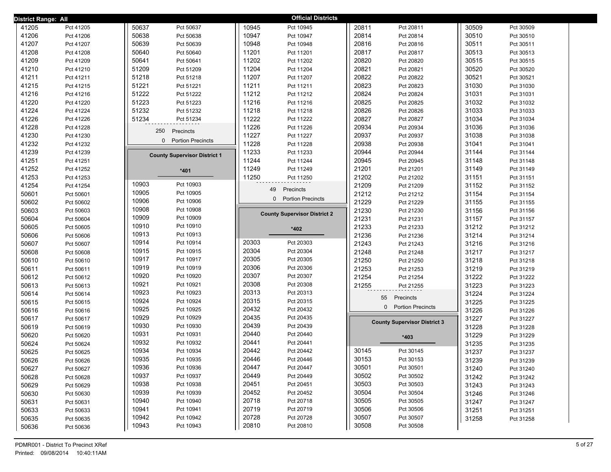| District Range: All |           |                                      |       | <b>Official Districts</b>           |       |                                      |       |           |  |
|---------------------|-----------|--------------------------------------|-------|-------------------------------------|-------|--------------------------------------|-------|-----------|--|
| 41205               | Pct 41205 | 50637<br>Pct 50637                   | 10945 | Pct 10945                           | 20811 | Pct 20811                            | 30509 | Pct 30509 |  |
| 41206               | Pct 41206 | 50638<br>Pct 50638                   | 10947 | Pct 10947                           | 20814 | Pct 20814                            | 30510 | Pct 30510 |  |
| 41207               | Pct 41207 | 50639<br>Pct 50639                   | 10948 | Pct 10948                           | 20816 | Pct 20816                            | 30511 | Pct 30511 |  |
| 41208               | Pct 41208 | 50640<br>Pct 50640                   | 11201 | Pct 11201                           | 20817 | Pct 20817                            | 30513 | Pct 30513 |  |
| 41209               | Pct 41209 | 50641<br>Pct 50641                   | 11202 | Pct 11202                           | 20820 | Pct 20820                            | 30515 | Pct 30515 |  |
| 41210               | Pct 41210 | 51209<br>Pct 51209                   | 11204 | Pct 11204                           | 20821 | Pct 20821                            | 30520 | Pct 30520 |  |
| 41211               | Pct 41211 | 51218<br>Pct 51218                   | 11207 | Pct 11207                           | 20822 | Pct 20822                            | 30521 | Pct 30521 |  |
| 41215               | Pct 41215 | 51221<br>Pct 51221                   | 11211 | Pct 11211                           | 20823 | Pct 20823                            | 31030 | Pct 31030 |  |
| 41216               | Pct 41216 | 51222<br>Pct 51222                   | 11212 | Pct 11212                           | 20824 | Pct 20824                            | 31031 | Pct 31031 |  |
| 41220               | Pct 41220 | 51223<br>Pct 51223                   | 11216 | Pct 11216                           | 20825 | Pct 20825                            | 31032 | Pct 31032 |  |
| 41224               | Pct 41224 | 51232<br>Pct 51232                   | 11218 | Pct 11218                           | 20826 | Pct 20826                            | 31033 | Pct 31033 |  |
| 41226               | Pct 41226 | 51234<br>Pct 51234                   | 11222 | Pct 11222                           | 20827 | Pct 20827                            | 31034 | Pct 31034 |  |
| 41228               | Pct 41228 | 250<br>Precincts                     | 11226 | Pct 11226                           | 20934 | Pct 20934                            | 31036 | Pct 31036 |  |
| 41230               | Pct 41230 |                                      | 11227 | Pct 11227                           | 20937 | Pct 20937                            | 31038 | Pct 31038 |  |
| 41232               | Pct 41232 | $\Omega$<br><b>Portion Precincts</b> | 11228 | Pct 11228                           | 20938 | Pct 20938                            | 31041 | Pct 31041 |  |
| 41239               | Pct 41239 | <b>County Supervisor District 1</b>  | 11233 | Pct 11233                           | 20944 | Pct 20944                            | 31144 | Pct 31144 |  |
| 41251               | Pct 41251 |                                      | 11244 | Pct 11244                           | 20945 | Pct 20945                            | 31148 | Pct 31148 |  |
| 41252               | Pct 41252 | $*401$                               | 11249 | Pct 11249                           | 21201 | Pct 21201                            | 31149 | Pct 31149 |  |
| 41253               | Pct 41253 |                                      | 11250 | Pct 11250                           | 21202 | Pct 21202                            | 31151 | Pct 31151 |  |
| 41254               | Pct 41254 | 10903<br>Pct 10903                   |       | 49<br>Precincts                     | 21209 | Pct 21209                            | 31152 | Pct 31152 |  |
| 50601               | Pct 50601 | 10905<br>Pct 10905                   |       | 0 Portion Precincts                 | 21212 | Pct 21212                            | 31154 | Pct 31154 |  |
| 50602               | Pct 50602 | 10906<br>Pct 10906                   |       |                                     | 21229 | Pct 21229                            | 31155 | Pct 31155 |  |
| 50603               | Pct 50603 | 10908<br>Pct 10908                   |       | <b>County Supervisor District 2</b> | 21230 | Pct 21230                            | 31156 | Pct 31156 |  |
| 50604               | Pct 50604 | 10909<br>Pct 10909                   |       |                                     | 21231 | Pct 21231                            | 31157 | Pct 31157 |  |
| 50605               | Pct 50605 | 10910<br>Pct 10910                   |       | *402                                | 21233 | Pct 21233                            | 31212 | Pct 31212 |  |
| 50606               | Pct 50606 | 10913<br>Pct 10913                   |       |                                     | 21236 | Pct 21236                            | 31214 | Pct 31214 |  |
| 50607               | Pct 50607 | 10914<br>Pct 10914                   | 20303 | Pct 20303                           | 21243 | Pct 21243                            | 31216 | Pct 31216 |  |
| 50608               | Pct 50608 | 10915<br>Pct 10915                   | 20304 | Pct 20304                           | 21248 | Pct 21248                            | 31217 | Pct 31217 |  |
| 50610               | Pct 50610 | 10917<br>Pct 10917                   | 20305 | Pct 20305                           | 21250 | Pct 21250                            | 31218 | Pct 31218 |  |
| 50611               | Pct 50611 | 10919<br>Pct 10919                   | 20306 | Pct 20306                           | 21253 | Pct 21253                            | 31219 | Pct 31219 |  |
| 50612               | Pct 50612 | 10920<br>Pct 10920                   | 20307 | Pct 20307                           | 21254 | Pct 21254                            | 31222 | Pct 31222 |  |
| 50613               | Pct 50613 | 10921<br>Pct 10921                   | 20308 | Pct 20308                           | 21255 | Pct 21255                            | 31223 | Pct 31223 |  |
| 50614               | Pct 50614 | 10923<br>Pct 10923                   | 20313 | Pct 20313                           |       | 55<br>Precincts                      | 31224 | Pct 31224 |  |
| 50615               | Pct 50615 | 10924<br>Pct 10924                   | 20315 | Pct 20315                           |       | $\Omega$<br><b>Portion Precincts</b> | 31225 | Pct 31225 |  |
| 50616               | Pct 50616 | 10925<br>Pct 10925                   | 20432 | Pct 20432                           |       |                                      | 31226 | Pct 31226 |  |
| 50617               | Pct 50617 | 10929<br>Pct 10929                   | 20435 | Pct 20435                           |       | <b>County Supervisor District 3</b>  | 31227 | Pct 31227 |  |
| 50619               | Pct 50619 | 10930<br>Pct 10930                   | 20439 | Pct 20439                           |       |                                      | 31228 | Pct 31228 |  |
| 50620               | Pct 50620 | 10931<br>Pct 10931                   | 20440 | Pct 20440                           |       | $*403$                               | 31229 | Pct 31229 |  |
| 50624               | Pct 50624 | 10932<br>Pct 10932                   | 20441 | Pct 20441                           |       |                                      | 31235 | Pct 31235 |  |
| 50625               | Pct 50625 | 10934<br>Pct 10934                   | 20442 | Pct 20442                           | 30145 | Pct 30145                            | 31237 | Pct 31237 |  |
| 50626               | Pct 50626 | 10935<br>Pct 10935                   | 20446 | Pct 20446                           | 30153 | Pct 30153                            | 31239 | Pct 31239 |  |
| 50627               | Pct 50627 | 10936<br>Pct 10936                   | 20447 | Pct 20447                           | 30501 | Pct 30501                            | 31240 | Pct 31240 |  |
| 50628               | Pct 50628 | 10937<br>Pct 10937                   | 20449 | Pct 20449                           | 30502 | Pct 30502                            | 31242 | Pct 31242 |  |
| 50629               | Pct 50629 | 10938<br>Pct 10938                   | 20451 | Pct 20451                           | 30503 | Pct 30503                            | 31243 | Pct 31243 |  |
| 50630               | Pct 50630 | 10939<br>Pct 10939                   | 20452 | Pct 20452                           | 30504 | Pct 30504                            | 31246 | Pct 31246 |  |
| 50631               | Pct 50631 | 10940<br>Pct 10940                   | 20718 | Pct 20718                           | 30505 | Pct 30505                            | 31247 | Pct 31247 |  |
| 50633               | Pct 50633 | 10941<br>Pct 10941                   | 20719 | Pct 20719                           | 30506 | Pct 30506                            | 31251 | Pct 31251 |  |
| 50635               | Pct 50635 | 10942<br>Pct 10942                   | 20728 | Pct 20728                           | 30507 | Pct 30507                            | 31258 | Pct 31258 |  |
| 50636               | Pct 50636 | 10943<br>Pct 10943                   | 20810 | Pct 20810                           | 30508 | Pct 30508                            |       |           |  |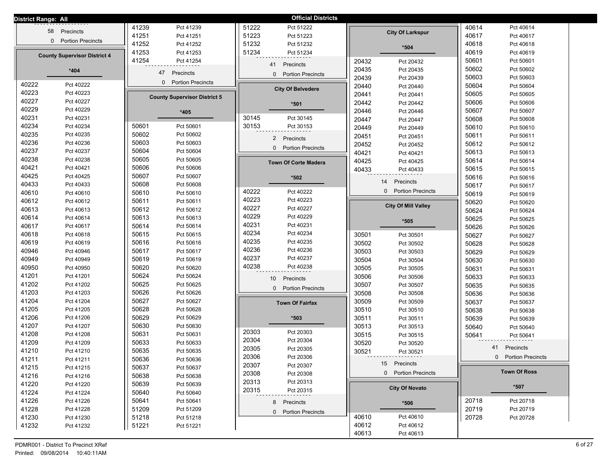| District Range: All |                                     |       |                                      |                | <b>Official Districts</b>   |       |                            |       |                     |
|---------------------|-------------------------------------|-------|--------------------------------------|----------------|-----------------------------|-------|----------------------------|-------|---------------------|
|                     | Precincts<br>58                     | 41239 | Pct 41239                            | 51222          | Pct 51222                   |       |                            | 40614 | Pct 40614           |
|                     |                                     | 41251 | Pct 41251                            | 51223          | Pct 51223                   |       | <b>City Of Larkspur</b>    | 40617 | Pct 40617           |
|                     | 0 Portion Precincts                 | 41252 | Pct 41252                            | 51232          | Pct 51232                   |       | $*504$                     | 40618 | Pct 40618           |
|                     | <b>County Supervisor District 4</b> | 41253 | Pct 41253                            | 51234          | Pct 51234                   |       |                            | 40619 | Pct 40619           |
|                     |                                     | 41254 | Pct 41254                            |                | 41<br>Precincts             | 20432 | Pct 20432                  | 50601 | Pct 50601           |
|                     | $*404$                              |       | 47<br>Precincts                      |                |                             | 20435 | Pct 20435                  | 50602 | Pct 50602           |
|                     |                                     |       |                                      |                | 0 Portion Precincts         | 20439 | Pct 20439                  | 50603 | Pct 50603           |
| 40222               | Pct 40222                           |       | <b>Portion Precincts</b><br>$\Omega$ |                | <b>City Of Belvedere</b>    | 20440 | Pct 20440                  | 50604 | Pct 50604           |
| 40223               | Pct 40223                           |       | <b>County Supervisor District 5</b>  |                |                             | 20441 | Pct 20441                  | 50605 | Pct 50605           |
| 40227               | Pct 40227                           |       |                                      |                | *501                        | 20442 | Pct 20442                  | 50606 | Pct 50606           |
| 40229               | Pct 40229                           |       | $*405$                               |                |                             | 20446 | Pct 20446                  | 50607 | Pct 50607           |
| 40231               | Pct 40231                           |       |                                      | 30145          | Pct 30145                   | 20447 | Pct 20447                  | 50608 | Pct 50608           |
| 40234               | Pct 40234                           | 50601 | Pct 50601                            | 30153          | Pct 30153                   | 20449 | Pct 20449                  | 50610 | Pct 50610           |
| 40235               | Pct 40235                           | 50602 | Pct 50602                            |                | 2 Precincts                 | 20451 | Pct 20451                  | 50611 | Pct 50611           |
| 40236               | Pct 40236                           | 50603 | Pct 50603                            |                | 0 Portion Precincts         | 20452 | Pct 20452                  | 50612 | Pct 50612           |
| 40237               | Pct 40237                           | 50604 | Pct 50604                            |                |                             | 40421 | Pct 40421                  | 50613 | Pct 50613           |
| 40238               | Pct 40238                           | 50605 | Pct 50605                            |                | <b>Town Of Corte Madera</b> | 40425 | Pct 40425                  | 50614 | Pct 50614           |
| 40421               | Pct 40421                           | 50606 | Pct 50606                            |                |                             | 40433 | Pct 40433                  | 50615 | Pct 50615           |
| 40425               | Pct 40425                           | 50607 | Pct 50607                            |                | $*502$                      |       | 14<br>Precincts            | 50616 | Pct 50616           |
| 40433               | Pct 40433                           | 50608 | Pct 50608                            |                |                             |       |                            | 50617 | Pct 50617           |
| 40610               | Pct 40610                           | 50610 | Pct 50610                            | 40222          | Pct 40222                   |       | 0 Portion Precincts        | 50619 | Pct 50619           |
| 40612               | Pct 40612                           | 50611 | Pct 50611                            | 40223          | Pct 40223                   |       | <b>City Of Mill Valley</b> | 50620 | Pct 50620           |
| 40613               | Pct 40613                           | 50612 | Pct 50612                            | 40227          | Pct 40227                   |       |                            | 50624 | Pct 50624           |
| 40614               | Pct 40614                           | 50613 | Pct 50613                            | 40229          | Pct 40229                   |       | *505                       | 50625 | Pct 50625           |
| 40617               | Pct 40617                           | 50614 | Pct 50614                            | 40231          | Pct 40231                   |       |                            | 50626 | Pct 50626           |
| 40618               | Pct 40618                           | 50615 | Pct 50615                            | 40234          | Pct 40234                   | 30501 | Pct 30501                  | 50627 | Pct 50627           |
| 40619               | Pct 40619                           | 50616 | Pct 50616                            | 40235          | Pct 40235                   | 30502 | Pct 30502                  | 50628 | Pct 50628           |
| 40946               | Pct 40946                           | 50617 | Pct 50617                            | 40236          | Pct 40236                   | 30503 | Pct 30503                  | 50629 | Pct 50629           |
| 40949               | Pct 40949                           | 50619 | Pct 50619                            | 40237          | Pct 40237                   | 30504 | Pct 30504                  | 50630 | Pct 50630           |
| 40950               | Pct 40950                           | 50620 | Pct 50620                            | 40238          | Pct 40238                   | 30505 | Pct 30505                  | 50631 | Pct 50631           |
| 41201               | Pct 41201                           | 50624 | Pct 50624                            |                | Precincts<br>10             | 30506 | Pct 30506                  | 50633 | Pct 50633           |
| 41202               | Pct 41202                           | 50625 | Pct 50625                            |                | 0 Portion Precincts         | 30507 | Pct 30507                  | 50635 | Pct 50635           |
| 41203               | Pct 41203                           | 50626 | Pct 50626                            |                |                             | 30508 | Pct 30508                  | 50636 | Pct 50636           |
| 41204               | Pct 41204                           | 50627 | Pct 50627                            |                | <b>Town Of Fairfax</b>      | 30509 | Pct 30509                  | 50637 | Pct 50637           |
| 41205               | Pct 41205                           | 50628 | Pct 50628                            |                |                             | 30510 | Pct 30510                  | 50638 | Pct 50638           |
| 41206               | Pct 41206                           | 50629 | Pct 50629                            |                | *503                        | 30511 | Pct 30511                  | 50639 | Pct 50639           |
| 41207               | Pct 41207                           | 50630 | Pct 50630                            | 20303          | Pct 20303                   | 30513 | Pct 30513                  | 50640 | Pct 50640           |
| 41208               | Pct 41208                           | 50631 | Pct 50631                            | 20304          | Pct 20304                   | 30515 | Pct 30515                  | 50641 | Pct 50641           |
| 41209               | Pct 41209                           | 50633 | Pct 50633                            | 20305          | Pct 20305                   | 30520 | Pct 30520                  | 41    | Precincts           |
| 41210               | Pct 41210                           | 50635 | Pct 50635                            | 20306          |                             | 30521 | Pct 30521                  |       |                     |
| 41211               | Pct 41211                           | 50636 | Pct 50636                            |                | Pct 20306                   |       | 15 Precincts               |       | 0 Portion Precincts |
| 41215               | Pct 41215                           | 50637 | Pct 50637                            | 20307          | Pct 20307                   |       | 0 Portion Precincts        |       | <b>Town Of Ross</b> |
| 41216               | Pct 41216                           | 50638 | Pct 50638                            | 20308<br>20313 | Pct 20308<br>Pct 20313      |       |                            |       |                     |
| 41220               | Pct 41220                           | 50639 | Pct 50639                            |                |                             |       | <b>City Of Novato</b>      |       | *507                |
| 41224               | Pct 41224                           | 50640 | Pct 50640                            | 20315          | Pct 20315                   |       |                            |       |                     |
| 41226               | Pct 41226                           | 50641 | Pct 50641                            |                | 8 Precincts                 |       | $*506$                     | 20718 | Pct 20718           |
| 41228               | Pct 41228                           | 51209 | Pct 51209                            |                | 0 Portion Precincts         |       |                            | 20719 | Pct 20719           |
| 41230               | Pct 41230                           | 51218 | Pct 51218                            |                |                             | 40610 | Pct 40610                  | 20728 | Pct 20728           |
| 41232               | Pct 41232                           | 51221 | Pct 51221                            |                |                             | 40612 | Pct 40612                  |       |                     |
|                     |                                     |       |                                      |                |                             | 40613 | Pct 40613                  |       |                     |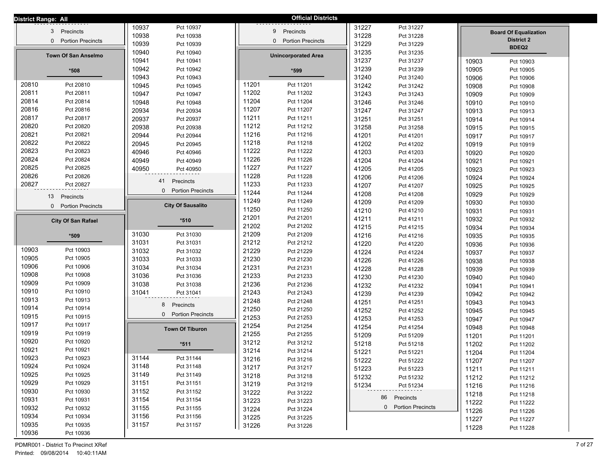| 10937<br>31227<br>Pct 10937<br>Pct 31227<br>Precincts<br>Precincts<br>3<br>9<br><b>Board Of Equalization</b><br>10938<br>31228<br>Pct 10938<br>Pct 31228<br><b>District 2</b><br>0 Portion Precincts<br><b>Portion Precincts</b><br>$\mathbf{0}$<br>31229<br>10939<br>Pct 10939<br>Pct 31229<br>BDEQ2<br>10940<br>31235<br>Pct 10940<br>Pct 31235<br><b>Town Of San Anselmo</b><br><b>Unincorporated Area</b><br>10941<br>31237<br>Pct 10941<br>Pct 31237<br>10903<br>Pct 10903<br>31239<br>10942<br>Pct 10942<br>Pct 31239<br>10905<br>Pct 10905<br>$*599$<br>*508<br>31240<br>10943<br>Pct 10943<br>Pct 31240<br>10906<br>Pct 10906<br>11201<br>20810<br>Pct 20810<br>Pct 11201<br>10945<br>31242<br>Pct 10945<br>Pct 31242<br>10908<br>Pct 10908<br>20811<br>11202<br>Pct 20811<br>Pct 11202<br>10947<br>31243<br>Pct 10947<br>Pct 31243<br>10909<br>Pct 10909<br>20814<br>11204<br>Pct 20814<br>Pct 11204<br>10948<br>31246<br>Pct 10948<br>Pct 31246<br>10910<br>Pct 10910<br>20816<br>11207<br>Pct 20816<br>Pct 11207<br>31247<br>20934<br>Pct 20934<br>Pct 31247<br>10913<br>Pct 10913<br>20817<br>Pct 20817<br>11211<br>Pct 11211<br>31251<br>20937<br>Pct 20937<br>Pct 31251<br>10914<br>Pct 10914<br>20820<br>11212<br>Pct 20820<br>Pct 11212<br>31258<br>20938<br>Pct 20938<br>Pct 31258<br>10915<br>Pct 10915<br>20821<br>11216<br>Pct 20821<br>Pct 11216<br>20944<br>41201<br>Pct 20944<br>Pct 41201<br>10917<br>Pct 10917<br>20822<br>11218<br>Pct 20822<br>Pct 11218<br>20945<br>41202<br>Pct 20945<br>Pct 41202<br>10919<br>Pct 10919<br>20823<br>11222<br>Pct 20823<br>Pct 11222<br>41203<br>40946<br>Pct 40946<br>Pct 41203<br>10920<br>Pct 10920<br>20824<br>Pct 20824<br>11226<br>Pct 11226<br>41204<br>40949<br>Pct 40949<br>Pct 41204<br>10921<br>Pct 10921<br>20825<br>11227<br>Pct 20825<br>Pct 11227<br>41205<br>40950<br>Pct 41205<br>Pct 40950<br>10923<br>Pct 10923<br>20826<br>11228<br>Pct 20826<br>Pct 11228<br>41206<br>Pct 41206<br>10924<br>Pct 10924<br>41<br>Precincts<br>20827<br>11233<br>Pct 20827<br>Pct 11233<br>41207<br>Pct 41207<br>10925<br>Pct 10925<br>0 Portion Precincts<br>11244<br>Pct 11244<br>41208<br>Pct 41208<br>10929<br>Pct 10929<br>Precincts<br>13<br>11249<br>Pct 11249<br>41209<br>Pct 41209<br>10930<br>Pct 10930<br><b>City Of Sausalito</b><br>0 Portion Precincts<br>11250<br>Pct 11250<br>41210<br>Pct 41210<br>10931<br>Pct 10931<br>21201<br>Pct 21201<br>41211<br>Pct 41211<br>10932<br>Pct 10932<br>$*510$<br><b>City Of San Rafael</b><br>21202<br>Pct 21202<br>41215<br>Pct 41215<br>10934<br>Pct 10934<br>21209<br>31030<br>Pct 31030<br>Pct 21209<br>41216<br>*509<br>Pct 41216<br>10935<br>Pct 10935<br>21212<br>31031<br>Pct 21212<br>Pct 31031<br>41220<br>Pct 41220<br>10936<br>Pct 10936<br>10903<br>Pct 10903<br>31032<br>21229<br>Pct 31032<br>Pct 21229<br>41224<br>Pct 41224<br>10937<br>Pct 10937<br>10905<br>Pct 10905<br>21230<br>31033<br>Pct 31033<br>Pct 21230<br>41226<br>Pct 41226<br>10938<br>Pct 10938<br>10906<br>Pct 10906<br>31034<br>21231<br>Pct 31034<br>Pct 21231<br>41228<br>Pct 41228<br>10939<br>Pct 10939<br>10908<br>Pct 10908<br>21233<br>31036<br>Pct 31036<br>Pct 21233<br>41230<br>Pct 41230<br>10940<br>Pct 10940<br>10909<br>Pct 10909<br>21236<br>31038<br>Pct 21236<br>Pct 31038<br>41232<br>Pct 41232<br>10941<br>Pct 10941<br>10910<br>Pct 10910<br>21243<br>31041<br>Pct 21243<br>Pct 31041<br>41239<br>Pct 41239<br>10942<br>Pct 10942<br>10913<br>Pct 10913<br>21248<br>Pct 21248<br>41251<br>Pct 41251<br>10943<br>Pct 10943<br>8<br>Precincts<br>10914<br>Pct 10914<br>21250<br>Pct 21250<br>41252<br>Pct 41252<br>10945<br>Pct 10945<br>0 Portion Precincts<br>10915<br>Pct 10915<br>21253<br>Pct 21253<br>41253<br>Pct 41253<br>10947<br>Pct 10947<br>10917<br>Pct 10917<br>21254<br>Pct 21254<br>41254<br>Pct 41254<br>10948<br>Pct 10948<br><b>Town Of Tiburon</b><br>10919<br>Pct 10919<br>21255<br>Pct 21255<br>51209<br>Pct 51209<br>11201<br>Pct 11201<br>10920<br>Pct 10920<br>31212<br>Pct 31212<br>51218<br>Pct 51218<br>$*511$<br>11202<br>Pct 11202<br>10921<br>Pct 10921<br>31214<br>Pct 31214<br>51221<br>Pct 51221<br>11204<br>Pct 11204<br>10923<br>31144<br>Pct 10923<br>Pct 31144<br>31216<br>Pct 31216<br>51222<br>Pct 51222<br>11207<br>Pct 11207<br>31148<br>10924<br>Pct 10924<br>Pct 31148<br>31217<br>Pct 31217<br>51223<br>Pct 51223<br>11211<br>Pct 11211<br>10925<br>31149<br>Pct 10925<br>Pct 31149<br>31218<br>Pct 31218<br>51232<br>Pct 51232<br>11212<br>Pct 11212<br>10929<br>31151<br>Pct 10929<br>Pct 31151<br>31219<br>Pct 31219<br>51234<br>Pct 51234<br>11216<br>Pct 11216<br>10930<br>31152<br>Pct 10930<br>Pct 31152<br>31222<br>Pct 31222<br>11218<br>Pct 11218<br>86 Precincts<br>10931<br>31154<br>Pct 10931<br>Pct 31154<br>31223<br>Pct 31223<br>11222<br>Pct 11222<br>0 Portion Precincts<br>10932<br>Pct 10932<br>31155<br>Pct 31155<br>31224<br>Pct 31224<br>11226<br>Pct 11226<br>10934<br>31156<br>Pct 10934<br>Pct 31156<br>31225<br>Pct 31225<br>11227<br>Pct 11227<br>10935<br>31157<br>Pct 10935<br>Pct 31157<br>31226<br>Pct 31226<br>11228<br>Pct 11228 | District Range: All |           |  | <b>Official Districts</b> |  |  |
|------------------------------------------------------------------------------------------------------------------------------------------------------------------------------------------------------------------------------------------------------------------------------------------------------------------------------------------------------------------------------------------------------------------------------------------------------------------------------------------------------------------------------------------------------------------------------------------------------------------------------------------------------------------------------------------------------------------------------------------------------------------------------------------------------------------------------------------------------------------------------------------------------------------------------------------------------------------------------------------------------------------------------------------------------------------------------------------------------------------------------------------------------------------------------------------------------------------------------------------------------------------------------------------------------------------------------------------------------------------------------------------------------------------------------------------------------------------------------------------------------------------------------------------------------------------------------------------------------------------------------------------------------------------------------------------------------------------------------------------------------------------------------------------------------------------------------------------------------------------------------------------------------------------------------------------------------------------------------------------------------------------------------------------------------------------------------------------------------------------------------------------------------------------------------------------------------------------------------------------------------------------------------------------------------------------------------------------------------------------------------------------------------------------------------------------------------------------------------------------------------------------------------------------------------------------------------------------------------------------------------------------------------------------------------------------------------------------------------------------------------------------------------------------------------------------------------------------------------------------------------------------------------------------------------------------------------------------------------------------------------------------------------------------------------------------------------------------------------------------------------------------------------------------------------------------------------------------------------------------------------------------------------------------------------------------------------------------------------------------------------------------------------------------------------------------------------------------------------------------------------------------------------------------------------------------------------------------------------------------------------------------------------------------------------------------------------------------------------------------------------------------------------------------------------------------------------------------------------------------------------------------------------------------------------------------------------------------------------------------------------------------------------------------------------------------------------------------------------------------------------------------------------------------------------------------------------------------------------------------------------------------------------------------------------------------------------------------------------------------------------------------------------------------------------------------------------------------------------------------------------------------------------------------------------------------------------------------------------------------------------------------------------------------------------------------------------------------------------------------------------------------------------------------------------------------------------------------------------------------------------------------------------------------------------------------------------------------------------------------------------------------------------------------------------------------------------------------------------------------------------------------|---------------------|-----------|--|---------------------------|--|--|
|                                                                                                                                                                                                                                                                                                                                                                                                                                                                                                                                                                                                                                                                                                                                                                                                                                                                                                                                                                                                                                                                                                                                                                                                                                                                                                                                                                                                                                                                                                                                                                                                                                                                                                                                                                                                                                                                                                                                                                                                                                                                                                                                                                                                                                                                                                                                                                                                                                                                                                                                                                                                                                                                                                                                                                                                                                                                                                                                                                                                                                                                                                                                                                                                                                                                                                                                                                                                                                                                                                                                                                                                                                                                                                                                                                                                                                                                                                                                                                                                                                                                                                                                                                                                                                                                                                                                                                                                                                                                                                                                                                                                                                                                                                                                                                                                                                                                                                                                                                                                                                                                                                                                          |                     |           |  |                           |  |  |
|                                                                                                                                                                                                                                                                                                                                                                                                                                                                                                                                                                                                                                                                                                                                                                                                                                                                                                                                                                                                                                                                                                                                                                                                                                                                                                                                                                                                                                                                                                                                                                                                                                                                                                                                                                                                                                                                                                                                                                                                                                                                                                                                                                                                                                                                                                                                                                                                                                                                                                                                                                                                                                                                                                                                                                                                                                                                                                                                                                                                                                                                                                                                                                                                                                                                                                                                                                                                                                                                                                                                                                                                                                                                                                                                                                                                                                                                                                                                                                                                                                                                                                                                                                                                                                                                                                                                                                                                                                                                                                                                                                                                                                                                                                                                                                                                                                                                                                                                                                                                                                                                                                                                          |                     |           |  |                           |  |  |
|                                                                                                                                                                                                                                                                                                                                                                                                                                                                                                                                                                                                                                                                                                                                                                                                                                                                                                                                                                                                                                                                                                                                                                                                                                                                                                                                                                                                                                                                                                                                                                                                                                                                                                                                                                                                                                                                                                                                                                                                                                                                                                                                                                                                                                                                                                                                                                                                                                                                                                                                                                                                                                                                                                                                                                                                                                                                                                                                                                                                                                                                                                                                                                                                                                                                                                                                                                                                                                                                                                                                                                                                                                                                                                                                                                                                                                                                                                                                                                                                                                                                                                                                                                                                                                                                                                                                                                                                                                                                                                                                                                                                                                                                                                                                                                                                                                                                                                                                                                                                                                                                                                                                          |                     |           |  |                           |  |  |
|                                                                                                                                                                                                                                                                                                                                                                                                                                                                                                                                                                                                                                                                                                                                                                                                                                                                                                                                                                                                                                                                                                                                                                                                                                                                                                                                                                                                                                                                                                                                                                                                                                                                                                                                                                                                                                                                                                                                                                                                                                                                                                                                                                                                                                                                                                                                                                                                                                                                                                                                                                                                                                                                                                                                                                                                                                                                                                                                                                                                                                                                                                                                                                                                                                                                                                                                                                                                                                                                                                                                                                                                                                                                                                                                                                                                                                                                                                                                                                                                                                                                                                                                                                                                                                                                                                                                                                                                                                                                                                                                                                                                                                                                                                                                                                                                                                                                                                                                                                                                                                                                                                                                          |                     |           |  |                           |  |  |
|                                                                                                                                                                                                                                                                                                                                                                                                                                                                                                                                                                                                                                                                                                                                                                                                                                                                                                                                                                                                                                                                                                                                                                                                                                                                                                                                                                                                                                                                                                                                                                                                                                                                                                                                                                                                                                                                                                                                                                                                                                                                                                                                                                                                                                                                                                                                                                                                                                                                                                                                                                                                                                                                                                                                                                                                                                                                                                                                                                                                                                                                                                                                                                                                                                                                                                                                                                                                                                                                                                                                                                                                                                                                                                                                                                                                                                                                                                                                                                                                                                                                                                                                                                                                                                                                                                                                                                                                                                                                                                                                                                                                                                                                                                                                                                                                                                                                                                                                                                                                                                                                                                                                          |                     |           |  |                           |  |  |
|                                                                                                                                                                                                                                                                                                                                                                                                                                                                                                                                                                                                                                                                                                                                                                                                                                                                                                                                                                                                                                                                                                                                                                                                                                                                                                                                                                                                                                                                                                                                                                                                                                                                                                                                                                                                                                                                                                                                                                                                                                                                                                                                                                                                                                                                                                                                                                                                                                                                                                                                                                                                                                                                                                                                                                                                                                                                                                                                                                                                                                                                                                                                                                                                                                                                                                                                                                                                                                                                                                                                                                                                                                                                                                                                                                                                                                                                                                                                                                                                                                                                                                                                                                                                                                                                                                                                                                                                                                                                                                                                                                                                                                                                                                                                                                                                                                                                                                                                                                                                                                                                                                                                          |                     |           |  |                           |  |  |
|                                                                                                                                                                                                                                                                                                                                                                                                                                                                                                                                                                                                                                                                                                                                                                                                                                                                                                                                                                                                                                                                                                                                                                                                                                                                                                                                                                                                                                                                                                                                                                                                                                                                                                                                                                                                                                                                                                                                                                                                                                                                                                                                                                                                                                                                                                                                                                                                                                                                                                                                                                                                                                                                                                                                                                                                                                                                                                                                                                                                                                                                                                                                                                                                                                                                                                                                                                                                                                                                                                                                                                                                                                                                                                                                                                                                                                                                                                                                                                                                                                                                                                                                                                                                                                                                                                                                                                                                                                                                                                                                                                                                                                                                                                                                                                                                                                                                                                                                                                                                                                                                                                                                          |                     |           |  |                           |  |  |
|                                                                                                                                                                                                                                                                                                                                                                                                                                                                                                                                                                                                                                                                                                                                                                                                                                                                                                                                                                                                                                                                                                                                                                                                                                                                                                                                                                                                                                                                                                                                                                                                                                                                                                                                                                                                                                                                                                                                                                                                                                                                                                                                                                                                                                                                                                                                                                                                                                                                                                                                                                                                                                                                                                                                                                                                                                                                                                                                                                                                                                                                                                                                                                                                                                                                                                                                                                                                                                                                                                                                                                                                                                                                                                                                                                                                                                                                                                                                                                                                                                                                                                                                                                                                                                                                                                                                                                                                                                                                                                                                                                                                                                                                                                                                                                                                                                                                                                                                                                                                                                                                                                                                          |                     |           |  |                           |  |  |
|                                                                                                                                                                                                                                                                                                                                                                                                                                                                                                                                                                                                                                                                                                                                                                                                                                                                                                                                                                                                                                                                                                                                                                                                                                                                                                                                                                                                                                                                                                                                                                                                                                                                                                                                                                                                                                                                                                                                                                                                                                                                                                                                                                                                                                                                                                                                                                                                                                                                                                                                                                                                                                                                                                                                                                                                                                                                                                                                                                                                                                                                                                                                                                                                                                                                                                                                                                                                                                                                                                                                                                                                                                                                                                                                                                                                                                                                                                                                                                                                                                                                                                                                                                                                                                                                                                                                                                                                                                                                                                                                                                                                                                                                                                                                                                                                                                                                                                                                                                                                                                                                                                                                          |                     |           |  |                           |  |  |
|                                                                                                                                                                                                                                                                                                                                                                                                                                                                                                                                                                                                                                                                                                                                                                                                                                                                                                                                                                                                                                                                                                                                                                                                                                                                                                                                                                                                                                                                                                                                                                                                                                                                                                                                                                                                                                                                                                                                                                                                                                                                                                                                                                                                                                                                                                                                                                                                                                                                                                                                                                                                                                                                                                                                                                                                                                                                                                                                                                                                                                                                                                                                                                                                                                                                                                                                                                                                                                                                                                                                                                                                                                                                                                                                                                                                                                                                                                                                                                                                                                                                                                                                                                                                                                                                                                                                                                                                                                                                                                                                                                                                                                                                                                                                                                                                                                                                                                                                                                                                                                                                                                                                          |                     |           |  |                           |  |  |
|                                                                                                                                                                                                                                                                                                                                                                                                                                                                                                                                                                                                                                                                                                                                                                                                                                                                                                                                                                                                                                                                                                                                                                                                                                                                                                                                                                                                                                                                                                                                                                                                                                                                                                                                                                                                                                                                                                                                                                                                                                                                                                                                                                                                                                                                                                                                                                                                                                                                                                                                                                                                                                                                                                                                                                                                                                                                                                                                                                                                                                                                                                                                                                                                                                                                                                                                                                                                                                                                                                                                                                                                                                                                                                                                                                                                                                                                                                                                                                                                                                                                                                                                                                                                                                                                                                                                                                                                                                                                                                                                                                                                                                                                                                                                                                                                                                                                                                                                                                                                                                                                                                                                          |                     |           |  |                           |  |  |
|                                                                                                                                                                                                                                                                                                                                                                                                                                                                                                                                                                                                                                                                                                                                                                                                                                                                                                                                                                                                                                                                                                                                                                                                                                                                                                                                                                                                                                                                                                                                                                                                                                                                                                                                                                                                                                                                                                                                                                                                                                                                                                                                                                                                                                                                                                                                                                                                                                                                                                                                                                                                                                                                                                                                                                                                                                                                                                                                                                                                                                                                                                                                                                                                                                                                                                                                                                                                                                                                                                                                                                                                                                                                                                                                                                                                                                                                                                                                                                                                                                                                                                                                                                                                                                                                                                                                                                                                                                                                                                                                                                                                                                                                                                                                                                                                                                                                                                                                                                                                                                                                                                                                          |                     |           |  |                           |  |  |
|                                                                                                                                                                                                                                                                                                                                                                                                                                                                                                                                                                                                                                                                                                                                                                                                                                                                                                                                                                                                                                                                                                                                                                                                                                                                                                                                                                                                                                                                                                                                                                                                                                                                                                                                                                                                                                                                                                                                                                                                                                                                                                                                                                                                                                                                                                                                                                                                                                                                                                                                                                                                                                                                                                                                                                                                                                                                                                                                                                                                                                                                                                                                                                                                                                                                                                                                                                                                                                                                                                                                                                                                                                                                                                                                                                                                                                                                                                                                                                                                                                                                                                                                                                                                                                                                                                                                                                                                                                                                                                                                                                                                                                                                                                                                                                                                                                                                                                                                                                                                                                                                                                                                          |                     |           |  |                           |  |  |
|                                                                                                                                                                                                                                                                                                                                                                                                                                                                                                                                                                                                                                                                                                                                                                                                                                                                                                                                                                                                                                                                                                                                                                                                                                                                                                                                                                                                                                                                                                                                                                                                                                                                                                                                                                                                                                                                                                                                                                                                                                                                                                                                                                                                                                                                                                                                                                                                                                                                                                                                                                                                                                                                                                                                                                                                                                                                                                                                                                                                                                                                                                                                                                                                                                                                                                                                                                                                                                                                                                                                                                                                                                                                                                                                                                                                                                                                                                                                                                                                                                                                                                                                                                                                                                                                                                                                                                                                                                                                                                                                                                                                                                                                                                                                                                                                                                                                                                                                                                                                                                                                                                                                          |                     |           |  |                           |  |  |
|                                                                                                                                                                                                                                                                                                                                                                                                                                                                                                                                                                                                                                                                                                                                                                                                                                                                                                                                                                                                                                                                                                                                                                                                                                                                                                                                                                                                                                                                                                                                                                                                                                                                                                                                                                                                                                                                                                                                                                                                                                                                                                                                                                                                                                                                                                                                                                                                                                                                                                                                                                                                                                                                                                                                                                                                                                                                                                                                                                                                                                                                                                                                                                                                                                                                                                                                                                                                                                                                                                                                                                                                                                                                                                                                                                                                                                                                                                                                                                                                                                                                                                                                                                                                                                                                                                                                                                                                                                                                                                                                                                                                                                                                                                                                                                                                                                                                                                                                                                                                                                                                                                                                          |                     |           |  |                           |  |  |
|                                                                                                                                                                                                                                                                                                                                                                                                                                                                                                                                                                                                                                                                                                                                                                                                                                                                                                                                                                                                                                                                                                                                                                                                                                                                                                                                                                                                                                                                                                                                                                                                                                                                                                                                                                                                                                                                                                                                                                                                                                                                                                                                                                                                                                                                                                                                                                                                                                                                                                                                                                                                                                                                                                                                                                                                                                                                                                                                                                                                                                                                                                                                                                                                                                                                                                                                                                                                                                                                                                                                                                                                                                                                                                                                                                                                                                                                                                                                                                                                                                                                                                                                                                                                                                                                                                                                                                                                                                                                                                                                                                                                                                                                                                                                                                                                                                                                                                                                                                                                                                                                                                                                          |                     |           |  |                           |  |  |
|                                                                                                                                                                                                                                                                                                                                                                                                                                                                                                                                                                                                                                                                                                                                                                                                                                                                                                                                                                                                                                                                                                                                                                                                                                                                                                                                                                                                                                                                                                                                                                                                                                                                                                                                                                                                                                                                                                                                                                                                                                                                                                                                                                                                                                                                                                                                                                                                                                                                                                                                                                                                                                                                                                                                                                                                                                                                                                                                                                                                                                                                                                                                                                                                                                                                                                                                                                                                                                                                                                                                                                                                                                                                                                                                                                                                                                                                                                                                                                                                                                                                                                                                                                                                                                                                                                                                                                                                                                                                                                                                                                                                                                                                                                                                                                                                                                                                                                                                                                                                                                                                                                                                          |                     |           |  |                           |  |  |
|                                                                                                                                                                                                                                                                                                                                                                                                                                                                                                                                                                                                                                                                                                                                                                                                                                                                                                                                                                                                                                                                                                                                                                                                                                                                                                                                                                                                                                                                                                                                                                                                                                                                                                                                                                                                                                                                                                                                                                                                                                                                                                                                                                                                                                                                                                                                                                                                                                                                                                                                                                                                                                                                                                                                                                                                                                                                                                                                                                                                                                                                                                                                                                                                                                                                                                                                                                                                                                                                                                                                                                                                                                                                                                                                                                                                                                                                                                                                                                                                                                                                                                                                                                                                                                                                                                                                                                                                                                                                                                                                                                                                                                                                                                                                                                                                                                                                                                                                                                                                                                                                                                                                          |                     |           |  |                           |  |  |
|                                                                                                                                                                                                                                                                                                                                                                                                                                                                                                                                                                                                                                                                                                                                                                                                                                                                                                                                                                                                                                                                                                                                                                                                                                                                                                                                                                                                                                                                                                                                                                                                                                                                                                                                                                                                                                                                                                                                                                                                                                                                                                                                                                                                                                                                                                                                                                                                                                                                                                                                                                                                                                                                                                                                                                                                                                                                                                                                                                                                                                                                                                                                                                                                                                                                                                                                                                                                                                                                                                                                                                                                                                                                                                                                                                                                                                                                                                                                                                                                                                                                                                                                                                                                                                                                                                                                                                                                                                                                                                                                                                                                                                                                                                                                                                                                                                                                                                                                                                                                                                                                                                                                          |                     |           |  |                           |  |  |
|                                                                                                                                                                                                                                                                                                                                                                                                                                                                                                                                                                                                                                                                                                                                                                                                                                                                                                                                                                                                                                                                                                                                                                                                                                                                                                                                                                                                                                                                                                                                                                                                                                                                                                                                                                                                                                                                                                                                                                                                                                                                                                                                                                                                                                                                                                                                                                                                                                                                                                                                                                                                                                                                                                                                                                                                                                                                                                                                                                                                                                                                                                                                                                                                                                                                                                                                                                                                                                                                                                                                                                                                                                                                                                                                                                                                                                                                                                                                                                                                                                                                                                                                                                                                                                                                                                                                                                                                                                                                                                                                                                                                                                                                                                                                                                                                                                                                                                                                                                                                                                                                                                                                          |                     |           |  |                           |  |  |
|                                                                                                                                                                                                                                                                                                                                                                                                                                                                                                                                                                                                                                                                                                                                                                                                                                                                                                                                                                                                                                                                                                                                                                                                                                                                                                                                                                                                                                                                                                                                                                                                                                                                                                                                                                                                                                                                                                                                                                                                                                                                                                                                                                                                                                                                                                                                                                                                                                                                                                                                                                                                                                                                                                                                                                                                                                                                                                                                                                                                                                                                                                                                                                                                                                                                                                                                                                                                                                                                                                                                                                                                                                                                                                                                                                                                                                                                                                                                                                                                                                                                                                                                                                                                                                                                                                                                                                                                                                                                                                                                                                                                                                                                                                                                                                                                                                                                                                                                                                                                                                                                                                                                          |                     |           |  |                           |  |  |
|                                                                                                                                                                                                                                                                                                                                                                                                                                                                                                                                                                                                                                                                                                                                                                                                                                                                                                                                                                                                                                                                                                                                                                                                                                                                                                                                                                                                                                                                                                                                                                                                                                                                                                                                                                                                                                                                                                                                                                                                                                                                                                                                                                                                                                                                                                                                                                                                                                                                                                                                                                                                                                                                                                                                                                                                                                                                                                                                                                                                                                                                                                                                                                                                                                                                                                                                                                                                                                                                                                                                                                                                                                                                                                                                                                                                                                                                                                                                                                                                                                                                                                                                                                                                                                                                                                                                                                                                                                                                                                                                                                                                                                                                                                                                                                                                                                                                                                                                                                                                                                                                                                                                          |                     |           |  |                           |  |  |
|                                                                                                                                                                                                                                                                                                                                                                                                                                                                                                                                                                                                                                                                                                                                                                                                                                                                                                                                                                                                                                                                                                                                                                                                                                                                                                                                                                                                                                                                                                                                                                                                                                                                                                                                                                                                                                                                                                                                                                                                                                                                                                                                                                                                                                                                                                                                                                                                                                                                                                                                                                                                                                                                                                                                                                                                                                                                                                                                                                                                                                                                                                                                                                                                                                                                                                                                                                                                                                                                                                                                                                                                                                                                                                                                                                                                                                                                                                                                                                                                                                                                                                                                                                                                                                                                                                                                                                                                                                                                                                                                                                                                                                                                                                                                                                                                                                                                                                                                                                                                                                                                                                                                          |                     |           |  |                           |  |  |
|                                                                                                                                                                                                                                                                                                                                                                                                                                                                                                                                                                                                                                                                                                                                                                                                                                                                                                                                                                                                                                                                                                                                                                                                                                                                                                                                                                                                                                                                                                                                                                                                                                                                                                                                                                                                                                                                                                                                                                                                                                                                                                                                                                                                                                                                                                                                                                                                                                                                                                                                                                                                                                                                                                                                                                                                                                                                                                                                                                                                                                                                                                                                                                                                                                                                                                                                                                                                                                                                                                                                                                                                                                                                                                                                                                                                                                                                                                                                                                                                                                                                                                                                                                                                                                                                                                                                                                                                                                                                                                                                                                                                                                                                                                                                                                                                                                                                                                                                                                                                                                                                                                                                          |                     |           |  |                           |  |  |
|                                                                                                                                                                                                                                                                                                                                                                                                                                                                                                                                                                                                                                                                                                                                                                                                                                                                                                                                                                                                                                                                                                                                                                                                                                                                                                                                                                                                                                                                                                                                                                                                                                                                                                                                                                                                                                                                                                                                                                                                                                                                                                                                                                                                                                                                                                                                                                                                                                                                                                                                                                                                                                                                                                                                                                                                                                                                                                                                                                                                                                                                                                                                                                                                                                                                                                                                                                                                                                                                                                                                                                                                                                                                                                                                                                                                                                                                                                                                                                                                                                                                                                                                                                                                                                                                                                                                                                                                                                                                                                                                                                                                                                                                                                                                                                                                                                                                                                                                                                                                                                                                                                                                          |                     |           |  |                           |  |  |
|                                                                                                                                                                                                                                                                                                                                                                                                                                                                                                                                                                                                                                                                                                                                                                                                                                                                                                                                                                                                                                                                                                                                                                                                                                                                                                                                                                                                                                                                                                                                                                                                                                                                                                                                                                                                                                                                                                                                                                                                                                                                                                                                                                                                                                                                                                                                                                                                                                                                                                                                                                                                                                                                                                                                                                                                                                                                                                                                                                                                                                                                                                                                                                                                                                                                                                                                                                                                                                                                                                                                                                                                                                                                                                                                                                                                                                                                                                                                                                                                                                                                                                                                                                                                                                                                                                                                                                                                                                                                                                                                                                                                                                                                                                                                                                                                                                                                                                                                                                                                                                                                                                                                          |                     |           |  |                           |  |  |
|                                                                                                                                                                                                                                                                                                                                                                                                                                                                                                                                                                                                                                                                                                                                                                                                                                                                                                                                                                                                                                                                                                                                                                                                                                                                                                                                                                                                                                                                                                                                                                                                                                                                                                                                                                                                                                                                                                                                                                                                                                                                                                                                                                                                                                                                                                                                                                                                                                                                                                                                                                                                                                                                                                                                                                                                                                                                                                                                                                                                                                                                                                                                                                                                                                                                                                                                                                                                                                                                                                                                                                                                                                                                                                                                                                                                                                                                                                                                                                                                                                                                                                                                                                                                                                                                                                                                                                                                                                                                                                                                                                                                                                                                                                                                                                                                                                                                                                                                                                                                                                                                                                                                          |                     |           |  |                           |  |  |
|                                                                                                                                                                                                                                                                                                                                                                                                                                                                                                                                                                                                                                                                                                                                                                                                                                                                                                                                                                                                                                                                                                                                                                                                                                                                                                                                                                                                                                                                                                                                                                                                                                                                                                                                                                                                                                                                                                                                                                                                                                                                                                                                                                                                                                                                                                                                                                                                                                                                                                                                                                                                                                                                                                                                                                                                                                                                                                                                                                                                                                                                                                                                                                                                                                                                                                                                                                                                                                                                                                                                                                                                                                                                                                                                                                                                                                                                                                                                                                                                                                                                                                                                                                                                                                                                                                                                                                                                                                                                                                                                                                                                                                                                                                                                                                                                                                                                                                                                                                                                                                                                                                                                          |                     |           |  |                           |  |  |
|                                                                                                                                                                                                                                                                                                                                                                                                                                                                                                                                                                                                                                                                                                                                                                                                                                                                                                                                                                                                                                                                                                                                                                                                                                                                                                                                                                                                                                                                                                                                                                                                                                                                                                                                                                                                                                                                                                                                                                                                                                                                                                                                                                                                                                                                                                                                                                                                                                                                                                                                                                                                                                                                                                                                                                                                                                                                                                                                                                                                                                                                                                                                                                                                                                                                                                                                                                                                                                                                                                                                                                                                                                                                                                                                                                                                                                                                                                                                                                                                                                                                                                                                                                                                                                                                                                                                                                                                                                                                                                                                                                                                                                                                                                                                                                                                                                                                                                                                                                                                                                                                                                                                          |                     |           |  |                           |  |  |
|                                                                                                                                                                                                                                                                                                                                                                                                                                                                                                                                                                                                                                                                                                                                                                                                                                                                                                                                                                                                                                                                                                                                                                                                                                                                                                                                                                                                                                                                                                                                                                                                                                                                                                                                                                                                                                                                                                                                                                                                                                                                                                                                                                                                                                                                                                                                                                                                                                                                                                                                                                                                                                                                                                                                                                                                                                                                                                                                                                                                                                                                                                                                                                                                                                                                                                                                                                                                                                                                                                                                                                                                                                                                                                                                                                                                                                                                                                                                                                                                                                                                                                                                                                                                                                                                                                                                                                                                                                                                                                                                                                                                                                                                                                                                                                                                                                                                                                                                                                                                                                                                                                                                          |                     |           |  |                           |  |  |
|                                                                                                                                                                                                                                                                                                                                                                                                                                                                                                                                                                                                                                                                                                                                                                                                                                                                                                                                                                                                                                                                                                                                                                                                                                                                                                                                                                                                                                                                                                                                                                                                                                                                                                                                                                                                                                                                                                                                                                                                                                                                                                                                                                                                                                                                                                                                                                                                                                                                                                                                                                                                                                                                                                                                                                                                                                                                                                                                                                                                                                                                                                                                                                                                                                                                                                                                                                                                                                                                                                                                                                                                                                                                                                                                                                                                                                                                                                                                                                                                                                                                                                                                                                                                                                                                                                                                                                                                                                                                                                                                                                                                                                                                                                                                                                                                                                                                                                                                                                                                                                                                                                                                          |                     |           |  |                           |  |  |
|                                                                                                                                                                                                                                                                                                                                                                                                                                                                                                                                                                                                                                                                                                                                                                                                                                                                                                                                                                                                                                                                                                                                                                                                                                                                                                                                                                                                                                                                                                                                                                                                                                                                                                                                                                                                                                                                                                                                                                                                                                                                                                                                                                                                                                                                                                                                                                                                                                                                                                                                                                                                                                                                                                                                                                                                                                                                                                                                                                                                                                                                                                                                                                                                                                                                                                                                                                                                                                                                                                                                                                                                                                                                                                                                                                                                                                                                                                                                                                                                                                                                                                                                                                                                                                                                                                                                                                                                                                                                                                                                                                                                                                                                                                                                                                                                                                                                                                                                                                                                                                                                                                                                          |                     |           |  |                           |  |  |
|                                                                                                                                                                                                                                                                                                                                                                                                                                                                                                                                                                                                                                                                                                                                                                                                                                                                                                                                                                                                                                                                                                                                                                                                                                                                                                                                                                                                                                                                                                                                                                                                                                                                                                                                                                                                                                                                                                                                                                                                                                                                                                                                                                                                                                                                                                                                                                                                                                                                                                                                                                                                                                                                                                                                                                                                                                                                                                                                                                                                                                                                                                                                                                                                                                                                                                                                                                                                                                                                                                                                                                                                                                                                                                                                                                                                                                                                                                                                                                                                                                                                                                                                                                                                                                                                                                                                                                                                                                                                                                                                                                                                                                                                                                                                                                                                                                                                                                                                                                                                                                                                                                                                          |                     |           |  |                           |  |  |
|                                                                                                                                                                                                                                                                                                                                                                                                                                                                                                                                                                                                                                                                                                                                                                                                                                                                                                                                                                                                                                                                                                                                                                                                                                                                                                                                                                                                                                                                                                                                                                                                                                                                                                                                                                                                                                                                                                                                                                                                                                                                                                                                                                                                                                                                                                                                                                                                                                                                                                                                                                                                                                                                                                                                                                                                                                                                                                                                                                                                                                                                                                                                                                                                                                                                                                                                                                                                                                                                                                                                                                                                                                                                                                                                                                                                                                                                                                                                                                                                                                                                                                                                                                                                                                                                                                                                                                                                                                                                                                                                                                                                                                                                                                                                                                                                                                                                                                                                                                                                                                                                                                                                          |                     |           |  |                           |  |  |
|                                                                                                                                                                                                                                                                                                                                                                                                                                                                                                                                                                                                                                                                                                                                                                                                                                                                                                                                                                                                                                                                                                                                                                                                                                                                                                                                                                                                                                                                                                                                                                                                                                                                                                                                                                                                                                                                                                                                                                                                                                                                                                                                                                                                                                                                                                                                                                                                                                                                                                                                                                                                                                                                                                                                                                                                                                                                                                                                                                                                                                                                                                                                                                                                                                                                                                                                                                                                                                                                                                                                                                                                                                                                                                                                                                                                                                                                                                                                                                                                                                                                                                                                                                                                                                                                                                                                                                                                                                                                                                                                                                                                                                                                                                                                                                                                                                                                                                                                                                                                                                                                                                                                          |                     |           |  |                           |  |  |
|                                                                                                                                                                                                                                                                                                                                                                                                                                                                                                                                                                                                                                                                                                                                                                                                                                                                                                                                                                                                                                                                                                                                                                                                                                                                                                                                                                                                                                                                                                                                                                                                                                                                                                                                                                                                                                                                                                                                                                                                                                                                                                                                                                                                                                                                                                                                                                                                                                                                                                                                                                                                                                                                                                                                                                                                                                                                                                                                                                                                                                                                                                                                                                                                                                                                                                                                                                                                                                                                                                                                                                                                                                                                                                                                                                                                                                                                                                                                                                                                                                                                                                                                                                                                                                                                                                                                                                                                                                                                                                                                                                                                                                                                                                                                                                                                                                                                                                                                                                                                                                                                                                                                          |                     |           |  |                           |  |  |
|                                                                                                                                                                                                                                                                                                                                                                                                                                                                                                                                                                                                                                                                                                                                                                                                                                                                                                                                                                                                                                                                                                                                                                                                                                                                                                                                                                                                                                                                                                                                                                                                                                                                                                                                                                                                                                                                                                                                                                                                                                                                                                                                                                                                                                                                                                                                                                                                                                                                                                                                                                                                                                                                                                                                                                                                                                                                                                                                                                                                                                                                                                                                                                                                                                                                                                                                                                                                                                                                                                                                                                                                                                                                                                                                                                                                                                                                                                                                                                                                                                                                                                                                                                                                                                                                                                                                                                                                                                                                                                                                                                                                                                                                                                                                                                                                                                                                                                                                                                                                                                                                                                                                          |                     |           |  |                           |  |  |
|                                                                                                                                                                                                                                                                                                                                                                                                                                                                                                                                                                                                                                                                                                                                                                                                                                                                                                                                                                                                                                                                                                                                                                                                                                                                                                                                                                                                                                                                                                                                                                                                                                                                                                                                                                                                                                                                                                                                                                                                                                                                                                                                                                                                                                                                                                                                                                                                                                                                                                                                                                                                                                                                                                                                                                                                                                                                                                                                                                                                                                                                                                                                                                                                                                                                                                                                                                                                                                                                                                                                                                                                                                                                                                                                                                                                                                                                                                                                                                                                                                                                                                                                                                                                                                                                                                                                                                                                                                                                                                                                                                                                                                                                                                                                                                                                                                                                                                                                                                                                                                                                                                                                          |                     |           |  |                           |  |  |
|                                                                                                                                                                                                                                                                                                                                                                                                                                                                                                                                                                                                                                                                                                                                                                                                                                                                                                                                                                                                                                                                                                                                                                                                                                                                                                                                                                                                                                                                                                                                                                                                                                                                                                                                                                                                                                                                                                                                                                                                                                                                                                                                                                                                                                                                                                                                                                                                                                                                                                                                                                                                                                                                                                                                                                                                                                                                                                                                                                                                                                                                                                                                                                                                                                                                                                                                                                                                                                                                                                                                                                                                                                                                                                                                                                                                                                                                                                                                                                                                                                                                                                                                                                                                                                                                                                                                                                                                                                                                                                                                                                                                                                                                                                                                                                                                                                                                                                                                                                                                                                                                                                                                          |                     |           |  |                           |  |  |
|                                                                                                                                                                                                                                                                                                                                                                                                                                                                                                                                                                                                                                                                                                                                                                                                                                                                                                                                                                                                                                                                                                                                                                                                                                                                                                                                                                                                                                                                                                                                                                                                                                                                                                                                                                                                                                                                                                                                                                                                                                                                                                                                                                                                                                                                                                                                                                                                                                                                                                                                                                                                                                                                                                                                                                                                                                                                                                                                                                                                                                                                                                                                                                                                                                                                                                                                                                                                                                                                                                                                                                                                                                                                                                                                                                                                                                                                                                                                                                                                                                                                                                                                                                                                                                                                                                                                                                                                                                                                                                                                                                                                                                                                                                                                                                                                                                                                                                                                                                                                                                                                                                                                          |                     |           |  |                           |  |  |
|                                                                                                                                                                                                                                                                                                                                                                                                                                                                                                                                                                                                                                                                                                                                                                                                                                                                                                                                                                                                                                                                                                                                                                                                                                                                                                                                                                                                                                                                                                                                                                                                                                                                                                                                                                                                                                                                                                                                                                                                                                                                                                                                                                                                                                                                                                                                                                                                                                                                                                                                                                                                                                                                                                                                                                                                                                                                                                                                                                                                                                                                                                                                                                                                                                                                                                                                                                                                                                                                                                                                                                                                                                                                                                                                                                                                                                                                                                                                                                                                                                                                                                                                                                                                                                                                                                                                                                                                                                                                                                                                                                                                                                                                                                                                                                                                                                                                                                                                                                                                                                                                                                                                          |                     |           |  |                           |  |  |
|                                                                                                                                                                                                                                                                                                                                                                                                                                                                                                                                                                                                                                                                                                                                                                                                                                                                                                                                                                                                                                                                                                                                                                                                                                                                                                                                                                                                                                                                                                                                                                                                                                                                                                                                                                                                                                                                                                                                                                                                                                                                                                                                                                                                                                                                                                                                                                                                                                                                                                                                                                                                                                                                                                                                                                                                                                                                                                                                                                                                                                                                                                                                                                                                                                                                                                                                                                                                                                                                                                                                                                                                                                                                                                                                                                                                                                                                                                                                                                                                                                                                                                                                                                                                                                                                                                                                                                                                                                                                                                                                                                                                                                                                                                                                                                                                                                                                                                                                                                                                                                                                                                                                          |                     |           |  |                           |  |  |
|                                                                                                                                                                                                                                                                                                                                                                                                                                                                                                                                                                                                                                                                                                                                                                                                                                                                                                                                                                                                                                                                                                                                                                                                                                                                                                                                                                                                                                                                                                                                                                                                                                                                                                                                                                                                                                                                                                                                                                                                                                                                                                                                                                                                                                                                                                                                                                                                                                                                                                                                                                                                                                                                                                                                                                                                                                                                                                                                                                                                                                                                                                                                                                                                                                                                                                                                                                                                                                                                                                                                                                                                                                                                                                                                                                                                                                                                                                                                                                                                                                                                                                                                                                                                                                                                                                                                                                                                                                                                                                                                                                                                                                                                                                                                                                                                                                                                                                                                                                                                                                                                                                                                          |                     |           |  |                           |  |  |
|                                                                                                                                                                                                                                                                                                                                                                                                                                                                                                                                                                                                                                                                                                                                                                                                                                                                                                                                                                                                                                                                                                                                                                                                                                                                                                                                                                                                                                                                                                                                                                                                                                                                                                                                                                                                                                                                                                                                                                                                                                                                                                                                                                                                                                                                                                                                                                                                                                                                                                                                                                                                                                                                                                                                                                                                                                                                                                                                                                                                                                                                                                                                                                                                                                                                                                                                                                                                                                                                                                                                                                                                                                                                                                                                                                                                                                                                                                                                                                                                                                                                                                                                                                                                                                                                                                                                                                                                                                                                                                                                                                                                                                                                                                                                                                                                                                                                                                                                                                                                                                                                                                                                          |                     |           |  |                           |  |  |
|                                                                                                                                                                                                                                                                                                                                                                                                                                                                                                                                                                                                                                                                                                                                                                                                                                                                                                                                                                                                                                                                                                                                                                                                                                                                                                                                                                                                                                                                                                                                                                                                                                                                                                                                                                                                                                                                                                                                                                                                                                                                                                                                                                                                                                                                                                                                                                                                                                                                                                                                                                                                                                                                                                                                                                                                                                                                                                                                                                                                                                                                                                                                                                                                                                                                                                                                                                                                                                                                                                                                                                                                                                                                                                                                                                                                                                                                                                                                                                                                                                                                                                                                                                                                                                                                                                                                                                                                                                                                                                                                                                                                                                                                                                                                                                                                                                                                                                                                                                                                                                                                                                                                          |                     |           |  |                           |  |  |
|                                                                                                                                                                                                                                                                                                                                                                                                                                                                                                                                                                                                                                                                                                                                                                                                                                                                                                                                                                                                                                                                                                                                                                                                                                                                                                                                                                                                                                                                                                                                                                                                                                                                                                                                                                                                                                                                                                                                                                                                                                                                                                                                                                                                                                                                                                                                                                                                                                                                                                                                                                                                                                                                                                                                                                                                                                                                                                                                                                                                                                                                                                                                                                                                                                                                                                                                                                                                                                                                                                                                                                                                                                                                                                                                                                                                                                                                                                                                                                                                                                                                                                                                                                                                                                                                                                                                                                                                                                                                                                                                                                                                                                                                                                                                                                                                                                                                                                                                                                                                                                                                                                                                          |                     |           |  |                           |  |  |
|                                                                                                                                                                                                                                                                                                                                                                                                                                                                                                                                                                                                                                                                                                                                                                                                                                                                                                                                                                                                                                                                                                                                                                                                                                                                                                                                                                                                                                                                                                                                                                                                                                                                                                                                                                                                                                                                                                                                                                                                                                                                                                                                                                                                                                                                                                                                                                                                                                                                                                                                                                                                                                                                                                                                                                                                                                                                                                                                                                                                                                                                                                                                                                                                                                                                                                                                                                                                                                                                                                                                                                                                                                                                                                                                                                                                                                                                                                                                                                                                                                                                                                                                                                                                                                                                                                                                                                                                                                                                                                                                                                                                                                                                                                                                                                                                                                                                                                                                                                                                                                                                                                                                          |                     |           |  |                           |  |  |
|                                                                                                                                                                                                                                                                                                                                                                                                                                                                                                                                                                                                                                                                                                                                                                                                                                                                                                                                                                                                                                                                                                                                                                                                                                                                                                                                                                                                                                                                                                                                                                                                                                                                                                                                                                                                                                                                                                                                                                                                                                                                                                                                                                                                                                                                                                                                                                                                                                                                                                                                                                                                                                                                                                                                                                                                                                                                                                                                                                                                                                                                                                                                                                                                                                                                                                                                                                                                                                                                                                                                                                                                                                                                                                                                                                                                                                                                                                                                                                                                                                                                                                                                                                                                                                                                                                                                                                                                                                                                                                                                                                                                                                                                                                                                                                                                                                                                                                                                                                                                                                                                                                                                          |                     |           |  |                           |  |  |
|                                                                                                                                                                                                                                                                                                                                                                                                                                                                                                                                                                                                                                                                                                                                                                                                                                                                                                                                                                                                                                                                                                                                                                                                                                                                                                                                                                                                                                                                                                                                                                                                                                                                                                                                                                                                                                                                                                                                                                                                                                                                                                                                                                                                                                                                                                                                                                                                                                                                                                                                                                                                                                                                                                                                                                                                                                                                                                                                                                                                                                                                                                                                                                                                                                                                                                                                                                                                                                                                                                                                                                                                                                                                                                                                                                                                                                                                                                                                                                                                                                                                                                                                                                                                                                                                                                                                                                                                                                                                                                                                                                                                                                                                                                                                                                                                                                                                                                                                                                                                                                                                                                                                          |                     |           |  |                           |  |  |
|                                                                                                                                                                                                                                                                                                                                                                                                                                                                                                                                                                                                                                                                                                                                                                                                                                                                                                                                                                                                                                                                                                                                                                                                                                                                                                                                                                                                                                                                                                                                                                                                                                                                                                                                                                                                                                                                                                                                                                                                                                                                                                                                                                                                                                                                                                                                                                                                                                                                                                                                                                                                                                                                                                                                                                                                                                                                                                                                                                                                                                                                                                                                                                                                                                                                                                                                                                                                                                                                                                                                                                                                                                                                                                                                                                                                                                                                                                                                                                                                                                                                                                                                                                                                                                                                                                                                                                                                                                                                                                                                                                                                                                                                                                                                                                                                                                                                                                                                                                                                                                                                                                                                          | 10936               | Pct 10936 |  |                           |  |  |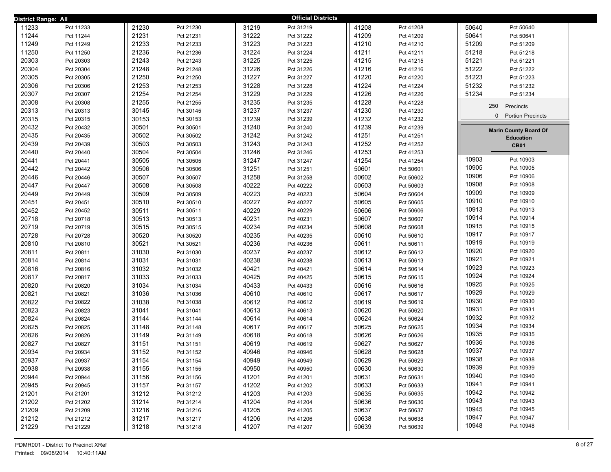| <b>District Range: All</b> |           |       |           |       | <b>Official Districts</b> |       |           |                               |  |
|----------------------------|-----------|-------|-----------|-------|---------------------------|-------|-----------|-------------------------------|--|
| 11233                      | Pct 11233 | 21230 | Pct 21230 | 31219 | Pct 31219                 | 41208 | Pct 41208 | 50640<br>Pct 50640            |  |
| 11244                      | Pct 11244 | 21231 | Pct 21231 | 31222 | Pct 31222                 | 41209 | Pct 41209 | 50641<br>Pct 50641            |  |
| 11249                      | Pct 11249 | 21233 | Pct 21233 | 31223 | Pct 31223                 | 41210 | Pct 41210 | 51209<br>Pct 51209            |  |
| 11250                      | Pct 11250 | 21236 | Pct 21236 | 31224 | Pct 31224                 | 41211 | Pct 41211 | 51218<br>Pct 51218            |  |
| 20303                      | Pct 20303 | 21243 | Pct 21243 | 31225 | Pct 31225                 | 41215 | Pct 41215 | 51221<br>Pct 51221            |  |
| 20304                      | Pct 20304 | 21248 | Pct 21248 | 31226 | Pct 31226                 | 41216 | Pct 41216 | 51222<br>Pct 51222            |  |
| 20305                      | Pct 20305 | 21250 | Pct 21250 | 31227 | Pct 31227                 | 41220 | Pct 41220 | 51223<br>Pct 51223            |  |
| 20306                      | Pct 20306 | 21253 | Pct 21253 | 31228 | Pct 31228                 | 41224 | Pct 41224 | 51232<br>Pct 51232            |  |
| 20307                      | Pct 20307 | 21254 | Pct 21254 | 31229 | Pct 31229                 | 41226 | Pct 41226 | 51234<br>Pct 51234            |  |
| 20308                      | Pct 20308 | 21255 | Pct 21255 | 31235 | Pct 31235                 | 41228 | Pct 41228 | 250<br>Precincts              |  |
| 20313                      | Pct 20313 | 30145 | Pct 30145 | 31237 | Pct 31237                 | 41230 | Pct 41230 |                               |  |
| 20315                      | Pct 20315 | 30153 | Pct 30153 | 31239 | Pct 31239                 | 41232 | Pct 41232 | <b>Portion Precincts</b><br>0 |  |
| 20432                      | Pct 20432 | 30501 | Pct 30501 | 31240 | Pct 31240                 | 41239 | Pct 41239 | <b>Marin County Board Of</b>  |  |
| 20435                      | Pct 20435 | 30502 | Pct 30502 | 31242 | Pct 31242                 | 41251 | Pct 41251 | <b>Education</b>              |  |
| 20439                      | Pct 20439 | 30503 | Pct 30503 | 31243 | Pct 31243                 | 41252 | Pct 41252 | <b>CB01</b>                   |  |
| 20440                      | Pct 20440 | 30504 | Pct 30504 | 31246 | Pct 31246                 | 41253 | Pct 41253 |                               |  |
| 20441                      | Pct 20441 | 30505 | Pct 30505 | 31247 | Pct 31247                 | 41254 | Pct 41254 | 10903<br>Pct 10903            |  |
| 20442                      | Pct 20442 | 30506 | Pct 30506 | 31251 | Pct 31251                 | 50601 | Pct 50601 | 10905<br>Pct 10905            |  |
| 20446                      | Pct 20446 | 30507 | Pct 30507 | 31258 | Pct 31258                 | 50602 | Pct 50602 | 10906<br>Pct 10906            |  |
| 20447                      | Pct 20447 | 30508 | Pct 30508 | 40222 | Pct 40222                 | 50603 | Pct 50603 | 10908<br>Pct 10908            |  |
| 20449                      | Pct 20449 | 30509 | Pct 30509 | 40223 | Pct 40223                 | 50604 | Pct 50604 | 10909<br>Pct 10909            |  |
| 20451                      | Pct 20451 | 30510 | Pct 30510 | 40227 | Pct 40227                 | 50605 | Pct 50605 | 10910<br>Pct 10910            |  |
| 20452                      | Pct 20452 | 30511 | Pct 30511 | 40229 | Pct 40229                 | 50606 | Pct 50606 | 10913<br>Pct 10913            |  |
| 20718                      | Pct 20718 | 30513 | Pct 30513 | 40231 | Pct 40231                 | 50607 | Pct 50607 | 10914<br>Pct 10914            |  |
| 20719                      | Pct 20719 | 30515 | Pct 30515 | 40234 | Pct 40234                 | 50608 | Pct 50608 | 10915<br>Pct 10915            |  |
| 20728                      | Pct 20728 | 30520 | Pct 30520 | 40235 | Pct 40235                 | 50610 | Pct 50610 | 10917<br>Pct 10917            |  |
| 20810                      | Pct 20810 | 30521 | Pct 30521 | 40236 | Pct 40236                 | 50611 | Pct 50611 | 10919<br>Pct 10919            |  |
| 20811                      | Pct 20811 | 31030 | Pct 31030 | 40237 | Pct 40237                 | 50612 | Pct 50612 | 10920<br>Pct 10920            |  |
| 20814                      | Pct 20814 | 31031 | Pct 31031 | 40238 | Pct 40238                 | 50613 | Pct 50613 | 10921<br>Pct 10921            |  |
| 20816                      | Pct 20816 | 31032 | Pct 31032 | 40421 | Pct 40421                 | 50614 | Pct 50614 | 10923<br>Pct 10923            |  |
| 20817                      | Pct 20817 | 31033 | Pct 31033 | 40425 | Pct 40425                 | 50615 | Pct 50615 | 10924<br>Pct 10924            |  |
| 20820                      | Pct 20820 | 31034 | Pct 31034 | 40433 | Pct 40433                 | 50616 | Pct 50616 | 10925<br>Pct 10925            |  |
| 20821                      | Pct 20821 | 31036 | Pct 31036 | 40610 | Pct 40610                 | 50617 | Pct 50617 | 10929<br>Pct 10929            |  |
| 20822                      | Pct 20822 | 31038 | Pct 31038 | 40612 | Pct 40612                 | 50619 | Pct 50619 | 10930<br>Pct 10930            |  |
| 20823                      | Pct 20823 | 31041 | Pct 31041 | 40613 | Pct 40613                 | 50620 | Pct 50620 | 10931<br>Pct 10931            |  |
| 20824                      | Pct 20824 | 31144 | Pct 31144 | 40614 | Pct 40614                 | 50624 | Pct 50624 | 10932<br>Pct 10932            |  |
| 20825                      | Pct 20825 | 31148 | Pct 31148 | 40617 | Pct 40617                 | 50625 | Pct 50625 | 10934<br>Pct 10934            |  |
| 20826                      | Pct 20826 | 31149 | Pct 31149 | 40618 | Pct 40618                 | 50626 | Pct 50626 | 10935<br>Pct 10935            |  |
| 20827                      | Pct 20827 | 31151 | Pct 31151 | 40619 | Pct 40619                 | 50627 | Pct 50627 | 10936<br>Pct 10936            |  |
| 20934                      | Pct 20934 | 31152 | Pct 31152 | 40946 | Pct 40946                 | 50628 | Pct 50628 | 10937<br>Pct 10937            |  |
| 20937                      | Pct 20937 | 31154 | Pct 31154 | 40949 | Pct 40949                 | 50629 | Pct 50629 | 10938<br>Pct 10938            |  |
| 20938                      | Pct 20938 | 31155 | Pct 31155 | 40950 | Pct 40950                 | 50630 | Pct 50630 | 10939<br>Pct 10939            |  |
| 20944                      | Pct 20944 | 31156 | Pct 31156 | 41201 | Pct 41201                 | 50631 | Pct 50631 | 10940<br>Pct 10940            |  |
| 20945                      | Pct 20945 | 31157 | Pct 31157 | 41202 | Pct 41202                 | 50633 | Pct 50633 | 10941<br>Pct 10941            |  |
| 21201                      | Pct 21201 | 31212 | Pct 31212 | 41203 | Pct 41203                 | 50635 | Pct 50635 | 10942<br>Pct 10942            |  |
| 21202                      | Pct 21202 | 31214 | Pct 31214 | 41204 | Pct 41204                 | 50636 | Pct 50636 | 10943<br>Pct 10943            |  |
| 21209                      | Pct 21209 | 31216 | Pct 31216 | 41205 | Pct 41205                 | 50637 | Pct 50637 | 10945<br>Pct 10945            |  |
| 21212                      | Pct 21212 | 31217 | Pct 31217 | 41206 | Pct 41206                 | 50638 | Pct 50638 | 10947<br>Pct 10947            |  |
| 21229                      | Pct 21229 | 31218 | Pct 31218 | 41207 | Pct 41207                 | 50639 | Pct 50639 | 10948<br>Pct 10948            |  |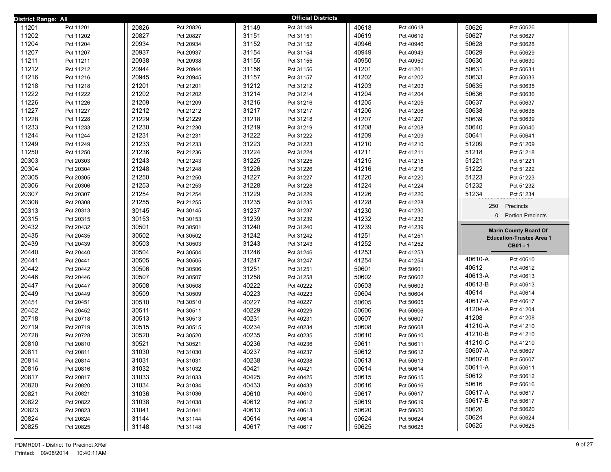| District Range: All |           |       |           |       | <b>Official Districts</b> |       |           |                    |                                 |
|---------------------|-----------|-------|-----------|-------|---------------------------|-------|-----------|--------------------|---------------------------------|
| 11201               | Pct 11201 | 20826 | Pct 20826 | 31149 | Pct 31149                 | 40618 | Pct 40618 | 50626              | Pct 50626                       |
| 11202               | Pct 11202 | 20827 | Pct 20827 | 31151 | Pct 31151                 | 40619 | Pct 40619 | 50627              | Pct 50627                       |
| 11204               | Pct 11204 | 20934 | Pct 20934 | 31152 | Pct 31152                 | 40946 | Pct 40946 | 50628              | Pct 50628                       |
| 11207               | Pct 11207 | 20937 | Pct 20937 | 31154 | Pct 31154                 | 40949 | Pct 40949 | 50629              | Pct 50629                       |
| 11211               | Pct 11211 | 20938 | Pct 20938 | 31155 | Pct 31155                 | 40950 | Pct 40950 | 50630              | Pct 50630                       |
| 11212               | Pct 11212 | 20944 | Pct 20944 | 31156 | Pct 31156                 | 41201 | Pct 41201 | 50631              | Pct 50631                       |
| 11216               | Pct 11216 | 20945 | Pct 20945 | 31157 | Pct 31157                 | 41202 | Pct 41202 | 50633              | Pct 50633                       |
| 11218               | Pct 11218 | 21201 | Pct 21201 | 31212 | Pct 31212                 | 41203 | Pct 41203 | 50635              | Pct 50635                       |
| 11222               | Pct 11222 | 21202 | Pct 21202 | 31214 | Pct 31214                 | 41204 | Pct 41204 | 50636              | Pct 50636                       |
| 11226               | Pct 11226 | 21209 | Pct 21209 | 31216 | Pct 31216                 | 41205 | Pct 41205 | 50637              | Pct 50637                       |
| 11227               | Pct 11227 | 21212 | Pct 21212 | 31217 | Pct 31217                 | 41206 | Pct 41206 | 50638              | Pct 50638                       |
| 11228               | Pct 11228 | 21229 | Pct 21229 | 31218 | Pct 31218                 | 41207 | Pct 41207 | 50639              | Pct 50639                       |
| 11233               | Pct 11233 | 21230 | Pct 21230 | 31219 | Pct 31219                 | 41208 | Pct 41208 | 50640              | Pct 50640                       |
| 11244               | Pct 11244 | 21231 | Pct 21231 | 31222 | Pct 31222                 | 41209 | Pct 41209 | 50641              | Pct 50641                       |
| 11249               | Pct 11249 | 21233 | Pct 21233 | 31223 | Pct 31223                 | 41210 | Pct 41210 | 51209              | Pct 51209                       |
| 11250               | Pct 11250 | 21236 | Pct 21236 | 31224 | Pct 31224                 | 41211 | Pct 41211 | 51218              | Pct 51218                       |
| 20303               | Pct 20303 | 21243 | Pct 21243 | 31225 | Pct 31225                 | 41215 | Pct 41215 | 51221              | Pct 51221                       |
| 20304               | Pct 20304 | 21248 | Pct 21248 | 31226 | Pct 31226                 | 41216 | Pct 41216 | 51222              | Pct 51222                       |
| 20305               | Pct 20305 | 21250 | Pct 21250 | 31227 | Pct 31227                 | 41220 | Pct 41220 | 51223              | Pct 51223                       |
| 20306               | Pct 20306 | 21253 | Pct 21253 | 31228 | Pct 31228                 | 41224 | Pct 41224 | 51232              | Pct 51232                       |
| 20307               | Pct 20307 | 21254 | Pct 21254 | 31229 | Pct 31229                 | 41226 | Pct 41226 | 51234              | Pct 51234                       |
| 20308               | Pct 20308 | 21255 | Pct 21255 | 31235 | Pct 31235                 | 41228 | Pct 41228 | 250                | Precincts                       |
| 20313               | Pct 20313 | 30145 | Pct 30145 | 31237 | Pct 31237                 | 41230 | Pct 41230 | $\mathbf{0}$       | <b>Portion Precincts</b>        |
| 20315               | Pct 20315 | 30153 | Pct 30153 | 31239 | Pct 31239                 | 41232 | Pct 41232 |                    |                                 |
| 20432               | Pct 20432 | 30501 | Pct 30501 | 31240 | Pct 31240                 | 41239 | Pct 41239 |                    | <b>Marin County Board Of</b>    |
| 20435               | Pct 20435 | 30502 | Pct 30502 | 31242 | Pct 31242                 | 41251 | Pct 41251 |                    | <b>Education-Trustee Area 1</b> |
| 20439               | Pct 20439 | 30503 | Pct 30503 | 31243 | Pct 31243                 | 41252 | Pct 41252 |                    | CB01 - 1                        |
| 20440               | Pct 20440 | 30504 | Pct 30504 | 31246 | Pct 31246                 | 41253 | Pct 41253 |                    |                                 |
| 20441               | Pct 20441 | 30505 | Pct 30505 | 31247 | Pct 31247                 | 41254 | Pct 41254 | 40610-A            | Pct 40610                       |
| 20442               | Pct 20442 | 30506 | Pct 30506 | 31251 | Pct 31251                 | 50601 | Pct 50601 | 40612              | Pct 40612                       |
| 20446               | Pct 20446 | 30507 | Pct 30507 | 31258 | Pct 31258                 | 50602 | Pct 50602 | 40613-A            | Pct 40613                       |
| 20447               | Pct 20447 | 30508 | Pct 30508 | 40222 | Pct 40222                 | 50603 | Pct 50603 | 40613-B            | Pct 40613                       |
| 20449               | Pct 20449 | 30509 | Pct 30509 | 40223 | Pct 40223                 | 50604 | Pct 50604 | 40614              | Pct 40614                       |
| 20451               | Pct 20451 | 30510 | Pct 30510 | 40227 | Pct 40227                 | 50605 | Pct 50605 | 40617-A            | Pct 40617                       |
| 20452               | Pct 20452 | 30511 | Pct 30511 | 40229 | Pct 40229                 | 50606 | Pct 50606 | 41204-A            | Pct 41204                       |
| 20718               | Pct 20718 | 30513 | Pct 30513 | 40231 | Pct 40231                 | 50607 | Pct 50607 | 41208              | Pct 41208                       |
| 20719               | Pct 20719 | 30515 | Pct 30515 | 40234 | Pct 40234                 | 50608 | Pct 50608 | 41210-A<br>41210-B | Pct 41210                       |
| 20728               | Pct 20728 | 30520 | Pct 30520 | 40235 | Pct 40235                 | 50610 | Pct 50610 | 41210-C            | Pct 41210                       |
| 20810               | Pct 20810 | 30521 | Pct 30521 | 40236 | Pct 40236                 | 50611 | Pct 50611 | 50607-A            | Pct 41210                       |
| 20811               | Pct 20811 | 31030 | Pct 31030 | 40237 | Pct 40237                 | 50612 | Pct 50612 | 50607-B            | Pct 50607                       |
| 20814               | Pct 20814 | 31031 | Pct 31031 | 40238 | Pct 40238                 | 50613 | Pct 50613 |                    | Pct 50607                       |
| 20816               | Pct 20816 | 31032 | Pct 31032 | 40421 | Pct 40421                 | 50614 | Pct 50614 | 50611-A<br>50612   | Pct 50611<br>Pct 50612          |
| 20817               | Pct 20817 | 31033 | Pct 31033 | 40425 | Pct 40425                 | 50615 | Pct 50615 | 50616              | Pct 50616                       |
| 20820               | Pct 20820 | 31034 | Pct 31034 | 40433 | Pct 40433                 | 50616 | Pct 50616 | 50617-A            | Pct 50617                       |
| 20821               | Pct 20821 | 31036 | Pct 31036 | 40610 | Pct 40610                 | 50617 | Pct 50617 | 50617-B            | Pct 50617                       |
| 20822               | Pct 20822 | 31038 | Pct 31038 | 40612 | Pct 40612                 | 50619 | Pct 50619 | 50620              | Pct 50620                       |
| 20823               | Pct 20823 | 31041 | Pct 31041 | 40613 | Pct 40613                 | 50620 | Pct 50620 | 50624              | Pct 50624                       |
| 20824               | Pct 20824 | 31144 | Pct 31144 | 40614 | Pct 40614                 | 50624 | Pct 50624 | 50625              | Pct 50625                       |
| 20825               | Pct 20825 | 31148 | Pct 31148 | 40617 | Pct 40617                 | 50625 | Pct 50625 |                    |                                 |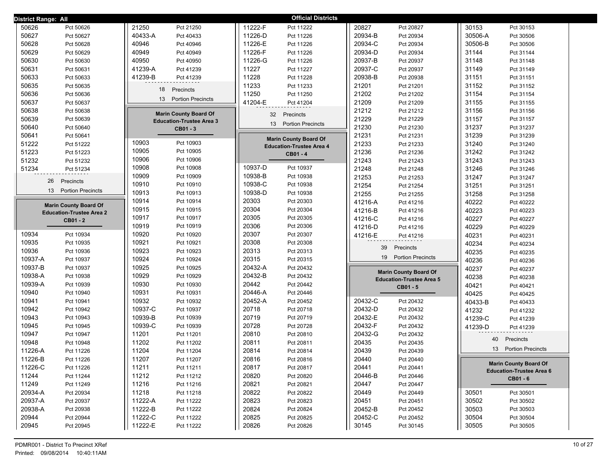| District Range: All               |                                 | <b>Official Districts</b>                |                                              |                                 |
|-----------------------------------|---------------------------------|------------------------------------------|----------------------------------------------|---------------------------------|
| 50626                             | 21250                           | 11222-F                                  | 20827                                        | 30153                           |
| Pct 50626                         | Pct 21250                       | Pct 11222                                | Pct 20827                                    | Pct 30153                       |
| 50627                             | 40433-A                         | 11226-D                                  | 20934-B                                      | 30506-A                         |
| Pct 50627                         | Pct 40433                       | Pct 11226                                | Pct 20934                                    | Pct 30506                       |
| 50628                             | 40946                           | 11226-E                                  | 20934-C                                      | 30506-B                         |
| Pct 50628                         | Pct 40946                       | Pct 11226                                | Pct 20934                                    | Pct 30506                       |
| 50629                             | 40949                           | 11226-F                                  | 20934-D                                      | 31144                           |
| Pct 50629                         | Pct 40949                       | Pct 11226                                | Pct 20934                                    | Pct 31144                       |
| 50630                             | 40950                           | 11226-G                                  | 20937-B                                      | 31148                           |
| Pct 50630                         | Pct 40950                       | Pct 11226                                | Pct 20937                                    | Pct 31148                       |
| 50631                             | 41239-A                         | 11227                                    | 20937-C                                      | 31149                           |
| Pct 50631                         | Pct 41239                       | Pct 11227                                | Pct 20937                                    | Pct 31149                       |
| 50633                             | 41239-B                         | 11228                                    | 20938-B                                      | 31151                           |
| Pct 50633                         | Pct 41239                       | Pct 11228                                | Pct 20938                                    | Pct 31151                       |
| 50635                             | 18                              | 11233                                    | 21201                                        | 31152                           |
| Pct 50635                         | Precincts                       | Pct 11233                                | Pct 21201                                    | Pct 31152                       |
| 50636                             |                                 | 11250                                    | 21202                                        | 31154                           |
| Pct 50636                         |                                 | Pct 11250                                | Pct 21202                                    | Pct 31154                       |
| 50637                             | 13                              | 41204-E                                  | 21209                                        | 31155                           |
| Pct 50637                         | <b>Portion Precincts</b>        | Pct 41204                                | Pct 21209                                    | Pct 31155                       |
| 50638                             | <b>Marin County Board Of</b>    | 32                                       | 21212                                        | 31156                           |
| Pct 50638                         |                                 | Precincts                                | Pct 21212                                    | Pct 31156                       |
| 50639<br>Pct 50639                | <b>Education-Trustee Area 3</b> |                                          | 21229<br>Pct 21229                           | 31157<br>Pct 31157              |
| 50640                             | CB01 - 3                        | 13                                       | 21230                                        | 31237                           |
| Pct 50640                         |                                 | <b>Portion Precincts</b>                 | Pct 21230                                    | Pct 31237                       |
| 50641<br>Pct 50641                |                                 | <b>Marin County Board Of</b>             | 21231<br>Pct 21231                           | 31239<br>Pct 31239              |
| 51222                             | 10903                           | <b>Education-Trustee Area 4</b>          | 21233                                        | 31240                           |
| Pct 51222                         | Pct 10903                       |                                          | Pct 21233                                    | Pct 31240                       |
| 51223                             | 10905                           | CB01 - 4                                 | 21236                                        | 31242                           |
| Pct 51223                         | Pct 10905                       |                                          | Pct 21236                                    | Pct 31242                       |
| 51232                             | 10906                           |                                          | 21243                                        | 31243                           |
| Pct 51232                         | Pct 10906                       |                                          | Pct 21243                                    | Pct 31243                       |
| 51234                             | 10908                           | 10937-D                                  | 21248                                        | 31246                           |
| Pct 51234                         | Pct 10908                       | Pct 10937                                | Pct 21248                                    | Pct 31246                       |
| Precincts                         | 10909                           | 10938-B                                  | 21253                                        | 31247                           |
| 26                                | Pct 10909                       | Pct 10938                                | Pct 21253                                    | Pct 31247                       |
|                                   | 10910                           | 10938-C                                  | 21254                                        | 31251                           |
|                                   | Pct 10910                       | Pct 10938                                | Pct 21254                                    | Pct 31251                       |
| 13                                | 10913                           | 10938-D                                  | 21255                                        | 31258                           |
| <b>Portion Precincts</b>          | Pct 10913                       | Pct 10938                                | Pct 21255                                    | Pct 31258                       |
| <b>Marin County Board Of</b>      | 10914                           | 20303                                    | 41216-A                                      | 40222                           |
|                                   | Pct 10914                       | Pct 20303                                | Pct 41216                                    | Pct 40222                       |
| <b>Education-Trustee Area 2</b>   | 10915                           | 20304                                    | 41216-B                                      | 40223                           |
|                                   | Pct 10915                       | Pct 20304                                | Pct 41216                                    | Pct 40223                       |
| CB01 - 2                          | 10917                           | 20305                                    | 41216-C                                      | 40227                           |
|                                   | Pct 10917                       | Pct 20305                                | Pct 41216                                    | Pct 40227                       |
|                                   | 10919                           | 20306                                    | 41216-D                                      | 40229                           |
|                                   | Pct 10919                       | Pct 20306                                | Pct 41216                                    | Pct 40229                       |
| 10934                             | 10920                           | 20307                                    | 41216-E                                      | 40231                           |
| Pct 10934                         | Pct 10920                       | Pct 20307                                | Pct 41216                                    | Pct 40231                       |
| 10935                             | 10921                           | 20308                                    | 39                                           | 40234                           |
| Pct 10935                         | Pct 10921                       | Pct 20308                                | Precincts                                    | Pct 40234                       |
| 10936                             | 10923                           | 20313                                    | 19 Portion Precincts                         | 40235                           |
| Pct 10936                         | Pct 10923                       | Pct 20313                                |                                              | Pct 40235                       |
| 10937-A                           | 10924                           | 20315                                    |                                              | 40236                           |
| Pct 10937                         | Pct 10924                       | Pct 20315                                |                                              | Pct 40236                       |
| 10937-B                           | 10925                           | 20432-A                                  | <b>Marin County Board Of</b>                 | 40237                           |
| Pct 10937                         | Pct 10925                       | Pct 20432                                |                                              | Pct 40237                       |
| 10938-A                           | 10929                           | 20432-B                                  | <b>Education-Trustee Area 5</b>              | 40238                           |
| Pct 10938                         | Pct 10929                       | Pct 20432                                |                                              | Pct 40238                       |
| 10939-A                           | 10930                           | 20442                                    | CB01 - 5                                     | 40421                           |
| Pct 10939                         | Pct 10930                       | Pct 20442                                |                                              | Pct 40421                       |
| 10940                             | 10931                           | 20446-A                                  |                                              | 40425                           |
| Pct 10940                         | Pct 10931                       | Pct 20446                                |                                              | Pct 40425                       |
| 10941                             | 10932                           | 20452-A                                  | 20432-C                                      | 40433-B                         |
| Pct 10941                         | Pct 10932                       | Pct 20452                                | Pct 20432                                    | Pct 40433                       |
| 10942                             | 10937-C                         | 20718                                    | 20432-D                                      | 41232                           |
| Pct 10942                         | Pct 10937                       | Pct 20718                                | Pct 20432                                    | Pct 41232                       |
| 10943<br>Pct 10943<br>10945       | 10939-B<br>Pct 10939<br>10939-C | 20719<br>Pct 20719<br>20728<br>Pct 20728 | 20432-E<br>Pct 20432<br>20432-F<br>Pct 20432 | 41239-C<br>Pct 41239            |
| Pct 10945<br>10947                | Pct 10939<br>11201              | 20810                                    | 20432-G                                      | 41239-D<br>Pct 41239            |
| Pct 10947                         | Pct 11201                       | Pct 20810                                | Pct 20432                                    | 40                              |
| 10948                             | 11202                           | 20811                                    | 20435                                        | Precincts                       |
| Pct 10948<br>11226-A<br>Pct 11226 | Pct 11202<br>11204              | Pct 20811<br>20814<br>Pct 20814          | Pct 20435<br>20439<br>Pct 20439              | 13 Portion Precincts            |
|                                   | Pct 11204                       |                                          |                                              |                                 |
| 11226-B                           | 11207                           | 20816                                    | 20440                                        | <b>Marin County Board Of</b>    |
| Pct 11226                         | Pct 11207                       | Pct 20816                                | Pct 20440                                    |                                 |
| 11226-C                           | 11211                           | 20817                                    | 20441                                        |                                 |
| Pct 11226                         | Pct 11211                       | Pct 20817                                | Pct 20441                                    |                                 |
| 11244                             | 11212                           | 20820                                    | 20446-B                                      | <b>Education-Trustee Area 6</b> |
| Pct 11244                         | Pct 11212                       | Pct 20820                                | Pct 20446                                    |                                 |
| 11249                             | 11216                           | 20821                                    | 20447                                        | CB01 - 6                        |
| Pct 11249                         | Pct 11216                       | Pct 20821                                | Pct 20447                                    |                                 |
| 20934-A                           | 11218                           | 20822                                    | 20449                                        | 30501                           |
| Pct 20934                         | Pct 11218                       | Pct 20822                                | Pct 20449                                    | Pct 30501                       |
| 20937-A                           | 11222-A                         | 20823                                    | 20451                                        | 30502                           |
| Pct 20937                         | Pct 11222                       | Pct 20823                                | Pct 20451                                    | Pct 30502                       |
| 20938-A                           | 11222-B                         | 20824                                    | 20452-B                                      | 30503                           |
| Pct 20938                         | Pct 11222                       | Pct 20824                                | Pct 20452                                    | Pct 30503                       |
| 20944                             | 11222-C                         | 20825                                    | 20452-C                                      | 30504                           |
| Pct 20944                         | Pct 11222                       | Pct 20825                                | Pct 20452                                    | Pct 30504                       |
| 20945                             | 11222-E                         | 20826                                    | 30145                                        | 30505                           |
| Pct 20945                         | Pct 11222                       | Pct 20826                                | Pct 30145                                    | Pct 30505                       |
|                                   |                                 |                                          |                                              |                                 |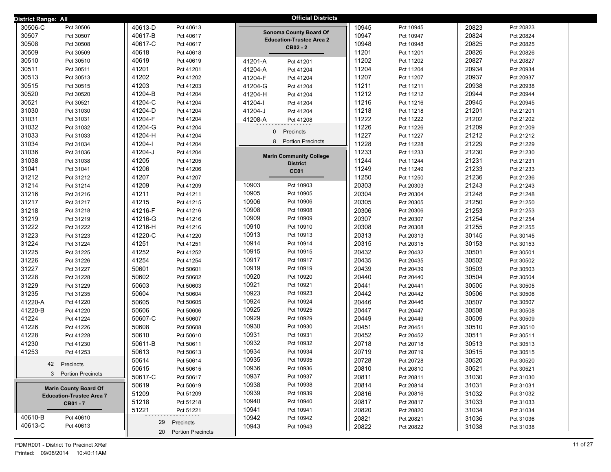| <b>District Range: All</b> |                                 |         |                      |              | <b>Official Districts</b>                   |       |           |       |           |
|----------------------------|---------------------------------|---------|----------------------|--------------|---------------------------------------------|-------|-----------|-------|-----------|
| 30506-C                    | Pct 30506                       | 40613-D | Pct 40613            |              |                                             | 10945 | Pct 10945 | 20823 | Pct 20823 |
| 30507                      | Pct 30507                       | 40617-B | Pct 40617            |              | <b>Sonoma County Board Of</b>               | 10947 | Pct 10947 | 20824 | Pct 20824 |
| 30508                      | Pct 30508                       | 40617-C | Pct 40617            |              | <b>Education-Trustee Area 2</b><br>CB02 - 2 | 10948 | Pct 10948 | 20825 | Pct 20825 |
| 30509                      | Pct 30509                       | 40618   | Pct 40618            |              |                                             | 11201 | Pct 11201 | 20826 | Pct 20826 |
| 30510                      | Pct 30510                       | 40619   | Pct 40619            | 41201-A      | Pct 41201                                   | 11202 | Pct 11202 | 20827 | Pct 20827 |
| 30511                      | Pct 30511                       | 41201   | Pct 41201            | 41204-A      | Pct 41204                                   | 11204 | Pct 11204 | 20934 | Pct 20934 |
| 30513                      | Pct 30513                       | 41202   | Pct 41202            | 41204-F      | Pct 41204                                   | 11207 | Pct 11207 | 20937 | Pct 20937 |
| 30515                      | Pct 30515                       | 41203   | Pct 41203            | 41204-G      | Pct 41204                                   | 11211 | Pct 11211 | 20938 | Pct 20938 |
| 30520                      | Pct 30520                       | 41204-B | Pct 41204            | 41204-H      | Pct 41204                                   | 11212 | Pct 11212 | 20944 | Pct 20944 |
| 30521                      | Pct 30521                       | 41204-C | Pct 41204            | 41204-l      | Pct 41204                                   | 11216 | Pct 11216 | 20945 | Pct 20945 |
| 31030                      | Pct 31030                       | 41204-D | Pct 41204            | 41204-J      | Pct 41204                                   | 11218 | Pct 11218 | 21201 | Pct 21201 |
| 31031                      | Pct 31031                       | 41204-F | Pct 41204            | 41208-A      | Pct 41208                                   | 11222 | Pct 11222 | 21202 | Pct 21202 |
| 31032                      | Pct 31032                       | 41204-G | Pct 41204            | $\mathbf{0}$ |                                             | 11226 | Pct 11226 | 21209 | Pct 21209 |
| 31033                      | Pct 31033                       | 41204-H | Pct 41204            |              | Precincts                                   | 11227 | Pct 11227 | 21212 | Pct 21212 |
| 31034                      | Pct 31034                       | 41204-l | Pct 41204            | 8            | <b>Portion Precincts</b>                    | 11228 | Pct 11228 | 21229 | Pct 21229 |
| 31036                      | Pct 31036                       | 41204-J | Pct 41204            |              | <b>Marin Community College</b>              | 11233 | Pct 11233 | 21230 | Pct 21230 |
| 31038                      | Pct 31038                       | 41205   | Pct 41205            |              | <b>District</b>                             | 11244 | Pct 11244 | 21231 | Pct 21231 |
| 31041                      | Pct 31041                       | 41206   | Pct 41206            |              | CC01                                        | 11249 | Pct 11249 | 21233 | Pct 21233 |
| 31212                      | Pct 31212                       | 41207   | Pct 41207            |              |                                             | 11250 | Pct 11250 | 21236 | Pct 21236 |
| 31214                      | Pct 31214                       | 41209   | Pct 41209            | 10903        | Pct 10903                                   | 20303 | Pct 20303 | 21243 | Pct 21243 |
| 31216                      | Pct 31216                       | 41211   | Pct 41211            | 10905        | Pct 10905                                   | 20304 | Pct 20304 | 21248 | Pct 21248 |
| 31217                      | Pct 31217                       | 41215   | Pct 41215            | 10906        | Pct 10906                                   | 20305 | Pct 20305 | 21250 | Pct 21250 |
| 31218                      | Pct 31218                       | 41216-F | Pct 41216            | 10908        | Pct 10908                                   | 20306 | Pct 20306 | 21253 | Pct 21253 |
| 31219                      | Pct 31219                       | 41216-G | Pct 41216            | 10909        | Pct 10909                                   | 20307 | Pct 20307 | 21254 | Pct 21254 |
| 31222                      | Pct 31222                       | 41216-H | Pct 41216            | 10910        | Pct 10910                                   | 20308 | Pct 20308 | 21255 | Pct 21255 |
| 31223                      | Pct 31223                       | 41220-C | Pct 41220            | 10913        | Pct 10913                                   | 20313 | Pct 20313 | 30145 | Pct 30145 |
| 31224                      | Pct 31224                       | 41251   | Pct 41251            | 10914        | Pct 10914                                   | 20315 | Pct 20315 | 30153 | Pct 30153 |
| 31225                      | Pct 31225                       | 41252   | Pct 41252            | 10915        | Pct 10915                                   | 20432 | Pct 20432 | 30501 | Pct 30501 |
| 31226                      | Pct 31226                       | 41254   | Pct 41254            | 10917        | Pct 10917                                   | 20435 | Pct 20435 | 30502 | Pct 30502 |
| 31227                      | Pct 31227                       | 50601   | Pct 50601            | 10919        | Pct 10919                                   | 20439 | Pct 20439 | 30503 | Pct 30503 |
| 31228                      | Pct 31228                       | 50602   | Pct 50602            | 10920        | Pct 10920                                   | 20440 | Pct 20440 | 30504 | Pct 30504 |
| 31229                      | Pct 31229                       | 50603   | Pct 50603            | 10921        | Pct 10921                                   | 20441 | Pct 20441 | 30505 | Pct 30505 |
| 31235                      | Pct 31235                       | 50604   | Pct 50604            | 10923        | Pct 10923                                   | 20442 | Pct 20442 | 30506 | Pct 30506 |
| 41220-A                    | Pct 41220                       | 50605   | Pct 50605            | 10924        | Pct 10924                                   | 20446 | Pct 20446 | 30507 | Pct 30507 |
| 41220-B                    | Pct 41220                       | 50606   | Pct 50606            | 10925        | Pct 10925                                   | 20447 | Pct 20447 | 30508 | Pct 30508 |
| 41224                      | Pct 41224                       | 50607-C | Pct 50607            | 10929        | Pct 10929                                   | 20449 | Pct 20449 | 30509 | Pct 30509 |
| 41226                      | Pct 41226                       | 50608   | Pct 50608            | 10930        | Pct 10930                                   | 20451 | Pct 20451 | 30510 | Pct 30510 |
| 41228                      | Pct 41228                       | 50610   | Pct 50610            | 10931        | Pct 10931                                   | 20452 | Pct 20452 | 30511 | Pct 30511 |
| 41230                      | Pct 41230                       | 50611-B | Pct 50611            | 10932        | Pct 10932                                   | 20718 | Pct 20718 | 30513 | Pct 30513 |
| 41253                      | Pct 41253                       | 50613   | Pct 50613            | 10934        | Pct 10934                                   | 20719 | Pct 20719 | 30515 | Pct 30515 |
|                            | 42 Precincts                    | 50614   | Pct 50614            | 10935        | Pct 10935                                   | 20728 | Pct 20728 | 30520 | Pct 30520 |
|                            | 3 Portion Precincts             | 50615   | Pct 50615            | 10936        | Pct 10936                                   | 20810 | Pct 20810 | 30521 | Pct 30521 |
|                            |                                 | 50617-C | Pct 50617            | 10937        | Pct 10937                                   | 20811 | Pct 20811 | 31030 | Pct 31030 |
|                            | <b>Marin County Board Of</b>    | 50619   | Pct 50619            | 10938        | Pct 10938                                   | 20814 | Pct 20814 | 31031 | Pct 31031 |
|                            | <b>Education-Trustee Area 7</b> | 51209   | Pct 51209            | 10939        | Pct 10939                                   | 20816 | Pct 20816 | 31032 | Pct 31032 |
|                            | CB01 - 7                        | 51218   | Pct 51218            | 10940        | Pct 10940                                   | 20817 | Pct 20817 | 31033 | Pct 31033 |
| 40610-B                    | Pct 40610                       | 51221   | Pct 51221            | 10941        | Pct 10941                                   | 20820 | Pct 20820 | 31034 | Pct 31034 |
| 40613-C                    | Pct 40613                       | 29      | Precincts            | 10942        | Pct 10942                                   | 20821 | Pct 20821 | 31036 | Pct 31036 |
|                            |                                 |         | 20 Portion Precincts | 10943        | Pct 10943                                   | 20822 | Pct 20822 | 31038 | Pct 31038 |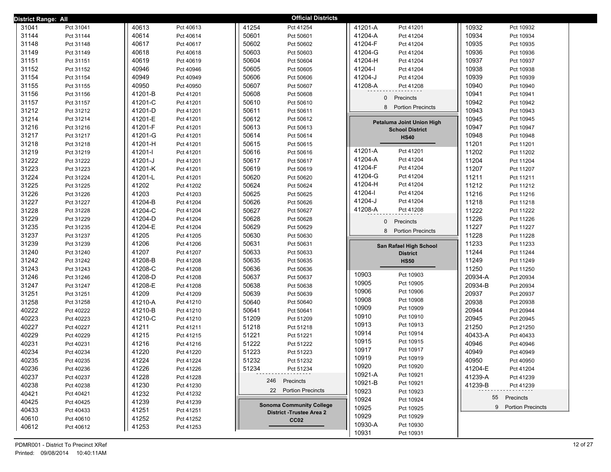| District Range: All |           |         |           | <b>Official Districts</b>       |                                            |                      |
|---------------------|-----------|---------|-----------|---------------------------------|--------------------------------------------|----------------------|
| 31041               | Pct 31041 | 40613   | Pct 40613 | 41254<br>Pct 41254              | 41201-A<br>Pct 41201                       | 10932<br>Pct 10932   |
| 31144               | Pct 31144 | 40614   | Pct 40614 | 50601<br>Pct 50601              | 41204-A<br>Pct 41204                       | 10934<br>Pct 10934   |
| 31148               | Pct 31148 | 40617   | Pct 40617 | 50602<br>Pct 50602              | 41204-F<br>Pct 41204                       | 10935<br>Pct 10935   |
| 31149               | Pct 31149 | 40618   | Pct 40618 | 50603<br>Pct 50603              | 41204-G<br>Pct 41204                       | 10936<br>Pct 10936   |
| 31151               | Pct 31151 | 40619   | Pct 40619 | 50604<br>Pct 50604              | 41204-H<br>Pct 41204                       | 10937<br>Pct 10937   |
| 31152               | Pct 31152 | 40946   | Pct 40946 | 50605<br>Pct 50605              | 41204-l<br>Pct 41204                       | 10938<br>Pct 10938   |
| 31154               | Pct 31154 | 40949   | Pct 40949 | 50606<br>Pct 50606              | 41204-J<br>Pct 41204                       | 10939<br>Pct 10939   |
| 31155               | Pct 31155 | 40950   | Pct 40950 | 50607<br>Pct 50607              | 41208-A<br>Pct 41208                       | 10940<br>Pct 10940   |
| 31156               | Pct 31156 | 41201-B | Pct 41201 | 50608<br>Pct 50608              | Precincts<br>0                             | 10941<br>Pct 10941   |
| 31157               | Pct 31157 | 41201-C | Pct 41201 | 50610<br>Pct 50610              |                                            | 10942<br>Pct 10942   |
| 31212               | Pct 31212 | 41201-D | Pct 41201 | 50611<br>Pct 50611              | 8<br><b>Portion Precincts</b>              | 10943<br>Pct 10943   |
| 31214               | Pct 31214 | 41201-E | Pct 41201 | 50612<br>Pct 50612              | Petaluma Joint Union High                  | 10945<br>Pct 10945   |
| 31216               | Pct 31216 | 41201-F | Pct 41201 | 50613<br>Pct 50613              | <b>School District</b>                     | 10947<br>Pct 10947   |
| 31217               | Pct 31217 | 41201-G | Pct 41201 | 50614<br>Pct 50614              | <b>HS40</b>                                | 10948<br>Pct 10948   |
| 31218               | Pct 31218 | 41201-H | Pct 41201 | 50615<br>Pct 50615              |                                            | 11201<br>Pct 11201   |
| 31219               | Pct 31219 | 41201-l | Pct 41201 | 50616<br>Pct 50616              | 41201-A<br>Pct 41201                       | 11202<br>Pct 11202   |
| 31222               | Pct 31222 | 41201-J | Pct 41201 | 50617<br>Pct 50617              | 41204-A<br>Pct 41204                       | 11204<br>Pct 11204   |
| 31223               | Pct 31223 | 41201-K | Pct 41201 | 50619<br>Pct 50619              | 41204-F<br>Pct 41204                       | 11207<br>Pct 11207   |
| 31224               | Pct 31224 | 41201-L | Pct 41201 | 50620<br>Pct 50620              | 41204-G<br>Pct 41204                       | 11211<br>Pct 11211   |
| 31225               | Pct 31225 | 41202   | Pct 41202 | 50624<br>Pct 50624              | 41204-H<br>Pct 41204                       | 11212<br>Pct 11212   |
| 31226               | Pct 31226 | 41203   | Pct 41203 | 50625<br>Pct 50625              | 41204-l<br>Pct 41204                       | 11216<br>Pct 11216   |
| 31227               | Pct 31227 | 41204-B | Pct 41204 | 50626<br>Pct 50626              | 41204-J<br>Pct 41204                       | 11218<br>Pct 11218   |
| 31228               | Pct 31228 | 41204-C | Pct 41204 | 50627<br>Pct 50627              | 41208-A<br>Pct 41208                       | 11222<br>Pct 11222   |
| 31229               | Pct 31229 | 41204-D | Pct 41204 | 50628<br>Pct 50628              | 0<br>Precincts                             | 11226<br>Pct 11226   |
| 31235               | Pct 31235 | 41204-E | Pct 41204 | 50629<br>Pct 50629              | 8 Portion Precincts                        | 11227<br>Pct 11227   |
| 31237               | Pct 31237 | 41205   | Pct 41205 | 50630<br>Pct 50630              |                                            | 11228<br>Pct 11228   |
| 31239               | Pct 31239 | 41206   | Pct 41206 | 50631<br>Pct 50631              | San Rafael High School                     | 11233<br>Pct 11233   |
| 31240               | Pct 31240 | 41207   | Pct 41207 | 50633<br>Pct 50633              | <b>District</b>                            | 11244<br>Pct 11244   |
| 31242               | Pct 31242 | 41208-B | Pct 41208 | 50635<br>Pct 50635              | <b>HS50</b>                                | 11249<br>Pct 11249   |
| 31243               | Pct 31243 | 41208-C | Pct 41208 | 50636<br>Pct 50636              |                                            | 11250<br>Pct 11250   |
| 31246               | Pct 31246 | 41208-D | Pct 41208 | 50637<br>Pct 50637              | 10903<br>Pct 10903                         | 20934-A<br>Pct 20934 |
| 31247               | Pct 31247 | 41208-E | Pct 41208 | 50638<br>Pct 50638              | 10905<br>Pct 10905<br>10906                | 20934-B<br>Pct 20934 |
| 31251               | Pct 31251 | 41209   | Pct 41209 | 50639<br>Pct 50639              | Pct 10906                                  | 20937<br>Pct 20937   |
| 31258               | Pct 31258 | 41210-A | Pct 41210 | 50640<br>Pct 50640              | 10908<br>Pct 10908                         | 20938<br>Pct 20938   |
| 40222               | Pct 40222 | 41210-B | Pct 41210 | 50641<br>Pct 50641              | 10909<br>Pct 10909<br>10910                | 20944<br>Pct 20944   |
| 40223               | Pct 40223 | 41210-C | Pct 41210 | 51209<br>Pct 51209              | Pct 10910<br>10913<br>Pct 10913            | 20945<br>Pct 20945   |
| 40227               | Pct 40227 | 41211   | Pct 41211 | 51218<br>Pct 51218              | 10914<br>Pct 10914                         | 21250<br>Pct 21250   |
| 40229               | Pct 40229 | 41215   | Pct 41215 | 51221<br>Pct 51221              | 10915<br>Pct 10915                         | 40433-A<br>Pct 40433 |
| 40231               | Pct 40231 | 41216   | Pct 41216 | 51222<br>Pct 51222              | 10917                                      | 40946<br>Pct 40946   |
| 40234               | Pct 40234 | 41220   | Pct 41220 | 51223<br>Pct 51223              | Pct 10917<br>10919<br>Pct 10919            | 40949<br>Pct 40949   |
| 40235               | Pct 40235 | 41224   | Pct 41224 | 51232<br>Pct 51232              |                                            | 40950<br>Pct 40950   |
| 40236               | Pct 40236 | 41226   | Pct 41226 | 51234<br>Pct 51234              | 10920<br>Pct 10920<br>10921-A<br>Pct 10921 | 41204-E<br>Pct 41204 |
| 40237               | Pct 40237 | 41228   | Pct 41228 | 246 Precincts                   | 10921-B<br>Pct 10921                       | 41239-A<br>Pct 41239 |
| 40238               | Pct 40238 | 41230   | Pct 41230 | 22 Portion Precincts            | 10923                                      | 41239-B<br>Pct 41239 |
| 40421               | Pct 40421 | 41232   | Pct 41232 |                                 | Pct 10923<br>10924                         | 55 Precincts         |
| 40425               | Pct 40425 | 41239   | Pct 41239 | <b>Sonoma Community College</b> | Pct 10924<br>10925<br>Pct 10925            | 9 Portion Precincts  |
| 40433               | Pct 40433 | 41251   | Pct 41251 | <b>District -Trustee Area 2</b> | 10929<br>Pct 10929                         |                      |
| 40610               | Pct 40610 | 41252   | Pct 41252 | CC <sub>02</sub>                | 10930-A<br>Pct 10930                       |                      |
| 40612               | Pct 40612 | 41253   | Pct 41253 |                                 | 10931<br>Pct 10931                         |                      |
|                     |           |         |           |                                 |                                            |                      |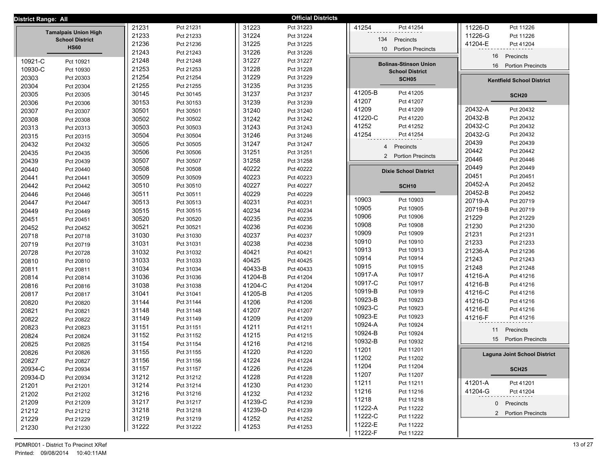| District Range: All |                                       |                |                        |                    | <b>Official Districts</b> |                                             |                                     |
|---------------------|---------------------------------------|----------------|------------------------|--------------------|---------------------------|---------------------------------------------|-------------------------------------|
|                     |                                       | 21231          | Pct 21231              | 31223              | Pct 31223                 | 41254<br>Pct 41254                          | 11226-D<br>Pct 11226                |
|                     | <b>Tamalpais Union High</b>           | 21233          | Pct 21233              | 31224              | Pct 31224                 |                                             | 11226-G<br>Pct 11226                |
|                     | <b>School District</b><br><b>HS60</b> | 21236          | Pct 21236              | 31225              | Pct 31225                 | Precincts<br>134                            | 41204-E<br>Pct 41204                |
|                     |                                       | 21243          | Pct 21243              | 31226              | Pct 31226                 | 10 <sup>1</sup><br><b>Portion Precincts</b> | 16<br>Precincts                     |
| 10921-C             | Pct 10921                             | 21248          | Pct 21248              | 31227              | Pct 31227                 | <b>Bolinas-Stinson Union</b>                |                                     |
| 10930-C             | Pct 10930                             | 21253          | Pct 21253              | 31228              | Pct 31228                 | <b>School District</b>                      | <b>Portion Precincts</b><br>16      |
| 20303               | Pct 20303                             | 21254          | Pct 21254              | 31229              | Pct 31229                 | SCH <sub>05</sub>                           | <b>Kentfield School District</b>    |
| 20304               | Pct 20304                             | 21255          | Pct 21255              | 31235              | Pct 31235                 |                                             |                                     |
| 20305               | Pct 20305                             | 30145          | Pct 30145              | 31237              | Pct 31237                 | 41205-B<br>Pct 41205                        | <b>SCH20</b>                        |
| 20306               | Pct 20306                             | 30153          | Pct 30153              | 31239              | Pct 31239                 | 41207<br>Pct 41207                          |                                     |
| 20307               | Pct 20307                             | 30501          | Pct 30501              | 31240              | Pct 31240                 | 41209<br>Pct 41209                          | 20432-A<br>Pct 20432                |
| 20308               | Pct 20308                             | 30502          | Pct 30502              | 31242              | Pct 31242                 | 41220-C<br>Pct 41220                        | 20432-B<br>Pct 20432                |
| 20313               | Pct 20313                             | 30503          | Pct 30503              | 31243              | Pct 31243                 | 41252<br>Pct 41252                          | 20432-C<br>Pct 20432                |
| 20315               | Pct 20315                             | 30504          | Pct 30504              | 31246              | Pct 31246                 | 41254<br>Pct 41254                          | 20432-G<br>Pct 20432                |
| 20432               | Pct 20432                             | 30505          | Pct 30505              | 31247              | Pct 31247                 | Precincts<br>$\overline{4}$                 | 20439<br>Pct 20439                  |
| 20435               | Pct 20435                             | 30506          | Pct 30506              | 31251              | Pct 31251                 | 2 Portion Precincts                         | 20442<br>Pct 20442                  |
| 20439               | Pct 20439                             | 30507          | Pct 30507              | 31258              | Pct 31258                 |                                             | 20446<br>Pct 20446                  |
| 20440               | Pct 20440                             | 30508          | Pct 30508              | 40222              | Pct 40222                 | <b>Dixie School District</b>                | 20449<br>Pct 20449                  |
| 20441               | Pct 20441                             | 30509          | Pct 30509              | 40223              | Pct 40223                 |                                             | 20451<br>Pct 20451                  |
| 20442               | Pct 20442                             | 30510          | Pct 30510              | 40227              | Pct 40227                 | SCH <sub>10</sub>                           | 20452-A<br>Pct 20452                |
| 20446               | Pct 20446                             | 30511          | Pct 30511              | 40229              | Pct 40229                 | 10903<br>Pct 10903                          | 20452-B<br>Pct 20452                |
| 20447               | Pct 20447                             | 30513          | Pct 30513              | 40231              | Pct 40231                 | 10905<br>Pct 10905                          | 20719-A<br>Pct 20719                |
| 20449               | Pct 20449                             | 30515          | Pct 30515              | 40234              | Pct 40234                 | 10906<br>Pct 10906                          | 20719-B<br>Pct 20719                |
| 20451               | Pct 20451                             | 30520          | Pct 30520              | 40235              | Pct 40235                 | 10908<br>Pct 10908                          | 21229<br>Pct 21229                  |
| 20452               | Pct 20452                             | 30521          | Pct 30521              | 40236              | Pct 40236                 | 10909<br>Pct 10909                          | 21230<br>Pct 21230                  |
| 20718               | Pct 20718                             | 31030          | Pct 31030              | 40237              | Pct 40237                 | 10910<br>Pct 10910                          | 21231<br>Pct 21231                  |
| 20719               | Pct 20719                             | 31031          | Pct 31031              | 40238              | Pct 40238                 | 10913<br>Pct 10913                          | 21233<br>Pct 21233<br>21236-A       |
| 20728               | Pct 20728                             | 31032          | Pct 31032              | 40421              | Pct 40421                 | 10914<br>Pct 10914                          | Pct 21236<br>21243<br>Pct 21243     |
| 20810               | Pct 20810                             | 31033          | Pct 31033              | 40425              | Pct 40425                 | 10915<br>Pct 10915                          | 21248<br>Pct 21248                  |
| 20811               | Pct 20811                             | 31034          | Pct 31034              | 40433-B            | Pct 40433                 | 10917-A<br>Pct 10917                        | 41216-A<br>Pct 41216                |
| 20814               | Pct 20814                             | 31036          | Pct 31036              | 41204-B            | Pct 41204                 | 10917-C<br>Pct 10917                        | 41216-B<br>Pct 41216                |
| 20816               | Pct 20816                             | 31038          | Pct 31038              | 41204-C<br>41205-B | Pct 41204                 | 10919-B<br>Pct 10919                        | 41216-C<br>Pct 41216                |
| 20817               | Pct 20817                             | 31041          | Pct 31041              |                    | Pct 41205                 | 10923-B<br>Pct 10923                        | 41216-D<br>Pct 41216                |
| 20820               | Pct 20820                             | 31144<br>31148 | Pct 31144              | 41206<br>41207     | Pct 41206<br>Pct 41207    | 10923-C<br>Pct 10923                        | 41216-E<br>Pct 41216                |
| 20821               | Pct 20821                             | 31149          | Pct 31148              | 41209              | Pct 41209                 | 10923-E<br>Pct 10923                        | 41216-F<br>Pct 41216                |
| 20822<br>20823      | Pct 20822                             | 31151          | Pct 31149<br>Pct 31151 | 41211              | Pct 41211                 | 10924-A<br>Pct 10924                        |                                     |
| 20824               | Pct 20823                             | 31152          | Pct 31152              | 41215              | Pct 41215                 | 10924-B<br>Pct 10924                        | Precincts<br>11                     |
| 20825               | Pct 20824                             | 31154          | Pct 31154              | 41216              | Pct 41216                 | 10932-B<br>Pct 10932                        | 15 Portion Precincts                |
| 20826               | Pct 20825<br>Pct 20826                | 31155          | Pct 31155              | 41220              | Pct 41220                 | 11201<br>Pct 11201                          |                                     |
| 20827               | Pct 20827                             | 31156          | Pct 31156              | 41224              | Pct 41224                 | 11202<br>Pct 11202                          | <b>Laguna Joint School District</b> |
| 20934-C             | Pct 20934                             | 31157          | Pct 31157              | 41226              | Pct 41226                 | 11204<br>Pct 11204                          | <b>SCH25</b>                        |
| 20934-D             | Pct 20934                             | 31212          | Pct 31212              | 41228              | Pct 41228                 | 11207<br>Pct 11207                          |                                     |
| 21201               | Pct 21201                             | 31214          | Pct 31214              | 41230              | Pct 41230                 | 11211<br>Pct 11211                          | 41201-A<br>Pct 41201                |
| 21202               | Pct 21202                             | 31216          | Pct 31216              | 41232              | Pct 41232                 | 11216<br>Pct 11216                          | 41204-G<br>Pct 41204                |
| 21209               | Pct 21209                             | 31217          | Pct 31217              | 41239-C            | Pct 41239                 | 11218<br>Pct 11218                          | 0 Precincts                         |
| 21212               | Pct 21212                             | 31218          | Pct 31218              | 41239-D            | Pct 41239                 | 11222-A<br>Pct 11222                        |                                     |
| 21229               | Pct 21229                             | 31219          | Pct 31219              | 41252              | Pct 41252                 | 11222-C<br>Pct 11222                        | 2 Portion Precincts                 |
| 21230               | Pct 21230                             | 31222          | Pct 31222              | 41253              | Pct 41253                 | 11222-E<br>Pct 11222                        |                                     |
|                     |                                       |                |                        |                    |                           | 11222-F<br>Pct 11222                        |                                     |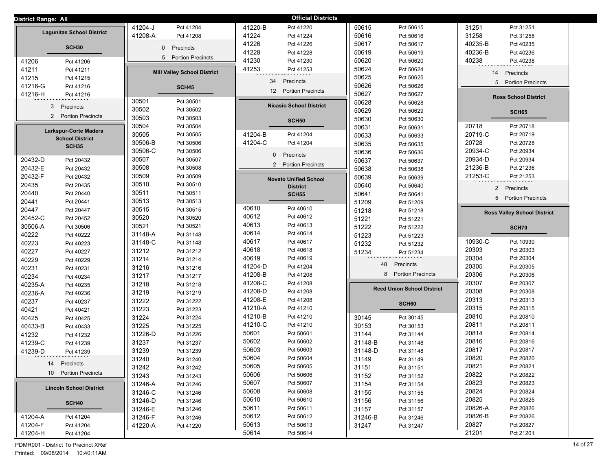| District Range: All              |                                          | <b>Official Districts</b>       |                                          |                                    |
|----------------------------------|------------------------------------------|---------------------------------|------------------------------------------|------------------------------------|
|                                  | 41204-J                                  | 41220-B                         | 50615                                    | 31251                              |
|                                  | Pct 41204                                | Pct 41220                       | Pct 50615                                | Pct 31251                          |
| <b>Lagunitas School District</b> | 41208-A                                  | 41224                           | 50616                                    | 31258                              |
|                                  | Pct 41208                                | Pct 41224                       | Pct 50616                                | Pct 31258                          |
| SCH <sub>30</sub>                | $\mathbf 0$                              | 41226                           | 50617                                    | 40235-B                            |
|                                  | Precincts                                | Pct 41226                       | Pct 50617                                | Pct 40235                          |
|                                  |                                          | 41228<br>Pct 41228              | 50619<br>Pct 50619                       | 40236-B<br>Pct 40236               |
| 41206                            | 5                                        | 41230                           | 50620                                    | 40238                              |
| Pct 41206                        | <b>Portion Precincts</b>                 | Pct 41230                       | Pct 50620                                | Pct 40238                          |
| 41211                            | <b>Mill Valley School District</b>       | 41253                           | 50624                                    | Precincts                          |
| Pct 41211                        |                                          | Pct 41253                       | Pct 50624                                | 14                                 |
| 41215<br>Pct 41215               |                                          | 34<br>Precincts                 | 50625<br>Pct 50625                       | 5 Portion Precincts                |
| 41216-G<br>Pct 41216             | <b>SCH45</b>                             | 12 Portion Precincts            | 50626<br>Pct 50626                       |                                    |
| 41216-H<br>Pct 41216             |                                          |                                 | 50627<br>Pct 50627                       | <b>Ross School District</b>        |
| 3<br>Precincts                   | 30501<br>Pct 30501                       | <b>Nicasio School District</b>  | 50628<br>Pct 50628                       |                                    |
| 2 Portion Precincts              | 30502<br>Pct 30502                       |                                 | 50629<br>Pct 50629                       | SCH65                              |
|                                  | 30503<br>Pct 30503                       | <b>SCH50</b>                    | 50630<br>Pct 50630                       |                                    |
| Larkspur-Corte Madera            | 30504<br>Pct 30504                       |                                 | 50631<br>Pct 50631                       | 20718<br>Pct 20718                 |
| <b>School District</b>           | 30505                                    | 41204-B                         | 50633                                    | 20719-C                            |
|                                  | Pct 30505                                | Pct 41204                       | Pct 50633                                | Pct 20719                          |
| <b>SCH35</b>                     | 30506-B                                  | 41204-C                         | 50635                                    | 20728                              |
|                                  | Pct 30506                                | Pct 41204                       | Pct 50635                                | Pct 20728                          |
|                                  | 30506-C                                  | Precincts                       | 50636                                    | 20934-C                            |
|                                  | Pct 30506                                | $\mathbf{0}$                    | Pct 50636                                | Pct 20934                          |
| 20432-D                          | 30507                                    | 2 Portion Precincts             | 50637                                    | 20934-D                            |
| Pct 20432                        | Pct 30507                                |                                 | Pct 50637                                | Pct 20934                          |
| 20432-E                          | 30508                                    |                                 | 50638                                    | 21236-B                            |
| Pct 20432                        | Pct 30508                                |                                 | Pct 50638                                | Pct 21236                          |
| 20432-F                          | 30509                                    | <b>Novato Unified School</b>    | 50639                                    | 21253-C                            |
| Pct 20432                        | Pct 30509                                |                                 | Pct 50639                                | Pct 21253                          |
| 20435                            | 30510                                    | <b>District</b>                 | 50640                                    | $2^{\circ}$                        |
| Pct 20435                        | Pct 30510                                |                                 | Pct 50640                                | Precincts                          |
| 20440<br>Pct 20440               | 30511<br>Pct 30511                       | <b>SCH55</b>                    | 50641<br>Pct 50641                       | 5 Portion Precincts                |
| 20441                            | 30513                                    | 40610                           | 51209                                    |                                    |
| Pct 20441                        | Pct 30513                                | Pct 40610                       | Pct 51209                                |                                    |
| 20447                            | 30515                                    | 40612                           | 51218                                    | <b>Ross Valley School District</b> |
| Pct 20447                        | Pct 30515                                | Pct 40612                       | Pct 51218                                |                                    |
| 20452-C<br>Pct 20452             | 30520<br>Pct 30520                       | 40613                           | 51221<br>Pct 51221                       |                                    |
| 30506-A<br>Pct 30506             | 30521<br>Pct 30521                       | Pct 40613<br>40614<br>Pct 40614 | 51222<br>Pct 51222                       | SCH70                              |
| 40222                            | 31148-A                                  | 40617                           | 51223                                    | 10930-C                            |
| Pct 40222                        | Pct 31148                                | Pct 40617                       | Pct 51223                                | Pct 10930                          |
| 40223                            | 31148-C                                  | 40618                           | 51232                                    | 20303                              |
| Pct 40223                        | Pct 31148                                | Pct 40618                       | Pct 51232                                | Pct 20303                          |
| 40227                            | 31212                                    | 40619                           | 51234                                    | 20304                              |
| Pct 40227                        | Pct 31212                                | Pct 40619                       | Pct 51234                                | Pct 20304                          |
| 40229                            | 31214                                    | 41204-D                         | 48                                       | 20305                              |
| Pct 40229                        | Pct 31214                                | Pct 41204                       | Precincts                                | Pct 20305                          |
| 40231                            | 31216                                    | 41208-B                         | 8 Portion Precincts                      | 20306                              |
| Pct 40231                        | Pct 31216                                | Pct 41208                       |                                          | Pct 20306                          |
| 40234                            | 31217                                    | 41208-C                         |                                          | 20307                              |
| Pct 40234                        | Pct 31217                                | Pct 41208                       |                                          | Pct 20307                          |
| 40235-A                          | 31218                                    | 41208-D                         | <b>Reed Union School District</b>        | 20308                              |
| Pct 40235                        | Pct 31218                                | Pct 41208                       |                                          | Pct 20308                          |
| 40236-A<br>Pct 40236             | 31219<br>Pct 31219<br>31222              | 41208-E<br>Pct 41208            |                                          | 20313<br>Pct 20313                 |
| 40237                            | Pct 31222                                | 41210-A                         | SCH60                                    | 20315                              |
| Pct 40237                        | 31223                                    | Pct 41210                       |                                          | Pct 20315                          |
| 40421<br>Pct 40421               | Pct 31223                                | 41210-B<br>Pct 41210            | 30145                                    | 20810<br>Pct 20810                 |
| 40425<br>Pct 40425               | 31224<br>Pct 31224<br>31225<br>Pct 31225 | 41210-C<br>Pct 41210            | Pct 30145<br>30153<br>Pct 30153          | 20811<br>Pct 20811                 |
| 40433-B<br>Pct 40433<br>41232    | 31226-D<br>Pct 31226                     | 50601<br>Pct 50601              | 31144<br>Pct 31144                       | 20814<br>Pct 20814                 |
| Pct 41232                        | 31237                                    | 50602                           | 31148-B                                  | 20816                              |
|                                  | Pct 31237                                | Pct 50602                       | Pct 31148                                | Pct 20816                          |
| 41239-C<br>Pct 41239<br>41239-D  | 31239<br>Pct 31239                       | 50603<br>Pct 50603              | 31148-D<br>Pct 31148                     | 20817<br>Pct 20817                 |
| Pct 41239                        |                                          | 50604<br>Pct 50604              |                                          | 20820<br>Pct 20820                 |
| 14 Precincts                     | 31240<br>Pct 31240<br>31242<br>Pct 31242 | 50605<br>Pct 50605              | 31149<br>Pct 31149<br>31151<br>Pct 31151 | 20821<br>Pct 20821                 |
| 10 Portion Precincts             | 31243                                    | 50606                           | 31152                                    | 20822                              |
|                                  | Pct 31243                                | Pct 50606                       | Pct 31152                                | Pct 20822                          |
|                                  | 31246-A                                  | 50607                           | 31154                                    | 20823                              |
|                                  | Pct 31246                                | Pct 50607                       | Pct 31154                                | Pct 20823                          |
| <b>Lincoln School District</b>   | 31246-C                                  | 50608                           | 31155                                    | 20824                              |
|                                  | Pct 31246                                | Pct 50608                       | Pct 31155                                | Pct 20824                          |
|                                  | 31246-D                                  | 50610<br>Pct 50610              | 31156                                    | 20825<br>Pct 20825                 |
| SCH40                            | Pct 31246<br>31246-E<br>Pct 31246        | 50611<br>Pct 50611              | Pct 31156<br>31157<br>Pct 31157          | 20826-A<br>Pct 20826               |
| 41204-A                          | 31246-F                                  | 50612                           | 31246-B                                  | 20826-B                            |
| Pct 41204                        | Pct 31246                                | Pct 50612                       | Pct 31246                                | Pct 20826                          |
| 41204-F<br>Pct 41204             | 41220-A                                  | 50613<br>Pct 50613              | 31247                                    | 20827<br>Pct 20827                 |
| 41204-H<br>Pct 41204             | Pct 41220                                | 50614<br>Pct 50614              | Pct 31247                                | 21201<br>Pct 21201                 |
|                                  |                                          |                                 |                                          |                                    |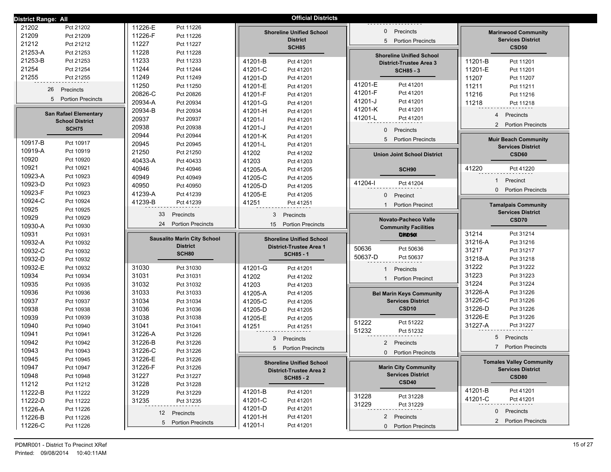| District Range: All                          |                                    | <b>Official Districts</b>                    |                                                         |                                                        |
|----------------------------------------------|------------------------------------|----------------------------------------------|---------------------------------------------------------|--------------------------------------------------------|
| 21202<br>Pct 21202                           | 11226-E<br>Pct 11226               |                                              |                                                         |                                                        |
| 21209<br>Pct 21209                           | 11226-F<br>Pct 11226               | <b>Shoreline Unified School</b>              | Precincts<br>$\mathbf{0}$                               | <b>Marinwood Community</b>                             |
| 21212<br>Pct 21212                           | 11227<br>Pct 11227                 | <b>District</b><br><b>SCH85</b>              | <b>Portion Precincts</b><br>5                           | <b>Services District</b><br><b>CSD50</b>               |
| 21253-A<br>Pct 21253                         | 11228<br>Pct 11228                 |                                              | <b>Shoreline Unified School</b>                         |                                                        |
| 21253-B<br>Pct 21253                         | 11233<br>Pct 11233                 | 41201-B<br>Pct 41201                         | <b>District-Trustee Area 3</b>                          | 11201-B<br>Pct 11201                                   |
| 21254<br>Pct 21254                           | 11244<br>Pct 11244                 | 41201-C<br>Pct 41201                         | <b>SCH85 - 3</b>                                        | 11201-E<br>Pct 11201                                   |
| 21255<br>Pct 21255                           | 11249<br>Pct 11249                 | 41201-D<br>Pct 41201                         |                                                         | 11207<br>Pct 11207                                     |
|                                              | 11250<br>Pct 11250                 | 41201-E<br>Pct 41201                         | 41201-E<br>Pct 41201                                    | 11211<br>Pct 11211                                     |
| 26<br>Precincts                              | 20826-C<br>Pct 20826               | 41201-F<br>Pct 41201                         | 41201-F<br>Pct 41201                                    | 11216<br>Pct 11216                                     |
| 5 Portion Precincts                          | 20934-A<br>Pct 20934               | 41201-G<br>Pct 41201                         | 41201-J<br>Pct 41201                                    | 11218<br>Pct 11218                                     |
| <b>San Rafael Elementary</b>                 | 20934-B<br>Pct 20934               | 41201-H<br>Pct 41201                         | 41201-K<br>Pct 41201                                    |                                                        |
| <b>School District</b>                       | 20937<br>Pct 20937                 | 41201-l<br>Pct 41201                         | 41201-L<br>Pct 41201                                    | Precincts<br>4                                         |
| SCH75                                        | 20938<br>Pct 20938                 | 41201-J<br>Pct 41201                         | $\mathbf{0}$<br>Precincts                               | 2<br><b>Portion Precincts</b>                          |
|                                              | 20944<br>Pct 20944                 | 41201-K<br>Pct 41201                         |                                                         |                                                        |
| 10917-B<br>Pct 10917                         | 20945<br>Pct 20945                 | 41201-L<br>Pct 41201                         | 5 Portion Precincts                                     | <b>Muir Beach Community</b>                            |
| 10919-A<br>Pct 10919                         | 21250<br>Pct 21250                 | 41202<br>Pct 41202                           | <b>Union Joint School District</b>                      | <b>Services District</b><br>CSD60                      |
| 10920<br>Pct 10920                           | 40433-A<br>Pct 40433               | 41203<br>Pct 41203                           |                                                         |                                                        |
| 10921<br>Pct 10921                           | 40946<br>Pct 40946                 | 41205-A<br>Pct 41205                         | SCH90                                                   | 41220<br>Pct 41220                                     |
| 10923-A<br>Pct 10923                         | 40949<br>Pct 40949                 | 41205-C<br>Pct 41205                         |                                                         |                                                        |
| 10923-D<br>Pct 10923                         | 40950<br>Pct 40950                 | 41205-D<br>Pct 41205                         | 41204-l<br>Pct 41204                                    | $\mathbf{1}$<br>Precinct                               |
| 10923-F<br>Pct 10923                         | 41239-A<br>Pct 41239               | 41205-E<br>Pct 41205                         | $\mathbf{0}$<br>Precinct                                | <b>Portion Precincts</b><br>$\Omega$                   |
| 10924-C<br>Pct 10924                         | 41239-B<br>Pct 41239               | 41251<br>Pct 41251                           |                                                         |                                                        |
| 10925<br>Pct 10925                           |                                    |                                              | <b>Portion Precinct</b>                                 | <b>Tamalpais Community</b><br><b>Services District</b> |
| 10929<br>Pct 10929                           | 33<br>Precincts                    | 3<br>Precincts                               | Novato-Pacheco Valle                                    | CSD70                                                  |
| 10930-A<br>Pct 10930                         | 24<br><b>Portion Precincts</b>     | 15<br><b>Portion Precincts</b>               | <b>Community Facilities</b>                             |                                                        |
| 10931<br>Pct 10931                           |                                    |                                              | DisiD <sub>50t</sub>                                    | 31214<br>Pct 31214                                     |
| 10932-A<br>Pct 10932                         | <b>Sausalito Marin City School</b> | <b>Shoreline Unified School</b>              |                                                         | 31216-A<br>Pct 31216                                   |
| 10932-C<br>Pct 10932                         | <b>District</b>                    | <b>District-Trustee Area 1</b>               | 50636<br>Pct 50636                                      | 31217<br>Pct 31217                                     |
| 10932-D<br>Pct 10932                         | SCH80                              | <b>SCH85 - 1</b>                             | 50637-D<br>Pct 50637                                    | 31218-A<br>Pct 31218                                   |
| 10932-E<br>Pct 10932                         | 31030<br>Pct 31030                 | 41201-G<br>Pct 41201                         | Precincts                                               | 31222<br>Pct 31222                                     |
| 10934<br>Pct 10934                           | 31031<br>Pct 31031                 | 41202<br>Pct 41202                           |                                                         | 31223<br>Pct 31223                                     |
| 10935<br>Pct 10935                           | 31032<br>Pct 31032                 | 41203<br>Pct 41203                           | <b>Portion Precinct</b><br>1                            | 31224<br>Pct 31224                                     |
| 10936<br>Pct 10936                           | 31033<br>Pct 31033                 |                                              |                                                         |                                                        |
|                                              |                                    |                                              |                                                         | 31226-A<br>Pct 31226                                   |
|                                              |                                    | 41205-A<br>Pct 41205                         | <b>Bel Marin Keys Community</b>                         | 31226-C<br>Pct 31226                                   |
| 10937<br>Pct 10937                           | 31034<br>Pct 31034                 | 41205-C<br>Pct 41205                         | <b>Services District</b><br>CSD <sub>10</sub>           | Pct 31226                                              |
| 10938<br>Pct 10938<br>Pct 10939              | 31036<br>Pct 31036                 | 41205-D<br>Pct 41205                         |                                                         | 31226-D<br>Pct 31226                                   |
| 10939                                        | 31038<br>Pct 31038                 | 41205-E<br>Pct 41205                         | 51222<br>Pct 51222                                      | 31226-E<br>31227-A<br>Pct 31227                        |
| 10940<br>Pct 10940                           | 31041<br>Pct 31041<br>31226-A      | 41251<br>Pct 41251                           | 51232<br>Pct 51232                                      |                                                        |
| 10941<br>Pct 10941                           | Pct 31226                          | 3<br>Precincts                               |                                                         | 5<br>Precincts                                         |
| 10942<br>Pct 10942                           | 31226-B<br>Pct 31226               | 5 Portion Precincts                          | 2 Precincts                                             | $\overline{7}$<br><b>Portion Precincts</b>             |
| 10943<br>Pct 10943                           | 31226-C<br>Pct 31226               |                                              | 0 Portion Precincts                                     |                                                        |
| 10945<br>Pct 10945                           | 31226-E<br>Pct 31226               | <b>Shoreline Unified School</b>              |                                                         | <b>Tomales Valley Community</b>                        |
| 10947<br>Pct 10947                           | 31226-F<br>Pct 31226               | <b>District-Trustee Area 2</b>               | <b>Marin City Community</b><br><b>Services District</b> | <b>Services District</b>                               |
| 10948<br>Pct 10948                           | 31227<br>Pct 31227                 | <b>SCH85 - 2</b>                             | CSD40                                                   | CSD80                                                  |
| 11212<br>Pct 11212                           | 31228<br>Pct 31228                 |                                              |                                                         | 41201-B<br>Pct 41201                                   |
| 11222-B<br>Pct 11222                         | 31229<br>Pct 31229                 | 41201-B<br>Pct 41201                         | 31228<br>Pct 31228                                      | 41201-C<br>Pct 41201                                   |
| 11222-D<br>Pct 11222                         | 31235<br>Pct 31235                 | 41201-C<br>Pct 41201                         | 31229<br>Pct 31229                                      |                                                        |
| 11226-A<br>Pct 11226                         | 12 Precincts                       | 41201-D<br>Pct 41201                         |                                                         | 0<br>Precincts                                         |
| 11226-B<br>Pct 11226<br>11226-C<br>Pct 11226 | 5 Portion Precincts                | 41201-H<br>Pct 41201<br>41201-l<br>Pct 41201 | 2 Precincts<br>0 Portion Precincts                      | 2 Portion Precincts                                    |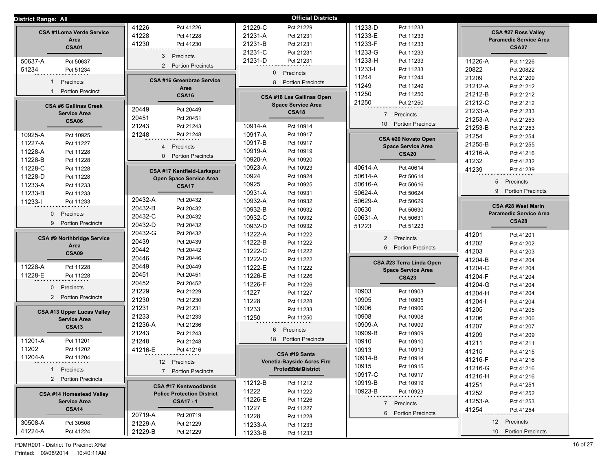| <b>District Range: All</b>              |                                   | <b>Official Districts</b>       |                                             |                                                      |
|-----------------------------------------|-----------------------------------|---------------------------------|---------------------------------------------|------------------------------------------------------|
|                                         | 41226<br>Pct 41226                | 21229-C<br>Pct 21229            | 11233-D<br>Pct 11233                        |                                                      |
| <b>CSA #1Loma Verde Service</b><br>Area | 41228<br>Pct 41228                | 21231-A<br>Pct 21231            | 11233-E<br>Pct 11233                        | CSA #27 Ross Valley<br><b>Paramedic Service Area</b> |
| <b>CSA01</b>                            | 41230<br>Pct 41230                | 21231-B<br>Pct 21231            | 11233-F<br>Pct 11233                        | <b>CSA27</b>                                         |
|                                         |                                   | 21231-C<br>Pct 21231            | 11233-G<br>Pct 11233                        |                                                      |
| 50637-A<br>Pct 50637                    | 3<br>Precincts                    | 21231-D<br>Pct 21231            | 11233-H<br>Pct 11233                        | 11226-A<br>Pct 11226                                 |
| 51234<br>Pct 51234                      | 2 Portion Precincts               |                                 | 11233-l<br>Pct 11233                        | 20822<br>Pct 20822                                   |
|                                         | <b>CSA #16 Greenbrae Service</b>  | $\Omega$<br>Precincts           | 11244<br>Pct 11244                          | 21209<br>Pct 21209                                   |
| Precincts<br>1                          | Area                              | 8 Portion Precincts             | 11249<br>Pct 11249                          | 21212-A<br>Pct 21212                                 |
| <b>Portion Precinct</b><br>$\mathbf{1}$ | <b>CSA16</b>                      | CSA #18 Las Gallinas Open       | 11250<br>Pct 11250                          | 21212-B<br>Pct 21212                                 |
| <b>CSA #6 Gallinas Creek</b>            |                                   | <b>Space Service Area</b>       | 21250<br>Pct 21250                          | 21212-C<br>Pct 21212                                 |
| <b>Service Area</b>                     | 20449<br>Pct 20449                | <b>CSA18</b>                    | Precincts<br>$\overline{7}$                 | 21233-A<br>Pct 21233                                 |
| <b>CSA06</b>                            | 20451<br>Pct 20451                |                                 |                                             | 21253-A<br>Pct 21253                                 |
|                                         | 21243<br>Pct 21243                | 10914-A<br>Pct 10914            | 10 <sup>1</sup><br><b>Portion Precincts</b> | 21253-B<br>Pct 21253                                 |
| 10925-A<br>Pct 10925                    | 21248<br>Pct 21248                | 10917-A<br>Pct 10917            | CSA #20 Novato Open                         | 21254<br>Pct 21254                                   |
| 11227-A<br>Pct 11227                    | $4\overline{ }$<br>Precincts      | 10917-B<br>Pct 10917            | <b>Space Service Area</b>                   | 21255-B<br>Pct 21255                                 |
| 11228-A<br>Pct 11228                    | 0                                 | 10919-A<br>Pct 10919            | <b>CSA20</b>                                | 41216-A<br>Pct 41216                                 |
| 11228-B<br>Pct 11228                    | <b>Portion Precincts</b>          | 10920-A<br>Pct 10920            |                                             | 41232<br>Pct 41232                                   |
| 11228-C<br>Pct 11228                    | CSA #17 Kentfield-Larkspur        | 10923-A<br>Pct 10923            | 40614-A<br>Pct 40614                        | 41239<br>Pct 41239                                   |
| 11228-D<br>Pct 11228                    | <b>Open Space Service Area</b>    | 10924<br>Pct 10924              | 50614-A<br>Pct 50614                        |                                                      |
| 11233-A<br>Pct 11233                    | <b>CSA17</b>                      | 10925<br>Pct 10925              | 50616-A<br>Pct 50616                        | 5 <sup>5</sup><br>Precincts                          |
| 11233-B<br>Pct 11233                    |                                   | 10931-A<br>Pct 10931            | 50624-A<br>Pct 50624                        | <b>Portion Precincts</b><br>9                        |
| 11233-l<br>Pct 11233                    | 20432-A<br>Pct 20432              | 10932-A<br>Pct 10932            | 50629-A<br>Pct 50629                        | CSA #28 West Marin                                   |
| $\mathbf{0}$<br>Precincts               | 20432-B<br>Pct 20432              | 10932-B<br>Pct 10932            | 50630<br>Pct 50630                          | <b>Paramedic Service Area</b>                        |
|                                         | 20432-C<br>Pct 20432              | 10932-C<br>Pct 10932            | 50631-A<br>Pct 50631                        | <b>CSA28</b>                                         |
| 9<br><b>Portion Precincts</b>           | 20432-D<br>Pct 20432              | 10932-D<br>Pct 10932            | 51223<br>Pct 51223                          |                                                      |
| <b>CSA #9 Northbridge Service</b>       | 20432-G<br>Pct 20432              | 11222-A<br>Pct 11222            | $\overline{2}$<br>Precincts                 | 41201<br>Pct 41201                                   |
| Area                                    | 20439<br>Pct 20439                | 11222-B<br>Pct 11222            | 6<br><b>Portion Precincts</b>               | 41202<br>Pct 41202                                   |
| CSA09                                   | 20442<br>Pct 20442                | 11222-C<br>Pct 11222            |                                             | 41203<br>Pct 41203                                   |
|                                         | 20446<br>Pct 20446                | 11222-D<br>Pct 11222            | CSA #23 Terra Linda Open                    | 41204-B<br>Pct 41204                                 |
| 11228-A<br>Pct 11228                    | 20449<br>Pct 20449                | 11222-E<br>Pct 11222            | <b>Space Service Area</b>                   | 41204-C<br>Pct 41204                                 |
| 11228-E<br>Pct 11228                    | 20451<br>Pct 20451                | 11226-E<br>Pct 11226            | <b>CSA23</b>                                | 41204-F<br>Pct 41204                                 |
| $\mathbf{0}$<br>Precincts               | 20452<br>Pct 20452                | 11226-F<br>Pct 11226            |                                             | 41204-G<br>Pct 41204                                 |
| 2 Portion Precincts                     | 21229<br>Pct 21229                | 11227<br>Pct 11227              | 10903<br>Pct 10903                          | 41204-H<br>Pct 41204                                 |
|                                         | 21230<br>Pct 21230                | 11228<br>Pct 11228              | 10905<br>Pct 10905                          | 41204-l<br>Pct 41204                                 |
| CSA #13 Upper Lucas Valley              | 21231<br>Pct 21231                | 11233<br>Pct 11233              | 10906<br>Pct 10906                          | 41205<br>Pct 41205                                   |
| <b>Service Area</b>                     | 21233<br>Pct 21233                | 11250<br>Pct 11250              | 10908<br>Pct 10908                          | 41206<br>Pct 41206                                   |
| <b>CSA13</b>                            | Pct 21236<br>21236-A              | Precincts<br>6                  | 10909-A<br>Pct 10909                        | 41207<br>Pct 41207                                   |
| 11201-A                                 | 21243<br>Pct 21243                | <b>Portion Precincts</b><br>18  | 10909-B<br>Pct 10909                        | 41209<br>Pct 41209                                   |
| Pct 11201<br>11202<br>Pct 11202         | 21248<br>Pct 21248                |                                 | 10910<br>Pct 10910                          | 41211<br>Pct 41211                                   |
| 11204-A<br>Pct 11204                    | 41216-E<br>Pct 41216              | CSA #19 Santa                   | 10913<br>Pct 10913                          | 41215<br>Pct 41215                                   |
|                                         | 12 Precincts                      | Venetia-Bayside Acres Fire      | 10914-B<br>Pct 10914                        | 41216-F<br>Pct 41216                                 |
| 1 Precincts                             | 7 Portion Precincts               | ProteCtBAMDistrict              | 10915<br>Pct 10915<br>10917-C<br>Pct 10917  | 41216-G<br>Pct 41216                                 |
| 2 Portion Precincts                     |                                   | 11212-B                         | 10919-B                                     | 41216-H<br>Pct 41216                                 |
|                                         | <b>CSA #17 Kentwoodlands</b>      | Pct 11212<br>11222              | Pct 10919<br>10923-B                        | 41251<br>Pct 41251                                   |
| <b>CSA #14 Homestead Valley</b>         | <b>Police Protection District</b> | Pct 11222<br>11226-E            | Pct 10923                                   | 41252<br>Pct 41252                                   |
| <b>Service Area</b>                     | <b>CSA17 - 1</b>                  | Pct 11226<br>11227<br>Pct 11227 | 7 Precincts                                 | 41253-A<br>Pct 41253                                 |
| <b>CSA14</b>                            | 20719-A<br>Pct 20719              | 11228<br>Pct 11228              | 6 Portion Precincts                         | 41254<br>Pct 41254                                   |
| 30508-A<br>Pct 30508                    | 21229-A<br>Pct 21229              | 11233-A<br>Pct 11233            |                                             | 12 Precincts                                         |
| 41224-A<br>Pct 41224                    | 21229-B<br>Pct 21229              | 11233-B<br>Pct 11233            |                                             | 10 Portion Precincts                                 |
|                                         |                                   |                                 |                                             |                                                      |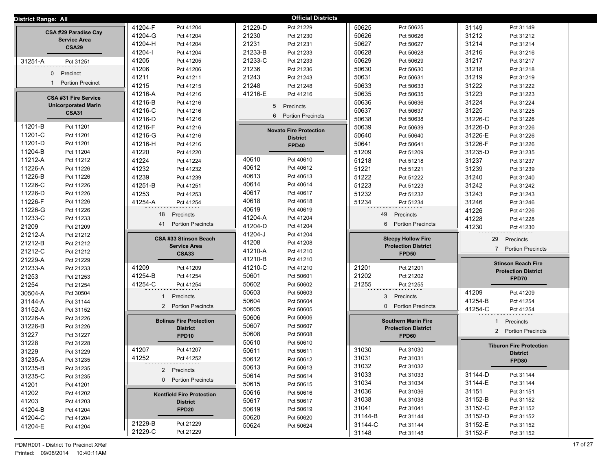| District Range: All               |                                  | <b>Official Districts</b>                |                            |                                |
|-----------------------------------|----------------------------------|------------------------------------------|----------------------------|--------------------------------|
|                                   | 41204-F                          | 21229-D                                  | 50625                      | 31149                          |
|                                   | Pct 41204                        | Pct 21229                                | Pct 50625                  | Pct 31149                      |
| CSA #29 Paradise Cay              | 41204-G                          | 21230                                    | 50626                      | 31212                          |
|                                   | Pct 41204                        | Pct 21230                                | Pct 50626                  | Pct 31212                      |
| <b>Service Area</b>               | 41204-H                          | 21231                                    | 50627                      | 31214                          |
| <b>CSA29</b>                      | Pct 41204                        | Pct 21231                                | Pct 50627                  | Pct 31214                      |
|                                   | 41204-l                          | 21233-B                                  | 50628                      | 31216                          |
|                                   | Pct 41204                        | Pct 21233                                | Pct 50628                  | Pct 31216                      |
| 31251-A                           | 41205                            | 21233-C                                  | 50629                      | 31217                          |
| Pct 31251                         | Pct 41205                        | Pct 21233                                | Pct 50629                  | Pct 31217                      |
|                                   | 41206                            | 21236                                    | 50630                      | 31218                          |
|                                   | Pct 41206                        | Pct 21236                                | Pct 50630                  | Pct 31218                      |
| Precinct                          | 41211                            | 21243                                    | 50631                      | 31219                          |
| $\mathbf 0$                       | Pct 41211                        | Pct 21243                                | Pct 50631                  | Pct 31219                      |
| <b>Portion Precinct</b>           | 41215                            | 21248                                    | 50633                      | 31222                          |
|                                   | Pct 41215                        | Pct 21248                                | Pct 50633                  | Pct 31222                      |
| <b>CSA #31 Fire Service</b>       | 41216-A                          | 41216-E                                  | 50635                      | 31223                          |
|                                   | Pct 41216                        | Pct 41216                                | Pct 50635                  | Pct 31223                      |
| <b>Unicorporated Marin</b>        | 41216-B<br>Pct 41216             | 5 Precincts                              | 50636<br>Pct 50636         | 31224<br>Pct 31224             |
| <b>CSA31</b>                      | 41216-C                          | <b>Portion Precincts</b>                 | 50637                      | 31225                          |
|                                   | Pct 41216                        | 6                                        | Pct 50637                  | Pct 31225                      |
|                                   | 41216-D<br>Pct 41216             |                                          | 50638<br>Pct 50638         | 31226-C<br>Pct 31226           |
| 11201-B                           | 41216-F                          | <b>Novato Fire Protection</b>            | 50639                      | 31226-D                        |
| Pct 11201                         | Pct 41216                        |                                          | Pct 50639                  | Pct 31226                      |
| 11201-C                           | 41216-G                          | <b>District</b>                          | 50640                      | 31226-E                        |
| Pct 11201                         | Pct 41216                        |                                          | Pct 50640                  | Pct 31226                      |
| 11201-D                           | 41216-H                          | <b>FPD40</b>                             | 50641                      | 31226-F                        |
| Pct 11201                         | Pct 41216                        |                                          | Pct 50641                  | Pct 31226                      |
| 11204-B                           | 41220                            |                                          | 51209                      | 31235-D                        |
| Pct 11204                         | Pct 41220                        |                                          | Pct 51209                  | Pct 31235                      |
| 11212-A                           | 41224                            | 40610                                    | 51218                      | 31237                          |
| Pct 11212                         | Pct 41224                        | Pct 40610                                | Pct 51218                  | Pct 31237                      |
| 11226-A                           | 41232                            | 40612                                    | 51221                      | 31239                          |
| Pct 11226                         | Pct 41232                        | Pct 40612                                | Pct 51221                  | Pct 31239                      |
| 11226-B                           | 41239                            | 40613                                    | 51222                      | 31240                          |
| Pct 11226                         | Pct 41239                        | Pct 40613                                | Pct 51222                  | Pct 31240                      |
| 11226-C                           | 41251-B                          | 40614                                    | 51223                      | 31242                          |
| Pct 11226                         | Pct 41251                        | Pct 40614                                | Pct 51223                  | Pct 31242                      |
| 11226-D                           | 41253                            | 40617                                    | 51232                      | 31243                          |
| Pct 11226                         | Pct 41253                        | Pct 40617                                | Pct 51232                  | Pct 31243                      |
| 11226-F<br>Pct 11226              | 41254-A<br>Pct 41254             | 40618<br>Pct 40618<br>40619<br>Pct 40619 | 51234<br>Pct 51234         | 31246<br>Pct 31246             |
| 11226-G                           | 18                               | 41204-A                                  | 49                         | 41226                          |
| Pct 11226                         | Precincts                        | Pct 41204                                | Precincts                  | Pct 41226                      |
| 11233-C                           | <b>Portion Precincts</b>         | 41204-D                                  | 6                          | 41228                          |
| Pct 11233                         | 41                               | Pct 41204                                | <b>Portion Precincts</b>   | Pct 41228                      |
| 21209<br>Pct 21209<br>21212-A     |                                  | 41204-J<br>Pct 41204                     |                            | 41230<br>Pct 41230             |
| Pct 21212<br>21212-B<br>Pct 21212 | CSA #33 Stinson Beach            | 41208<br>Pct 41208                       | <b>Sleepy Hollow Fire</b>  | 29<br>Precincts                |
| 21212-C<br>Pct 21212              | <b>Service Area</b>              | 41210-A<br>Pct 41210                     | <b>Protection District</b> | 7 Portion Precincts            |
| 21229-A<br>Pct 21229              | <b>CSA33</b>                     | 41210-B<br>Pct 41210                     | <b>FPD50</b>               |                                |
| 21233-A                           | 41209                            | 41210-C                                  | 21201                      | <b>Stinson Beach Fire</b>      |
| Pct 21233                         | Pct 41209                        | Pct 41210                                | Pct 21201                  |                                |
| 21253                             | 41254-B                          | 50601                                    | 21202                      | <b>Protection District</b>     |
| Pct 21253                         | Pct 41254                        | Pct 50601                                | Pct 21202                  |                                |
| 21254                             | 41254-C                          | 50602                                    | 21255                      | FPD70                          |
| Pct 21254                         | Pct 41254                        | Pct 50602                                | Pct 21255                  |                                |
| 30504-A<br>Pct 30504              |                                  | 50603<br>Pct 50603                       |                            | 41209<br>Pct 41209             |
| 31144-A                           | Precincts                        | 50604                                    | Precincts                  | 41254-B                        |
| Pct 31144                         |                                  | Pct 50604                                | 3                          | Pct 41254                      |
| 31152-A                           | <b>Portion Precincts</b>         | 50605                                    | <b>Portion Precincts</b>   | 41254-C                        |
| Pct 31152                         | $\overline{2}$                   | Pct 50605                                | $\mathbf{0}$               | Pct 41254                      |
| 31226-A<br>Pct 31226              |                                  | 50606<br>Pct 50606                       |                            |                                |
| 31226-B                           | <b>Bolinas Fire Protection</b>   | 50607                                    | <b>Southern Marin Fire</b> | Precincts                      |
| Pct 31226                         | <b>District</b>                  | Pct 50607                                | <b>Protection District</b> | 1                              |
| 31227<br>Pct 31227                | FPD <sub>10</sub>                | 50608<br>Pct 50608                       | FPD60                      | 2 Portion Precincts            |
| 31228<br>Pct 31228                |                                  | 50610<br>Pct 50610                       |                            | <b>Tiburon Fire Protection</b> |
| 31229                             | 41207                            | 50611                                    | 31030                      | <b>District</b>                |
| Pct 31229                         | Pct 41207                        | Pct 50611                                | Pct 31030                  |                                |
| 31235-A                           | 41252                            | 50612                                    | 31031                      | FPD80                          |
| Pct 31235                         | Pct 41252                        | Pct 50612                                | Pct 31031                  |                                |
| 31235-B<br>Pct 31235              | 2 Precincts                      | 50613<br>Pct 50613                       | 31032<br>Pct 31032         |                                |
| 31235-C                           | 0 Portion Precincts              | 50614                                    | 31033                      | 31144-D                        |
| Pct 31235                         |                                  | Pct 50614                                | Pct 31033                  | Pct 31144                      |
| 41201                             |                                  | 50615                                    | 31034                      | 31144-E                        |
| Pct 41201                         |                                  | Pct 50615                                | Pct 31034                  | Pct 31144                      |
| 41202                             | <b>Kentfield Fire Protection</b> | 50616                                    | 31036                      | 31151                          |
| Pct 41202                         |                                  | Pct 50616                                | Pct 31036                  | Pct 31151                      |
| 41203                             | <b>District</b>                  | 50617                                    | 31038                      | 31152-B                        |
| Pct 41203                         |                                  | Pct 50617                                | Pct 31038                  | Pct 31152                      |
| 41204-B                           | FPD <sub>20</sub>                | 50619                                    | 31041                      | 31152-C                        |
| Pct 41204                         |                                  | Pct 50619                                | Pct 31041                  | Pct 31152                      |
| 41204-C                           |                                  | 50620                                    | 31144-B                    | 31152-D                        |
| Pct 41204                         |                                  | Pct 50620                                | Pct 31144                  | Pct 31152                      |
| 41204-E                           | 21229-B                          | 50624                                    | 31144-C                    | 31152-E                        |
| Pct 41204                         | Pct 21229                        | Pct 50624                                | Pct 31144                  | Pct 31152                      |
|                                   | 21229-C<br>Pct 21229             |                                          | 31148<br>Pct 31148         | 31152-F<br>Pct 31152           |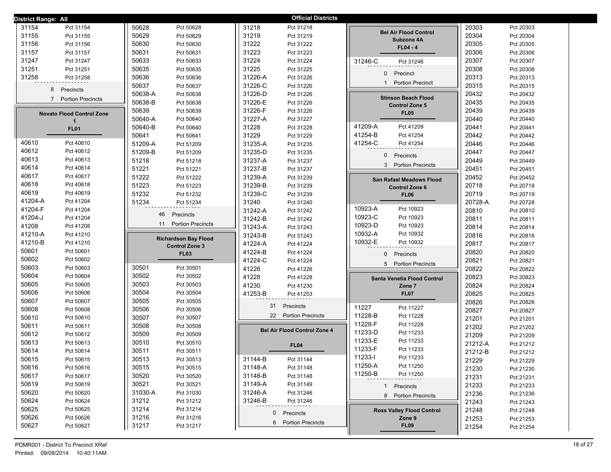| <b>District Range: All</b>       |                             | <b>Official Districts</b>           |                                  |                      |
|----------------------------------|-----------------------------|-------------------------------------|----------------------------------|----------------------|
| 31154                            | 50628                       | 31218                               |                                  | 20303                |
| Pct 31154                        | Pct 50628                   | Pct 31218                           |                                  | Pct 20303            |
| 31155                            | 50629                       | 31219                               | <b>Bel Air Flood Control</b>     | 20304                |
| Pct 31155                        | Pct 50629                   | Pct 31219                           |                                  | Pct 20304            |
| 31156                            | 50630                       | 31222                               | Subzone 4A                       | 20305                |
| Pct 31156                        | Pct 50630                   | Pct 31222                           | $FL04 - 4$                       | Pct 20305            |
| 31157                            | 50631                       | 31223                               |                                  | 20306                |
| Pct 31157                        | Pct 50631                   | Pct 31223                           |                                  | Pct 20306            |
| 31247                            | 50633                       | 31224                               | 31246-C                          | 20307                |
| Pct 31247                        | Pct 50633                   | Pct 31224                           | Pct 31246                        | Pct 20307            |
| 31251                            | 50635                       | 31225                               |                                  | 20308                |
| Pct 31251                        | Pct 50635                   | Pct 31225                           |                                  | Pct 20308            |
| 31258                            | 50636                       | 31226-A                             | $\overline{0}$                   | 20313                |
| Pct 31258                        | Pct 50636                   | Pct 31226                           | Precinct                         | Pct 20313            |
| 8                                | 50637                       | 31226-C                             | <b>Portion Precinct</b>          | 20315                |
|                                  | Pct 50637                   | Pct 31226                           | $\mathbf{1}$                     | Pct 20315            |
| Precincts                        | 50638-A<br>Pct 50638        | 31226-D<br>Pct 31226                |                                  | 20432<br>Pct 20432   |
| $\overline{7}$                   | 50638-B                     | 31226-E                             | <b>Stinson Beach Flood</b>       | 20435                |
| <b>Portion Precincts</b>         | Pct 50638                   | Pct 31226                           | <b>Control Zone 5</b>            | Pct 20435            |
| <b>Novato Flood Control Zone</b> | 50639<br>Pct 50639          | 31226-F<br>Pct 31226                | <b>FL05</b>                      | 20439<br>Pct 20439   |
| $\mathbf 1$                      | 50640-A<br>Pct 50640        | 31227-A<br>Pct 31227                |                                  | 20440<br>Pct 20440   |
| <b>FL01</b>                      | 50640-B                     | 31228                               | 41209-A                          | 20441                |
|                                  | Pct 50640                   | Pct 31228                           | Pct 41209                        | Pct 20441            |
|                                  | 50641                       | 31229                               | 41254-B                          | 20442                |
|                                  | Pct 50641                   | Pct 31229                           | Pct 41254                        | Pct 20442            |
| 40610                            | 51209-A                     | 31235-A                             | 41254-C                          | 20446                |
| Pct 40610                        | Pct 51209                   | Pct 31235                           | Pct 41254                        | Pct 20446            |
| 40612                            | 51209-B                     | 31235-D                             | $\mathbf{0}$                     | 20447                |
| Pct 40612                        | Pct 51209                   | Pct 31235                           | Precincts                        | Pct 20447            |
| 40613                            | 51218                       | 31237-A                             |                                  | 20449                |
| Pct 40613                        | Pct 51218                   | Pct 31237                           |                                  | Pct 20449            |
| 40614                            | 51221                       | 31237-B                             | 3 Portion Precincts              | 20451                |
| Pct 40614                        | Pct 51221                   | Pct 31237                           |                                  | Pct 20451            |
| 40617                            | 51222                       | 31239-A                             | San Rafael Meadows Flood         | 20452                |
| Pct 40617                        | Pct 51222                   | Pct 31239                           |                                  | Pct 20452            |
| 40618                            | 51223                       | 31239-B                             | <b>Control Zone 6</b>            | 20718                |
| Pct 40618                        | Pct 51223                   | Pct 31239                           |                                  | Pct 20718            |
| 40619                            | 51232                       | 31239-C                             | <b>FL06</b>                      | 20719                |
| Pct 40619                        | Pct 51232                   | Pct 31239                           |                                  | Pct 20719            |
| 41204-A                          | 51234                       | 31240                               |                                  | 20728-A              |
| Pct 41204                        | Pct 51234                   | Pct 31240                           |                                  | Pct 20728            |
| 41204-F                          | 46                          | 31242-A                             | 10923-A                          | 20810                |
| Pct 41204                        |                             | Pct 31242                           | Pct 10923                        | Pct 20810            |
| 41204-J                          | Precincts                   | 31242-B                             | 10923-C                          | 20811                |
| Pct 41204                        |                             | Pct 31242                           | Pct 10923                        | Pct 20811            |
| 41208                            | 11                          | 31243-A                             | 10923-D                          | 20814                |
| Pct 41208                        | <b>Portion Precincts</b>    | Pct 31243                           | Pct 10923                        | Pct 20814            |
| 41210-A                          | <b>Richardson Bay Flood</b> | 31243-B                             | 10932-A                          | 20816                |
| Pct 41210                        |                             | Pct 31243                           | Pct 10932                        | Pct 20816            |
| 41210-B                          | <b>Control Zone 3</b>       | 41224-A                             | 10932-E                          | 20817                |
| Pct 41210                        |                             | Pct 41224                           | Pct 10932                        | Pct 20817            |
| 50601                            | <b>FL03</b>                 | 41224-B                             | 0                                | 20820                |
| Pct 50601                        |                             | Pct 41224                           | Precincts                        | Pct 20820            |
| 50602<br>Pct 50602               |                             | 41224-C<br>Pct 41224                | 5 Portion Precincts              | 20821<br>Pct 20821   |
| 50603                            | 30501                       | 41226                               |                                  | 20822                |
| Pct 50603                        | Pct 30501                   | Pct 41226                           |                                  | Pct 20822            |
| 50604                            | 30502                       | 41228                               | Santa Venetia Flood Control      | 20823                |
| Pct 50604                        | Pct 30502                   | Pct 41228                           |                                  | Pct 20823            |
| 50605                            | 30503                       | 41230                               | Zone 7                           | 20824                |
| Pct 50605                        | Pct 30503                   | Pct 41230                           |                                  | Pct 20824            |
| 50606                            | 30504                       | 41253-B                             | <b>FL07</b>                      | 20825                |
| Pct 50606                        | Pct 30504                   | Pct 41253                           |                                  | Pct 20825            |
| 50607                            | 30505                       | 31                                  |                                  | 20826                |
| Pct 50607                        | Pct 30505                   | Precincts                           |                                  | Pct 20826            |
| 50608                            | 30506                       | 22 Portion Precincts                | 11227                            | 20827                |
| Pct 50608                        | Pct 30506                   |                                     | Pct 11227                        | Pct 20827            |
| 50610                            | 30507                       |                                     | 11228-B                          | 21201                |
| Pct 50610                        | Pct 30507                   |                                     | Pct 11228                        | Pct 21201            |
| 50611                            | 30508                       | <b>Bel Air Flood Control Zone 4</b> | 11228-F                          | 21202                |
| Pct 50611                        | Pct 30508                   |                                     | Pct 11228                        | Pct 21202            |
| 50612<br>Pct 50612               | 30509<br>Pct 30509          |                                     | 11233-D<br>Pct 11233<br>11233-E  | 21209<br>Pct 21209   |
| 50613<br>Pct 50613               | 30510<br>Pct 30510          | <b>FL04</b>                         | Pct 11233                        | 21212-A<br>Pct 21212 |
| 50614<br>Pct 50614               | 30511<br>Pct 30511          |                                     | 11233-F<br>Pct 11233<br>11233-l  | 21212-B<br>Pct 21212 |
| 50615                            | 30513                       | 31144-B                             | Pct 11233                        | 21229                |
| Pct 50615                        | Pct 30513                   | Pct 31144                           | 11250-A                          | Pct 21229            |
| 50616                            | 30515                       | 31148-A                             | Pct 11250                        | 21230                |
| Pct 50616                        | Pct 30515                   | Pct 31148                           | 11250-B                          | Pct 21230            |
| 50617                            | 30520                       | 31148-B                             | Pct 11250                        | 21231                |
| Pct 50617                        | Pct 30520                   | Pct 31148                           |                                  | Pct 21231            |
| 50619                            | 30521                       | 31149-A                             | 1 Precincts                      | 21233                |
| Pct 50619                        | Pct 30521                   | Pct 31149                           |                                  | Pct 21233            |
| 50620                            | 31030-A                     | 31246-A                             | 8 Portion Precincts              | 21236                |
| Pct 50620                        | Pct 31030                   | Pct 31246                           |                                  | Pct 21236            |
| 50624                            | 31212                       | 31246-B                             |                                  | 21243                |
| Pct 50624                        | Pct 31212                   | Pct 31246                           |                                  | Pct 21243            |
| 50625                            | 31214                       | Precincts                           | <b>Ross Valley Flood Control</b> | 21248                |
| Pct 50625                        | Pct 31214                   | $\mathbf{0}$                        |                                  | Pct 21248            |
| 50626<br>Pct 50626               | 31216<br>Pct 31216          | 6 Portion Precincts                 | Zone 9                           | 21253<br>Pct 21253   |
| 50627<br>Pct 50627               | 31217<br>Pct 31217          |                                     | <b>FL09</b>                      | 21254<br>Pct 21254   |
|                                  |                             |                                     |                                  |                      |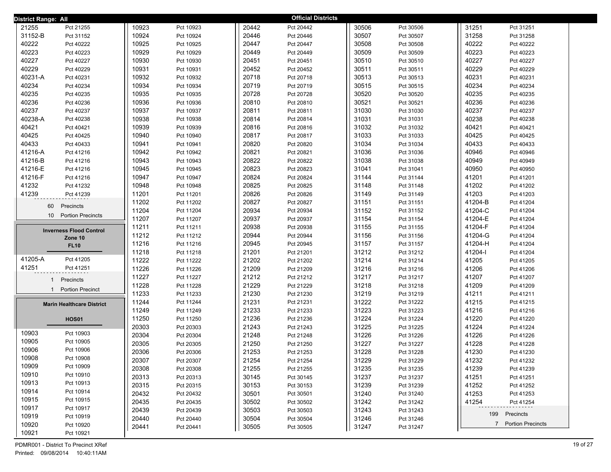| <b>District Range: All</b>                  |       |           |       | <b>Official Districts</b> |       |           |                      |
|---------------------------------------------|-------|-----------|-------|---------------------------|-------|-----------|----------------------|
| 21255<br>Pct 21255                          | 10923 | Pct 10923 | 20442 | Pct 20442                 | 30506 | Pct 30506 | 31251<br>Pct 31251   |
| 31152-B<br>Pct 31152                        | 10924 | Pct 10924 | 20446 | Pct 20446                 | 30507 | Pct 30507 | 31258<br>Pct 31258   |
| 40222<br>Pct 40222                          | 10925 | Pct 10925 | 20447 | Pct 20447                 | 30508 | Pct 30508 | 40222<br>Pct 40222   |
| 40223<br>Pct 40223                          | 10929 | Pct 10929 | 20449 | Pct 20449                 | 30509 | Pct 30509 | 40223<br>Pct 40223   |
| 40227<br>Pct 40227                          | 10930 | Pct 10930 | 20451 | Pct 20451                 | 30510 | Pct 30510 | 40227<br>Pct 40227   |
| 40229<br>Pct 40229                          | 10931 | Pct 10931 | 20452 | Pct 20452                 | 30511 | Pct 30511 | 40229<br>Pct 40229   |
| 40231-A<br>Pct 40231                        | 10932 | Pct 10932 | 20718 | Pct 20718                 | 30513 | Pct 30513 | 40231<br>Pct 40231   |
| 40234<br>Pct 40234                          | 10934 | Pct 10934 | 20719 | Pct 20719                 | 30515 | Pct 30515 | 40234<br>Pct 40234   |
| 40235<br>Pct 40235                          | 10935 | Pct 10935 | 20728 | Pct 20728                 | 30520 | Pct 30520 | 40235<br>Pct 40235   |
| 40236<br>Pct 40236                          | 10936 | Pct 10936 | 20810 | Pct 20810                 | 30521 | Pct 30521 | 40236<br>Pct 40236   |
| 40237<br>Pct 40237                          | 10937 | Pct 10937 | 20811 | Pct 20811                 | 31030 | Pct 31030 | 40237<br>Pct 40237   |
| 40238-A<br>Pct 40238                        | 10938 | Pct 10938 | 20814 | Pct 20814                 | 31031 | Pct 31031 | 40238<br>Pct 40238   |
| 40421<br>Pct 40421                          | 10939 | Pct 10939 | 20816 | Pct 20816                 | 31032 | Pct 31032 | 40421<br>Pct 40421   |
| 40425<br>Pct 40425                          | 10940 | Pct 10940 | 20817 | Pct 20817                 | 31033 | Pct 31033 | 40425<br>Pct 40425   |
| 40433<br>Pct 40433                          | 10941 | Pct 10941 | 20820 | Pct 20820                 | 31034 | Pct 31034 | 40433<br>Pct 40433   |
| 41216-A<br>Pct 41216                        | 10942 | Pct 10942 | 20821 | Pct 20821                 | 31036 | Pct 31036 | 40946<br>Pct 40946   |
| 41216-B<br>Pct 41216                        | 10943 | Pct 10943 | 20822 | Pct 20822                 | 31038 | Pct 31038 | 40949<br>Pct 40949   |
| 41216-E<br>Pct 41216                        | 10945 | Pct 10945 | 20823 | Pct 20823                 | 31041 | Pct 31041 | 40950<br>Pct 40950   |
| 41216-F<br>Pct 41216                        | 10947 | Pct 10947 | 20824 | Pct 20824                 | 31144 | Pct 31144 | 41201<br>Pct 41201   |
| 41232<br>Pct 41232                          | 10948 | Pct 10948 | 20825 | Pct 20825                 | 31148 | Pct 31148 | 41202<br>Pct 41202   |
| 41239<br>Pct 41239                          | 11201 | Pct 11201 | 20826 | Pct 20826                 | 31149 | Pct 31149 | 41203<br>Pct 41203   |
| Precincts<br>60                             | 11202 | Pct 11202 | 20827 | Pct 20827                 | 31151 | Pct 31151 | 41204-B<br>Pct 41204 |
| 10 <sup>1</sup><br><b>Portion Precincts</b> | 11204 | Pct 11204 | 20934 | Pct 20934                 | 31152 | Pct 31152 | 41204-C<br>Pct 41204 |
|                                             | 11207 | Pct 11207 | 20937 | Pct 20937                 | 31154 | Pct 31154 | 41204-E<br>Pct 41204 |
| <b>Inverness Flood Control</b>              | 11211 | Pct 11211 | 20938 | Pct 20938                 | 31155 | Pct 31155 | 41204-F<br>Pct 41204 |
| Zone 10                                     | 11212 | Pct 11212 | 20944 | Pct 20944                 | 31156 | Pct 31156 | 41204-G<br>Pct 41204 |
| <b>FL10</b>                                 | 11216 | Pct 11216 | 20945 | Pct 20945                 | 31157 | Pct 31157 | 41204-H<br>Pct 41204 |
|                                             | 11218 | Pct 11218 | 21201 | Pct 21201                 | 31212 | Pct 31212 | 41204-l<br>Pct 41204 |
| 41205-A<br>Pct 41205                        | 11222 | Pct 11222 | 21202 | Pct 21202                 | 31214 | Pct 31214 | 41205<br>Pct 41205   |
| 41251<br>Pct 41251                          | 11226 | Pct 11226 | 21209 | Pct 21209                 | 31216 | Pct 31216 | 41206<br>Pct 41206   |
| Precincts<br>$\mathbf{1}$                   | 11227 | Pct 11227 | 21212 | Pct 21212                 | 31217 | Pct 31217 | 41207<br>Pct 41207   |
| <b>Portion Precinct</b><br>$\mathbf{1}$     | 11228 | Pct 11228 | 21229 | Pct 21229                 | 31218 | Pct 31218 | 41209<br>Pct 41209   |
|                                             | 11233 | Pct 11233 | 21230 | Pct 21230                 | 31219 | Pct 31219 | 41211<br>Pct 41211   |
| <b>Marin Healthcare District</b>            | 11244 | Pct 11244 | 21231 | Pct 21231                 | 31222 | Pct 31222 | 41215<br>Pct 41215   |
|                                             | 11249 | Pct 11249 | 21233 | Pct 21233                 | 31223 | Pct 31223 | 41216<br>Pct 41216   |
| <b>HOS01</b>                                | 11250 | Pct 11250 | 21236 | Pct 21236                 | 31224 | Pct 31224 | 41220<br>Pct 41220   |
| 10903<br>Pct 10903                          | 20303 | Pct 20303 | 21243 | Pct 21243                 | 31225 | Pct 31225 | 41224<br>Pct 41224   |
| 10905<br>Pct 10905                          | 20304 | Pct 20304 | 21248 | Pct 21248                 | 31226 | Pct 31226 | 41226<br>Pct 41226   |
| 10906<br>Pct 10906                          | 20305 | Pct 20305 | 21250 | Pct 21250                 | 31227 | Pct 31227 | 41228<br>Pct 41228   |
| 10908<br>Pct 10908                          | 20306 | Pct 20306 | 21253 | Pct 21253                 | 31228 | Pct 31228 | 41230<br>Pct 41230   |
| 10909<br>Pct 10909                          | 20307 | Pct 20307 | 21254 | Pct 21254                 | 31229 | Pct 31229 | 41232<br>Pct 41232   |
| 10910<br>Pct 10910                          | 20308 | Pct 20308 | 21255 | Pct 21255                 | 31235 | Pct 31235 | 41239<br>Pct 41239   |
| 10913<br>Pct 10913                          | 20313 | Pct 20313 | 30145 | Pct 30145                 | 31237 | Pct 31237 | 41251<br>Pct 41251   |
| 10914<br>Pct 10914                          | 20315 | Pct 20315 | 30153 | Pct 30153                 | 31239 | Pct 31239 | 41252<br>Pct 41252   |
| 10915<br>Pct 10915                          | 20432 | Pct 20432 | 30501 | Pct 30501                 | 31240 | Pct 31240 | 41253<br>Pct 41253   |
| 10917<br>Pct 10917                          | 20435 | Pct 20435 | 30502 | Pct 30502                 | 31242 | Pct 31242 | 41254<br>Pct 41254   |
| 10919<br>Pct 10919                          | 20439 | Pct 20439 | 30503 | Pct 30503                 | 31243 | Pct 31243 | 199 Precincts        |
| 10920<br>Pct 10920                          | 20440 | Pct 20440 | 30504 | Pct 30504                 | 31246 | Pct 31246 | 7 Portion Precincts  |
| 10921<br>Pct 10921                          | 20441 | Pct 20441 | 30505 | Pct 30505                 | 31247 | Pct 31247 |                      |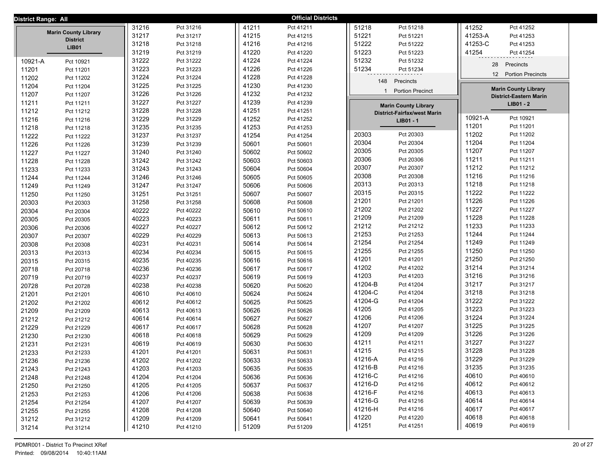| District Range: All |                                 |       |           |       | <b>Official Districts</b> |                  |                                    |                |                               |  |
|---------------------|---------------------------------|-------|-----------|-------|---------------------------|------------------|------------------------------------|----------------|-------------------------------|--|
|                     |                                 | 31216 | Pct 31216 | 41211 | Pct 41211                 | 51218            | Pct 51218                          | 41252          | Pct 41252                     |  |
|                     | <b>Marin County Library</b>     | 31217 | Pct 31217 | 41215 | Pct 41215                 | 51221            | Pct 51221                          | 41253-A        | Pct 41253                     |  |
|                     | <b>District</b><br><b>LIB01</b> | 31218 | Pct 31218 | 41216 | Pct 41216                 | 51222            | Pct 51222                          | 41253-C        | Pct 41253                     |  |
|                     |                                 | 31219 | Pct 31219 | 41220 | Pct 41220                 | 51223            | Pct 51223                          | 41254          | Pct 41254                     |  |
| 10921-A             | Pct 10921                       | 31222 | Pct 31222 | 41224 | Pct 41224                 | 51232            | Pct 51232                          | 28             | Precincts                     |  |
| 11201               | Pct 11201                       | 31223 | Pct 31223 | 41226 | Pct 41226                 | 51234            | Pct 51234                          |                |                               |  |
| 11202               | Pct 11202                       | 31224 | Pct 31224 | 41228 | Pct 41228                 | 148              | Precincts                          |                | 12 Portion Precincts          |  |
| 11204               | Pct 11204                       | 31225 | Pct 31225 | 41230 | Pct 41230                 |                  |                                    |                | <b>Marin County Library</b>   |  |
| 11207               | Pct 11207                       | 31226 | Pct 31226 | 41232 | Pct 41232                 |                  | <b>Portion Precinct</b>            |                | <b>District-Eastern Marin</b> |  |
| 11211               | Pct 11211                       | 31227 | Pct 31227 | 41239 | Pct 41239                 |                  | <b>Marin County Library</b>        |                | LIB01 - 2                     |  |
| 11212               | Pct 11212                       | 31228 | Pct 31228 | 41251 | Pct 41251                 |                  | <b>District-Fairfax/west Marin</b> |                |                               |  |
| 11216               | Pct 11216                       | 31229 | Pct 31229 | 41252 | Pct 41252                 |                  | LIB01 - 1                          | 10921-A        | Pct 10921                     |  |
| 11218               | Pct 11218                       | 31235 | Pct 31235 | 41253 | Pct 41253                 |                  |                                    | 11201          | Pct 11201                     |  |
| 11222               | Pct 11222                       | 31237 | Pct 31237 | 41254 | Pct 41254                 | 20303            | Pct 20303                          | 11202          | Pct 11202                     |  |
| 11226               | Pct 11226                       | 31239 | Pct 31239 | 50601 | Pct 50601                 | 20304            | Pct 20304                          | 11204          | Pct 11204                     |  |
| 11227               | Pct 11227                       | 31240 | Pct 31240 | 50602 | Pct 50602                 | 20305            | Pct 20305                          | 11207          | Pct 11207                     |  |
| 11228               | Pct 11228                       | 31242 | Pct 31242 | 50603 | Pct 50603                 | 20306            | Pct 20306                          | 11211          | Pct 11211                     |  |
| 11233               | Pct 11233                       | 31243 | Pct 31243 | 50604 | Pct 50604                 | 20307            | Pct 20307                          | 11212          | Pct 11212                     |  |
| 11244               | Pct 11244                       | 31246 | Pct 31246 | 50605 | Pct 50605                 | 20308            | Pct 20308                          | 11216          | Pct 11216                     |  |
| 11249               | Pct 11249                       | 31247 | Pct 31247 | 50606 | Pct 50606                 | 20313            | Pct 20313                          | 11218          | Pct 11218                     |  |
| 11250               | Pct 11250                       | 31251 | Pct 31251 | 50607 | Pct 50607                 | 20315            | Pct 20315                          | 11222          | Pct 11222                     |  |
| 20303               | Pct 20303                       | 31258 | Pct 31258 | 50608 | Pct 50608                 | 21201            | Pct 21201                          | 11226          | Pct 11226                     |  |
| 20304               | Pct 20304                       | 40222 | Pct 40222 | 50610 | Pct 50610                 | 21202            | Pct 21202                          | 11227          | Pct 11227                     |  |
| 20305               | Pct 20305                       | 40223 | Pct 40223 | 50611 | Pct 50611                 | 21209            | Pct 21209                          | 11228          | Pct 11228                     |  |
| 20306               | Pct 20306                       | 40227 | Pct 40227 | 50612 | Pct 50612                 | 21212            | Pct 21212                          | 11233          | Pct 11233                     |  |
| 20307               | Pct 20307                       | 40229 | Pct 40229 | 50613 | Pct 50613                 | 21253            | Pct 21253                          | 11244          | Pct 11244                     |  |
| 20308               | Pct 20308                       | 40231 | Pct 40231 | 50614 | Pct 50614                 | 21254            | Pct 21254                          | 11249          | Pct 11249                     |  |
| 20313               | Pct 20313                       | 40234 | Pct 40234 | 50615 | Pct 50615                 | 21255            | Pct 21255                          | 11250          | Pct 11250                     |  |
| 20315               | Pct 20315                       | 40235 | Pct 40235 | 50616 | Pct 50616                 | 41201            | Pct 41201                          | 21250          | Pct 21250                     |  |
| 20718               | Pct 20718                       | 40236 | Pct 40236 | 50617 | Pct 50617                 | 41202            | Pct 41202                          | 31214          | Pct 31214                     |  |
| 20719               | Pct 20719                       | 40237 | Pct 40237 | 50619 | Pct 50619                 | 41203<br>41204-B | Pct 41203<br>Pct 41204             | 31216          | Pct 31216                     |  |
| 20728               | Pct 20728                       | 40238 | Pct 40238 | 50620 | Pct 50620                 | 41204-C          | Pct 41204                          | 31217<br>31218 | Pct 31217<br>Pct 31218        |  |
| 21201               | Pct 21201                       | 40610 | Pct 40610 | 50624 | Pct 50624                 | 41204-G          | Pct 41204                          | 31222          | Pct 31222                     |  |
| 21202               | Pct 21202                       | 40612 | Pct 40612 | 50625 | Pct 50625                 | 41205            | Pct 41205                          | 31223          | Pct 31223                     |  |
| 21209               | Pct 21209                       | 40613 | Pct 40613 | 50626 | Pct 50626                 | 41206            | Pct 41206                          | 31224          | Pct 31224                     |  |
| 21212               | Pct 21212                       | 40614 | Pct 40614 | 50627 | Pct 50627                 | 41207            | Pct 41207                          | 31225          | Pct 31225                     |  |
| 21229               | Pct 21229                       | 40617 | Pct 40617 | 50628 | Pct 50628                 | 41209            | Pct 41209                          | 31226          | Pct 31226                     |  |
| 21230               | Pct 21230                       | 40618 | Pct 40618 | 50629 | Pct 50629                 | 41211            | Pct 41211                          | 31227          | Pct 31227                     |  |
| 21231               | Pct 21231                       | 40619 | Pct 40619 | 50630 | Pct 50630                 | 41215            | Pct 41215                          | 31228          | Pct 31228                     |  |
| 21233               | Pct 21233                       | 41201 | Pct 41201 | 50631 | Pct 50631                 | 41216-A          | Pct 41216                          | 31229          | Pct 31229                     |  |
| 21236               | Pct 21236                       | 41202 | Pct 41202 | 50633 | Pct 50633                 | 41216-B          | Pct 41216                          | 31235          | Pct 31235                     |  |
| 21243               | Pct 21243                       | 41203 | Pct 41203 | 50635 | Pct 50635                 | 41216-C          | Pct 41216                          | 40610          | Pct 40610                     |  |
| 21248               | Pct 21248                       | 41204 | Pct 41204 | 50636 | Pct 50636                 | 41216-D          | Pct 41216                          | 40612          | Pct 40612                     |  |
| 21250               | Pct 21250                       | 41205 | Pct 41205 | 50637 | Pct 50637                 | 41216-F          | Pct 41216                          | 40613          | Pct 40613                     |  |
| 21253               | Pct 21253                       | 41206 | Pct 41206 | 50638 | Pct 50638                 | 41216-G          | Pct 41216                          | 40614          | Pct 40614                     |  |
| 21254               | Pct 21254                       | 41207 | Pct 41207 | 50639 | Pct 50639                 | 41216-H          | Pct 41216                          | 40617          | Pct 40617                     |  |
| 21255               | Pct 21255                       | 41208 | Pct 41208 | 50640 | Pct 50640                 | 41220            | Pct 41220                          | 40618          | Pct 40618                     |  |
| 31212               | Pct 31212                       | 41209 | Pct 41209 | 50641 | Pct 50641                 | 41251            | Pct 41251                          | 40619          | Pct 40619                     |  |
| 31214               | Pct 31214                       | 41210 | Pct 41210 | 51209 | Pct 51209                 |                  |                                    |                |                               |  |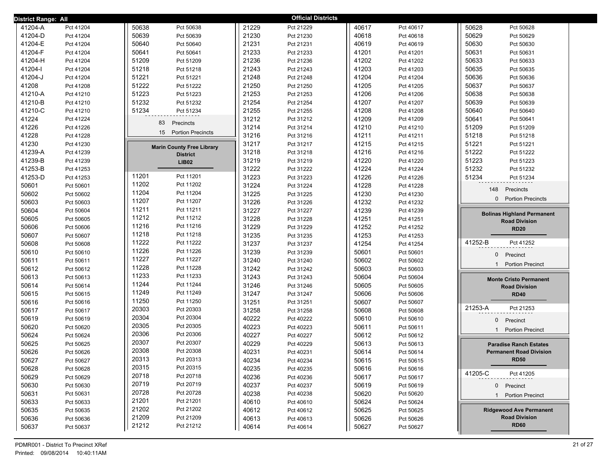| District Range: All |           |                                  |       | <b>Official Districts</b> |       |           |                                         |
|---------------------|-----------|----------------------------------|-------|---------------------------|-------|-----------|-----------------------------------------|
| 41204-A             | Pct 41204 | 50638<br>Pct 50638               | 21229 | Pct 21229                 | 40617 | Pct 40617 | 50628<br>Pct 50628                      |
| 41204-D             | Pct 41204 | 50639<br>Pct 50639               | 21230 | Pct 21230                 | 40618 | Pct 40618 | 50629<br>Pct 50629                      |
| 41204-E             | Pct 41204 | 50640<br>Pct 50640               | 21231 | Pct 21231                 | 40619 | Pct 40619 | 50630<br>Pct 50630                      |
| 41204-F             | Pct 41204 | 50641<br>Pct 50641               | 21233 | Pct 21233                 | 41201 | Pct 41201 | 50631<br>Pct 50631                      |
| 41204-H             | Pct 41204 | 51209<br>Pct 51209               | 21236 | Pct 21236                 | 41202 | Pct 41202 | 50633<br>Pct 50633                      |
| 41204-l             | Pct 41204 | 51218<br>Pct 51218               | 21243 | Pct 21243                 | 41203 | Pct 41203 | 50635<br>Pct 50635                      |
| 41204-J             | Pct 41204 | 51221<br>Pct 51221               | 21248 | Pct 21248                 | 41204 | Pct 41204 | 50636<br>Pct 50636                      |
| 41208               | Pct 41208 | 51222<br>Pct 51222               | 21250 | Pct 21250                 | 41205 | Pct 41205 | 50637<br>Pct 50637                      |
| 41210-A             | Pct 41210 | 51223<br>Pct 51223               | 21253 | Pct 21253                 | 41206 | Pct 41206 | 50638<br>Pct 50638                      |
| 41210-B             | Pct 41210 | 51232<br>Pct 51232               | 21254 | Pct 21254                 | 41207 | Pct 41207 | 50639<br>Pct 50639                      |
| 41210-C             | Pct 41210 | 51234<br>Pct 51234               | 21255 | Pct 21255                 | 41208 | Pct 41208 | 50640<br>Pct 50640                      |
| 41224               | Pct 41224 | 83<br>Precincts                  | 31212 | Pct 31212                 | 41209 | Pct 41209 | 50641<br>Pct 50641                      |
| 41226               | Pct 41226 |                                  | 31214 | Pct 31214                 | 41210 | Pct 41210 | 51209<br>Pct 51209                      |
| 41228               | Pct 41228 | 15<br><b>Portion Precincts</b>   | 31216 | Pct 31216                 | 41211 | Pct 41211 | 51218<br>Pct 51218                      |
| 41230               | Pct 41230 | <b>Marin County Free Library</b> | 31217 | Pct 31217                 | 41215 | Pct 41215 | 51221<br>Pct 51221                      |
| 41239-A             | Pct 41239 | <b>District</b>                  | 31218 | Pct 31218                 | 41216 | Pct 41216 | 51222<br>Pct 51222                      |
| 41239-B             | Pct 41239 | <b>LIB02</b>                     | 31219 | Pct 31219                 | 41220 | Pct 41220 | 51223<br>Pct 51223                      |
| 41253-B             | Pct 41253 |                                  | 31222 | Pct 31222                 | 41224 | Pct 41224 | 51232<br>Pct 51232                      |
| 41253-D             | Pct 41253 | 11201<br>Pct 11201               | 31223 | Pct 31223                 | 41226 | Pct 41226 | 51234<br>Pct 51234                      |
| 50601               | Pct 50601 | 11202<br>Pct 11202               | 31224 | Pct 31224                 | 41228 | Pct 41228 | 148<br>Precincts                        |
| 50602               | Pct 50602 | 11204<br>Pct 11204               | 31225 | Pct 31225                 | 41230 | Pct 41230 |                                         |
| 50603               | Pct 50603 | 11207<br>Pct 11207               | 31226 | Pct 31226                 | 41232 | Pct 41232 | <b>Portion Precincts</b><br>$\mathbf 0$ |
| 50604               | Pct 50604 | 11211<br>Pct 11211               | 31227 | Pct 31227                 | 41239 | Pct 41239 | <b>Bolinas Highland Permanent</b>       |
| 50605               | Pct 50605 | 11212<br>Pct 11212               | 31228 | Pct 31228                 | 41251 | Pct 41251 | <b>Road Division</b>                    |
| 50606               | Pct 50606 | 11216<br>Pct 11216               | 31229 | Pct 31229                 | 41252 | Pct 41252 | <b>RD20</b>                             |
| 50607               | Pct 50607 | 11218<br>Pct 11218               | 31235 | Pct 31235                 | 41253 | Pct 41253 |                                         |
| 50608               | Pct 50608 | 11222<br>Pct 11222               | 31237 | Pct 31237                 | 41254 | Pct 41254 | 41252-B<br>Pct 41252                    |
| 50610               | Pct 50610 | 11226<br>Pct 11226               | 31239 | Pct 31239                 | 50601 | Pct 50601 | $\mathbf{0}$<br>Precinct                |
| 50611               | Pct 50611 | 11227<br>Pct 11227               | 31240 | Pct 31240                 | 50602 | Pct 50602 | <b>Portion Precinct</b><br>$\mathbf{1}$ |
| 50612               | Pct 50612 | 11228<br>Pct 11228               | 31242 | Pct 31242                 | 50603 | Pct 50603 |                                         |
| 50613               | Pct 50613 | 11233<br>Pct 11233               | 31243 | Pct 31243                 | 50604 | Pct 50604 | <b>Monte Cristo Permanent</b>           |
| 50614               | Pct 50614 | 11244<br>Pct 11244               | 31246 | Pct 31246                 | 50605 | Pct 50605 | <b>Road Division</b>                    |
| 50615               | Pct 50615 | 11249<br>Pct 11249               | 31247 | Pct 31247                 | 50606 | Pct 50606 | <b>RD40</b>                             |
| 50616               | Pct 50616 | 11250<br>Pct 11250               | 31251 | Pct 31251                 | 50607 | Pct 50607 |                                         |
| 50617               | Pct 50617 | 20303<br>Pct 20303               | 31258 | Pct 31258                 | 50608 | Pct 50608 | 21253-A<br>Pct 21253                    |
| 50619               | Pct 50619 | 20304<br>Pct 20304               | 40222 | Pct 40222                 | 50610 | Pct 50610 | Precinct<br>$\mathbf 0$                 |
| 50620               | Pct 50620 | 20305<br>Pct 20305               | 40223 | Pct 40223                 | 50611 | Pct 50611 | <b>Portion Precinct</b><br>$\mathbf{1}$ |
| 50624               | Pct 50624 | 20306<br>Pct 20306               | 40227 | Pct 40227                 | 50612 | Pct 50612 |                                         |
| 50625               | Pct 50625 | 20307<br>Pct 20307               | 40229 | Pct 40229                 | 50613 | Pct 50613 | <b>Paradise Ranch Estates</b>           |
| 50626               | Pct 50626 | 20308<br>Pct 20308               | 40231 | Pct 40231                 | 50614 | Pct 50614 | <b>Permanent Road Division</b>          |
| 50627               | Pct 50627 | 20313<br>Pct 20313               | 40234 | Pct 40234                 | 50615 | Pct 50615 | RD <sub>50</sub>                        |
| 50628               | Pct 50628 | 20315<br>Pct 20315               | 40235 | Pct 40235                 | 50616 | Pct 50616 | 41205-C<br>Pct 41205                    |
| 50629               | Pct 50629 | 20718<br>Pct 20718               | 40236 | Pct 40236                 | 50617 | Pct 50617 |                                         |
| 50630               | Pct 50630 | 20719<br>Pct 20719               | 40237 | Pct 40237                 | 50619 | Pct 50619 | 0 Precinct                              |
| 50631               | Pct 50631 | 20728<br>Pct 20728               | 40238 | Pct 40238                 | 50620 | Pct 50620 | 1 Portion Precinct                      |
| 50633               | Pct 50633 | 21201<br>Pct 21201               | 40610 | Pct 40610                 | 50624 | Pct 50624 |                                         |
| 50635               | Pct 50635 | 21202<br>Pct 21202               | 40612 | Pct 40612                 | 50625 | Pct 50625 | <b>Ridgewood Ave Permanent</b>          |
| 50636               | Pct 50636 | 21209<br>Pct 21209               | 40613 | Pct 40613                 | 50626 | Pct 50626 | <b>Road Division</b><br><b>RD60</b>     |
| 50637               | Pct 50637 | 21212<br>Pct 21212               | 40614 | Pct 40614                 | 50627 | Pct 50627 |                                         |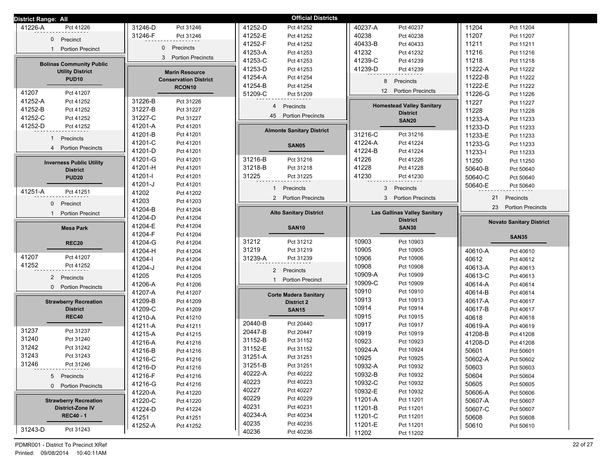| <b>District Range: All</b>      |                               | <b>Official Districts</b>                  |                                              |                                 |
|---------------------------------|-------------------------------|--------------------------------------------|----------------------------------------------|---------------------------------|
| 41226-A                         | 31246-D                       | 41252-D                                    | 40237-A                                      | 11204                           |
| Pct 41226                       | Pct 31246                     | Pct 41252                                  | Pct 40237                                    | Pct 11204                       |
| $\mathbf{0}$                    | 31246-F                       | 41252-E                                    | 40238                                        | 11207                           |
| Precinct                        | Pct 31246                     | Pct 41252                                  | Pct 40238                                    | Pct 11207                       |
|                                 | $\mathbf{0}$                  | 41252-F<br>Pct 41252                       | 40433-B<br>Pct 40433                         | 11211<br>Pct 11211              |
| <b>Portion Precinct</b>         | Precincts                     | 41253-A                                    | 41232                                        | 11216                           |
| $\mathbf{1}$                    |                               | Pct 41253                                  | Pct 41232                                    | Pct 11216                       |
| <b>Bolinas Community Public</b> | <b>Portion Precincts</b>      | 41253-C                                    | 41239-C                                      | 11218                           |
|                                 | 3                             | Pct 41253                                  | Pct 41239                                    | Pct 11218                       |
| <b>Utility District</b>         | <b>Marin Resource</b>         | 41253-D<br>Pct 41253                       | 41239-D<br>Pct 41239                         | 11222-A<br>Pct 11222            |
| <b>PUD10</b>                    | <b>Conservation District</b>  | 41254-A<br>Pct 41254                       | 8                                            | 11222-B<br>Pct 11222            |
|                                 | RCON <sub>10</sub>            | 41254-B<br>Pct 41254                       | Precincts                                    | 11222-E<br>Pct 11222            |
| 41207                           |                               | 51209-C                                    | <b>Portion Precincts</b>                     | 11226-G                         |
| Pct 41207                       |                               | Pct 51209                                  | 12                                           | Pct 11226                       |
| 41252-A<br>Pct 41252            | 31226-B<br>Pct 31226          | $\overline{4}$                             | <b>Homestead Valley Sanitary</b>             | 11227<br>Pct 11227              |
| 41252-B<br>Pct 41252            | 31227-B<br>Pct 31227          | Precincts                                  | <b>District</b>                              | 11228<br>Pct 11228              |
| 41252-C<br>Pct 41252            | 31227-C<br>Pct 31227          | 45 Portion Precincts                       | <b>SAN20</b>                                 | 11233-A<br>Pct 11233            |
| 41252-D<br>Pct 41252            | 41201-A<br>Pct 41201          | <b>Almonte Sanitary District</b>           |                                              | 11233-D<br>Pct 11233            |
| $\mathbf{1}$                    | 41201-B                       |                                            | 31216-C                                      | 11233-E                         |
| Precincts                       | Pct 41201                     |                                            | Pct 31216                                    | Pct 11233                       |
| $\overline{4}$                  | 41201-C<br>Pct 41201          | <b>SAN05</b>                               | 41224-A<br>Pct 41224                         | 11233-G<br>Pct 11233            |
| <b>Portion Precincts</b>        | 41201-D<br>Pct 41201          |                                            | 41224-B<br>Pct 41224                         | 11233-l<br>Pct 11233            |
| <b>Inverness Public Utility</b> | 41201-G                       | 31216-B                                    | 41226                                        | 11250                           |
|                                 | Pct 41201                     | Pct 31216                                  | Pct 41226                                    | Pct 11250                       |
| <b>District</b>                 | 41201-H                       | 31218-B                                    | 41228                                        | 50640-B                         |
|                                 | Pct 41201                     | Pct 31218                                  | Pct 41228                                    | Pct 50640                       |
| <b>PUD20</b>                    | 41201-l                       | 31225                                      | 41230                                        | 50640-C                         |
|                                 | Pct 41201                     | Pct 31225                                  | Pct 41230                                    | Pct 50640                       |
|                                 | 41201-J                       | Precincts                                  | 3                                            | 50640-E                         |
|                                 | Pct 41201                     | $\mathbf{1}$                               | Precincts                                    | Pct 50640                       |
| 41251-A                         | 41202                         | 2 Portion Precincts                        | 3 <sup>1</sup>                               | 21                              |
| Pct 41251                       | Pct 41202                     |                                            | <b>Portion Precincts</b>                     | Precincts                       |
| $\mathbf{0}$<br>Precinct        | 41203<br>Pct 41203            |                                            |                                              |                                 |
| <b>Portion Precinct</b><br>-1   | 41204-B<br>Pct 41204          | <b>Alto Sanitary District</b>              | <b>Las Gallinas Valley Sanitary</b>          | 23<br><b>Portion Precincts</b>  |
|                                 | 41204-D<br>Pct 41204          |                                            | <b>District</b>                              | <b>Novato Sanitary District</b> |
| <b>Mesa Park</b>                | 41204-E<br>Pct 41204          | <b>SAN10</b>                               | <b>SAN30</b>                                 |                                 |
|                                 |                               |                                            |                                              |                                 |
|                                 | 41204-F<br>Pct 41204          |                                            |                                              | <b>SAN35</b>                    |
| <b>REC20</b>                    | 41204-G<br>Pct 41204          | 31212<br>Pct 31212                         | 10903<br>Pct 10903                           |                                 |
|                                 | 41204-H                       | 31219                                      | 10905                                        | 40610-A                         |
|                                 | Pct 41204                     | Pct 31219                                  | Pct 10905                                    | Pct 40610                       |
| 41207                           | 41204-l                       | 31239-A                                    | 10906                                        | 40612                           |
| Pct 41207                       | Pct 41204                     | Pct 31239                                  | Pct 10906                                    | Pct 40612                       |
| 41252                           | 41204-J                       |                                            | 10908                                        | 40613-A                         |
| Pct 41252                       | Pct 41204                     |                                            | Pct 10908                                    | Pct 40613                       |
| 2 Precincts                     | 41205                         | 2 Precincts                                | 10909-A                                      | 40613-C                         |
|                                 | Pct 41205                     | 1                                          | Pct 10909                                    | Pct 40613                       |
| <b>Portion Precincts</b>        | 41206-A                       | <b>Portion Precinct</b>                    | 10909-C                                      | 40614-A                         |
| $\mathbf{0}$                    | Pct 41206                     |                                            | Pct 10909                                    | Pct 40614                       |
|                                 | 41207-A<br>Pct 41207          | <b>Corte Madera Sanitary</b>               | 10910<br>Pct 10910                           | 40614-B<br>Pct 40614            |
| <b>Strawberry Recreation</b>    | 41209-B<br>Pct 41209          | <b>District 2</b>                          | 10913<br>Pct 10913                           | 40617-A<br>Pct 40617            |
| <b>District</b>                 | 41209-C<br>Pct 41209          | <b>SAN15</b>                               | 10914<br>Pct 10914                           | 40617-B<br>Pct 40617            |
| <b>REC40</b>                    | 41210-A<br>Pct 41210          |                                            | 10915<br>Pct 10915                           | 40618<br>Pct 40618              |
|                                 | 41211-A                       | 20440-B                                    | 10917                                        | 40619-A                         |
|                                 | Pct 41211                     | Pct 20440                                  | Pct 10917                                    | Pct 40619                       |
| 31237                           | 41215-A                       | 20447-B                                    | 10919                                        | 41208-B                         |
| Pct 31237                       | Pct 41215                     | Pct 20447                                  | Pct 10919                                    | Pct 41208                       |
| 31240                           | 41216-A                       | 31152-B                                    | 10923                                        | 41208-D                         |
| Pct 31240                       | Pct 41216                     | Pct 31152                                  | Pct 10923                                    | Pct 41208                       |
| 31242                           | 41216-B                       | 31152-E                                    | 10924-A                                      | 50601                           |
| Pct 31242                       | Pct 41216                     | Pct 31152                                  | Pct 10924                                    | Pct 50601                       |
| 31243                           | 41216-C                       | 31251-A                                    | 10925                                        | 50602-A                         |
| Pct 31243                       | Pct 41216                     | Pct 31251                                  | Pct 10925                                    | Pct 50602                       |
| 31246                           | 41216-D                       | 31251-B                                    | 10932-A                                      | 50603                           |
| Pct 31246                       | Pct 41216                     | Pct 31251                                  | Pct 10932                                    | Pct 50603                       |
| 5 Precincts                     | 41216-F                       | 40222-A                                    | 10932-B                                      | 50604                           |
|                                 | Pct 41216                     | Pct 40222                                  | Pct 10932                                    | Pct 50604                       |
| 0 Portion Precincts             | 41216-G                       | 40223                                      | 10932-C                                      | 50605                           |
|                                 | Pct 41216                     | Pct 40223                                  | Pct 10932                                    | Pct 50605                       |
|                                 | 41220-A                       | 40227                                      | 10932-E                                      | 50606-A                         |
|                                 | Pct 41220                     | Pct 40227                                  | Pct 10932                                    | Pct 50606                       |
| <b>Strawberry Recreation</b>    | 41220-C                       | 40229                                      | 11201-A                                      | 50607-A                         |
|                                 | Pct 41220                     | Pct 40229                                  | Pct 11201                                    | Pct 50607                       |
| <b>District-Zone IV</b>         | 41224-D                       | 40231                                      | 11201-B                                      | 50607-C                         |
|                                 | Pct 41224                     | Pct 40231                                  | Pct 11201                                    | Pct 50607                       |
| <b>REC40 - 1</b>                | 41251<br>Pct 41251<br>41252-A | 40234-A<br>Pct 40234<br>40235<br>Pct 40235 | 11201-C<br>Pct 11201<br>11201-E<br>Pct 11201 | 50608<br>Pct 50608<br>50610     |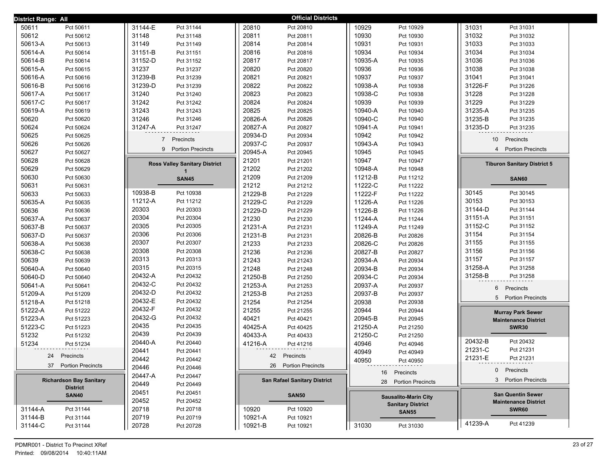| District Range: All            |                                      | <b>Official Districts</b>           |                             |                                                         |
|--------------------------------|--------------------------------------|-------------------------------------|-----------------------------|---------------------------------------------------------|
| 50611                          | 31144-E                              | 20810                               | 10929                       | 31031                                                   |
| Pct 50611                      | Pct 31144                            | Pct 20810                           | Pct 10929                   | Pct 31031                                               |
| 50612                          | 31148                                | 20811                               | 10930                       | 31032                                                   |
| Pct 50612                      | Pct 31148                            | Pct 20811                           | Pct 10930                   | Pct 31032                                               |
| 50613-A                        | 31149                                | 20814                               | 10931                       | 31033                                                   |
| Pct 50613                      | Pct 31149                            | Pct 20814                           | Pct 10931                   | Pct 31033                                               |
| 50614-A                        | 31151-B                              | 20816                               | 10934                       | 31034                                                   |
| Pct 50614                      | Pct 31151                            | Pct 20816                           | Pct 10934                   | Pct 31034                                               |
| 50614-B                        | 31152-D                              | 20817                               | 10935-A                     | 31036                                                   |
| Pct 50614                      | Pct 31152                            | Pct 20817                           | Pct 10935                   | Pct 31036                                               |
| 50615-A                        | 31237                                | 20820                               | 10936                       | 31038                                                   |
| Pct 50615                      | Pct 31237                            | Pct 20820                           | Pct 10936                   | Pct 31038                                               |
| 50616-A                        | 31239-B                              | 20821                               | 10937                       | 31041                                                   |
| Pct 50616                      | Pct 31239                            | Pct 20821                           | Pct 10937                   | Pct 31041                                               |
| 50616-B                        | 31239-D                              | 20822                               | 10938-A                     | 31226-F                                                 |
| Pct 50616                      | Pct 31239                            | Pct 20822                           | Pct 10938                   | Pct 31226                                               |
| 50617-A                        | 31240                                | 20823                               | 10938-C                     | 31228                                                   |
| Pct 50617                      | Pct 31240                            | Pct 20823                           | Pct 10938                   | Pct 31228                                               |
| 50617-C                        | 31242                                | 20824                               | 10939                       | 31229                                                   |
| Pct 50617                      | Pct 31242                            | Pct 20824                           | Pct 10939                   | Pct 31229                                               |
| 50619-A                        | 31243                                | 20825                               | 10940-A                     | 31235-A                                                 |
| Pct 50619                      | Pct 31243                            | Pct 20825                           | Pct 10940                   | Pct 31235                                               |
| 50620                          | 31246                                | 20826-A                             | 10940-C                     | 31235-B                                                 |
| Pct 50620                      | Pct 31246                            | Pct 20826                           | Pct 10940                   | Pct 31235                                               |
| 50624                          | 31247-A                              | 20827-A                             | 10941-A                     | 31235-D                                                 |
| Pct 50624                      | Pct 31247                            | Pct 20827                           | Pct 10941                   | Pct 31235                                               |
| 50625<br>Pct 50625             |                                      | 20934-D<br>Pct 20934                | 10942<br>Pct 10942          |                                                         |
| 50626                          | $\overline{7}$                       | 20937-C                             | 10943-A                     | 10 <sup>1</sup>                                         |
| Pct 50626                      | Precincts                            | Pct 20937                           | Pct 10943                   | Precincts                                               |
| 50627                          | 9 Portion Precincts                  | 20945-A                             | 10945                       | <b>Portion Precincts</b>                                |
| Pct 50627                      |                                      | Pct 20945                           | Pct 10945                   | $\overline{4}$                                          |
| 50628<br>Pct 50628             |                                      | 21201<br>Pct 21201                  | 10947<br>Pct 10947          |                                                         |
| 50629<br>Pct 50629             | <b>Ross Valley Sanitary District</b> | 21202<br>Pct 21202                  | 10948-A<br>Pct 10948        | <b>Tiburon Sanitary District 5</b>                      |
| 50630<br>Pct 50630             | <b>SAN45</b>                         | 21209<br>Pct 21209                  | 11212-B<br>Pct 11212        | <b>SAN60</b>                                            |
| 50631<br>Pct 50631             |                                      | 21212<br>Pct 21212                  | 11222-C<br>Pct 11222        |                                                         |
| 50633                          | 10938-B                              | 21229-B                             | 11222-F                     | 30145                                                   |
| Pct 50633                      | Pct 10938                            | Pct 21229                           | Pct 11222                   | Pct 30145                                               |
| 50635-A                        | 11212-A                              | 21229-C                             | 11226-A                     | 30153                                                   |
| Pct 50635                      | Pct 11212                            | Pct 21229                           | Pct 11226                   | Pct 30153                                               |
| 50636                          | 20303                                | 21229-D                             | 11226-B                     | 31144-D                                                 |
| Pct 50636                      | Pct 20303                            | Pct 21229                           | Pct 11226                   | Pct 31144                                               |
| 50637-A                        | 20304                                | 21230                               | 11244-A                     | 31151-A                                                 |
| Pct 50637                      | Pct 20304                            | Pct 21230                           | Pct 11244                   | Pct 31151                                               |
| 50637-B                        | 20305                                | 21231-A                             | 11249-A                     | 31152-C                                                 |
| Pct 50637                      | Pct 20305                            | Pct 21231                           | Pct 11249                   | Pct 31152                                               |
| 50637-D                        | 20306                                | 21231-B                             | 20826-B                     | 31154                                                   |
| Pct 50637                      | Pct 20306                            | Pct 21231                           | Pct 20826                   | Pct 31154                                               |
| 50638-A                        | 20307                                | 21233                               | 20826-C                     | Pct 31155                                               |
| Pct 50638                      | Pct 20307                            | Pct 21233                           | Pct 20826                   | 31155                                                   |
| 50638-C                        | 20308                                | 21236                               | 20827-B                     | 31156                                                   |
| Pct 50638                      | Pct 20308                            | Pct 21236                           | Pct 20827                   | Pct 31156                                               |
| 50639                          | 20313                                | 21243                               | 20934-A                     | 31157                                                   |
| Pct 50639                      | Pct 20313                            | Pct 21243                           | Pct 20934                   | Pct 31157                                               |
| 50640-A                        | 20315                                | 21248                               | 20934-B                     | 31258-A                                                 |
| Pct 50640                      | Pct 20315                            | Pct 21248                           | Pct 20934                   | Pct 31258                                               |
| 50640-D                        | 20432-A                              | 21250-B                             | 20934-C                     | 31258-B                                                 |
| Pct 50640                      | Pct 20432                            | Pct 21250                           | Pct 20934                   | Pct 31258                                               |
| 50641-A                        | 20432-C                              | 21253-A                             | 20937-A                     |                                                         |
| Pct 50641                      | Pct 20432                            | Pct 21253                           | Pct 20937                   |                                                         |
| 51209-A                        | 20432-D                              | 21253-B                             | 20937-B                     | 6                                                       |
| Pct 51209                      | Pct 20432                            | Pct 21253                           | Pct 20937                   | Precincts                                               |
| 51218-A                        | 20432-E                              | 21254                               | 20938                       | 5                                                       |
| Pct 51218                      | Pct 20432                            | Pct 21254                           | Pct 20938                   | <b>Portion Precincts</b>                                |
| 51222-A                        | 20432-F                              | 21255                               | 20944                       |                                                         |
| Pct 51222                      | Pct 20432                            | Pct 21255                           | Pct 20944                   |                                                         |
| 51223-A                        | 20432-G                              | 40421                               | 20945-B                     | <b>Murray Park Sewer</b>                                |
| Pct 51223                      | Pct 20432                            | Pct 40421                           | Pct 20945                   | <b>Maintenance District</b>                             |
| 51223-C                        | 20435                                | 40425-A                             | 21250-A                     | <b>SWR30</b>                                            |
| Pct 51223                      | Pct 20435                            | Pct 40425                           | Pct 21250                   |                                                         |
| 51232                          | 20439                                | 40433-A                             | 21250-C                     |                                                         |
| Pct 51232                      | Pct 20439                            | Pct 40433                           | Pct 21250                   |                                                         |
| 51234                          | 20440-A                              | 41216-A                             | 40946                       | 20432-B                                                 |
| Pct 51234                      | Pct 20440                            | Pct 41216                           | Pct 40946                   | Pct 20432                                               |
|                                | 20441<br>Pct 20441                   |                                     | 40949<br>Pct 40949          | 21231-C<br>Pct 21231                                    |
| 24                             | 20442                                | 42                                  | 40950                       | 21231-E                                                 |
| Precincts                      | Pct 20442                            | Precincts                           | Pct 40950                   | Pct 21231                                               |
| 37 Portion Precincts           | 20446<br>Pct 20446                   | 26 Portion Precincts                |                             |                                                         |
|                                | 20447-A<br>Pct 20447                 |                                     | 16 Precincts                | 0 Precincts                                             |
| <b>Richardson Bay Sanitary</b> | 20449<br>Pct 20449                   | <b>San Rafael Sanitary District</b> | 28 Portion Precincts        | 3 Portion Precincts                                     |
| <b>District</b>                | 20451<br>Pct 20451                   |                                     |                             |                                                         |
| <b>SAN40</b>                   | 20452<br>Pct 20452                   | <b>SAN50</b>                        | <b>Sausalito-Marin City</b> | <b>San Quentin Sewer</b><br><b>Maintenance District</b> |
| 31144-A<br>Pct 31144           | 20718<br>Pct 20718                   | 10920<br>Pct 10920                  | <b>Sanitary District</b>    | <b>SWR60</b>                                            |
| 31144-B<br>Pct 31144           | 20719<br>Pct 20719                   | 10921-A<br>Pct 10921                | <b>SAN55</b>                |                                                         |
| 31144-C                        | 20728                                | 10921-B                             | 31030                       | 41239-A                                                 |
| Pct 31144                      | Pct 20728                            | Pct 10921                           | Pct 31030                   | Pct 41239                                               |
|                                |                                      |                                     |                             |                                                         |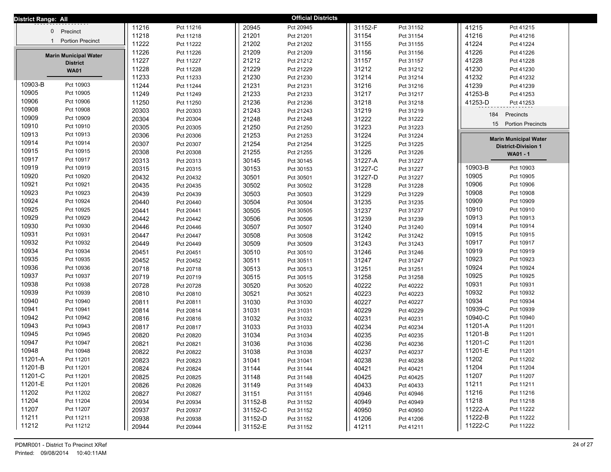| District Range: All                     |       |           |         | <b>Official Districts</b> |         |           |                                |
|-----------------------------------------|-------|-----------|---------|---------------------------|---------|-----------|--------------------------------|
|                                         | 11216 | Pct 11216 | 20945   | Pct 20945                 | 31152-F | Pct 31152 | 41215<br>Pct 41215             |
| 0 Precinct                              | 11218 | Pct 11218 | 21201   | Pct 21201                 | 31154   | Pct 31154 | 41216<br>Pct 41216             |
| <b>Portion Precinct</b><br>$\mathbf{1}$ | 11222 | Pct 11222 | 21202   | Pct 21202                 | 31155   | Pct 31155 | 41224<br>Pct 41224             |
| <b>Marin Municipal Water</b>            | 11226 | Pct 11226 | 21209   | Pct 21209                 | 31156   | Pct 31156 | 41226<br>Pct 41226             |
| <b>District</b>                         | 11227 | Pct 11227 | 21212   | Pct 21212                 | 31157   | Pct 31157 | 41228<br>Pct 41228             |
| <b>WA01</b>                             | 11228 | Pct 11228 | 21229   | Pct 21229                 | 31212   | Pct 31212 | 41230<br>Pct 41230             |
|                                         | 11233 | Pct 11233 | 21230   | Pct 21230                 | 31214   | Pct 31214 | 41232<br>Pct 41232             |
| 10903-B<br>Pct 10903                    | 11244 | Pct 11244 | 21231   | Pct 21231                 | 31216   | Pct 31216 | 41239<br>Pct 41239             |
| 10905<br>Pct 10905                      | 11249 | Pct 11249 | 21233   | Pct 21233                 | 31217   | Pct 31217 | 41253-B<br>Pct 41253           |
| 10906<br>Pct 10906                      | 11250 | Pct 11250 | 21236   | Pct 21236                 | 31218   | Pct 31218 | 41253-D<br>Pct 41253           |
| 10908<br>Pct 10908                      | 20303 | Pct 20303 | 21243   | Pct 21243                 | 31219   | Pct 31219 | 184<br>Precincts               |
| 10909<br>Pct 10909                      | 20304 | Pct 20304 | 21248   | Pct 21248                 | 31222   | Pct 31222 |                                |
| 10910<br>Pct 10910                      | 20305 | Pct 20305 | 21250   | Pct 21250                 | 31223   | Pct 31223 | 15<br><b>Portion Precincts</b> |
| 10913<br>Pct 10913                      | 20306 | Pct 20306 | 21253   | Pct 21253                 | 31224   | Pct 31224 | <b>Marin Municipal Water</b>   |
| 10914<br>Pct 10914                      | 20307 | Pct 20307 | 21254   | Pct 21254                 | 31225   | Pct 31225 | <b>District-Division 1</b>     |
| 10915<br>Pct 10915                      | 20308 | Pct 20308 | 21255   | Pct 21255                 | 31226   | Pct 31226 | WA01 - 1                       |
| 10917<br>Pct 10917                      | 20313 | Pct 20313 | 30145   | Pct 30145                 | 31227-A | Pct 31227 |                                |
| 10919<br>Pct 10919                      | 20315 | Pct 20315 | 30153   | Pct 30153                 | 31227-C | Pct 31227 | 10903-B<br>Pct 10903           |
| 10920<br>Pct 10920                      | 20432 | Pct 20432 | 30501   | Pct 30501                 | 31227-D | Pct 31227 | 10905<br>Pct 10905             |
| 10921<br>Pct 10921                      | 20435 | Pct 20435 | 30502   | Pct 30502                 | 31228   | Pct 31228 | 10906<br>Pct 10906             |
| 10923<br>Pct 10923                      | 20439 | Pct 20439 | 30503   | Pct 30503                 | 31229   | Pct 31229 | 10908<br>Pct 10908             |
| 10924<br>Pct 10924                      | 20440 | Pct 20440 | 30504   | Pct 30504                 | 31235   | Pct 31235 | 10909<br>Pct 10909             |
| 10925<br>Pct 10925                      | 20441 | Pct 20441 | 30505   | Pct 30505                 | 31237   | Pct 31237 | 10910<br>Pct 10910             |
| 10929<br>Pct 10929                      | 20442 | Pct 20442 | 30506   | Pct 30506                 | 31239   | Pct 31239 | 10913<br>Pct 10913             |
| 10930<br>Pct 10930                      | 20446 | Pct 20446 | 30507   | Pct 30507                 | 31240   | Pct 31240 | 10914<br>Pct 10914             |
| 10931<br>Pct 10931                      | 20447 | Pct 20447 | 30508   | Pct 30508                 | 31242   | Pct 31242 | 10915<br>Pct 10915             |
| 10932<br>Pct 10932                      | 20449 | Pct 20449 | 30509   | Pct 30509                 | 31243   | Pct 31243 | 10917<br>Pct 10917             |
| 10934<br>Pct 10934                      | 20451 | Pct 20451 | 30510   | Pct 30510                 | 31246   | Pct 31246 | 10919<br>Pct 10919             |
| 10935<br>Pct 10935                      | 20452 | Pct 20452 | 30511   | Pct 30511                 | 31247   | Pct 31247 | 10923<br>Pct 10923             |
| 10936<br>Pct 10936                      | 20718 | Pct 20718 | 30513   | Pct 30513                 | 31251   | Pct 31251 | 10924<br>Pct 10924             |
| 10937<br>Pct 10937                      | 20719 | Pct 20719 | 30515   | Pct 30515                 | 31258   | Pct 31258 | 10925<br>Pct 10925             |
| 10938<br>Pct 10938                      | 20728 | Pct 20728 | 30520   | Pct 30520                 | 40222   | Pct 40222 | 10931<br>Pct 10931             |
| 10939<br>Pct 10939                      | 20810 | Pct 20810 | 30521   | Pct 30521                 | 40223   | Pct 40223 | 10932<br>Pct 10932             |
| 10940<br>Pct 10940                      | 20811 | Pct 20811 | 31030   | Pct 31030                 | 40227   | Pct 40227 | 10934<br>Pct 10934             |
| 10941<br>Pct 10941                      | 20814 | Pct 20814 | 31031   | Pct 31031                 | 40229   | Pct 40229 | 10939-C<br>Pct 10939           |
| 10942<br>Pct 10942                      | 20816 | Pct 20816 | 31032   | Pct 31032                 | 40231   | Pct 40231 | 10940-C<br>Pct 10940           |
| 10943<br>Pct 10943                      | 20817 | Pct 20817 | 31033   | Pct 31033                 | 40234   | Pct 40234 | 11201-A<br>Pct 11201           |
| 10945<br>Pct 10945                      | 20820 | Pct 20820 | 31034   | Pct 31034                 | 40235   | Pct 40235 | 11201-B<br>Pct 11201           |
| 10947<br>Pct 10947                      | 20821 | Pct 20821 | 31036   | Pct 31036                 | 40236   | Pct 40236 | 11201-C<br>Pct 11201           |
| 10948<br>Pct 10948                      | 20822 | Pct 20822 | 31038   | Pct 31038                 | 40237   | Pct 40237 | 11201-E<br>Pct 11201           |
| 11201-A<br>Pct 11201                    | 20823 | Pct 20823 | 31041   | Pct 31041                 | 40238   | Pct 40238 | 11202<br>Pct 11202             |
| 11201-B<br>Pct 11201                    | 20824 | Pct 20824 | 31144   | Pct 31144                 | 40421   | Pct 40421 | 11204<br>Pct 11204             |
| 11201-C<br>Pct 11201                    | 20825 | Pct 20825 | 31148   | Pct 31148                 | 40425   | Pct 40425 | 11207<br>Pct 11207             |
| 11201-E<br>Pct 11201                    | 20826 | Pct 20826 | 31149   | Pct 31149                 | 40433   | Pct 40433 | 11211<br>Pct 11211             |
| 11202<br>Pct 11202                      | 20827 | Pct 20827 | 31151   | Pct 31151                 | 40946   | Pct 40946 | 11216<br>Pct 11216             |
| 11204<br>Pct 11204                      | 20934 | Pct 20934 | 31152-B | Pct 31152                 | 40949   | Pct 40949 | 11218<br>Pct 11218             |
| 11207<br>Pct 11207                      | 20937 | Pct 20937 | 31152-C | Pct 31152                 | 40950   | Pct 40950 | 11222-A<br>Pct 11222           |
| 11211<br>Pct 11211                      | 20938 | Pct 20938 | 31152-D | Pct 31152                 | 41206   | Pct 41206 | 11222-B<br>Pct 11222           |
| 11212<br>Pct 11212                      | 20944 | Pct 20944 | 31152-E | Pct 31152                 | 41211   | Pct 41211 | 11222-C<br>Pct 11222           |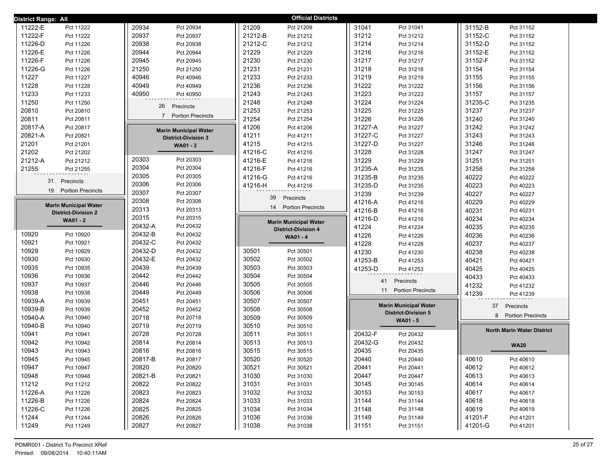| District Range: All               |                                 | <b>Official Districts</b>       |                                |                                   |
|-----------------------------------|---------------------------------|---------------------------------|--------------------------------|-----------------------------------|
| 11222-E                           | 20934                           | 21209                           | 31041                          | 31152-B                           |
| Pct 11222                         | Pct 20934                       | Pct 21209                       | Pct 31041                      | Pct 31152                         |
| 11222-F                           | 20937                           | 21212-B                         | 31212                          | 31152-C                           |
| Pct 11222                         | Pct 20937                       | Pct 21212                       | Pct 31212                      | Pct 31152                         |
| 11226-D                           | 20938                           | 21212-C                         | 31214                          | 31152-D                           |
| Pct 11226                         | Pct 20938                       | Pct 21212                       | Pct 31214                      | Pct 31152                         |
| 11226-E                           | 20944                           | 21229                           | 31216                          | 31152-E                           |
| Pct 11226                         | Pct 20944                       | Pct 21229                       | Pct 31216                      | Pct 31152                         |
| 11226-F                           | 20945                           | 21230                           | 31217                          | 31152-F                           |
| Pct 11226                         | Pct 20945                       | Pct 21230                       | Pct 31217                      | Pct 31152                         |
| 11226-G                           | 21250                           | 21231                           | 31218                          | 31154                             |
| Pct 11226                         | Pct 21250                       | Pct 21231                       | Pct 31218                      | Pct 31154                         |
| 11227                             | 40946                           | 21233                           | 31219                          | 31155                             |
| Pct 11227                         | Pct 40946                       | Pct 21233                       | Pct 31219                      | Pct 31155                         |
| 11228                             | 40949                           | 21236                           | 31222                          | 31156                             |
| Pct 11228                         | Pct 40949                       | Pct 21236                       | Pct 31222                      | Pct 31156                         |
| 11233                             | 40950                           | 21243                           | 31223                          | 31157                             |
| Pct 11233                         | Pct 40950                       | Pct 21243                       | Pct 31223                      | Pct 31157                         |
| 11250                             | 26                              | 21248                           | 31224                          | 31235-C                           |
| Pct 11250                         | Precincts                       | Pct 21248                       | Pct 31224                      | Pct 31235                         |
| 20810                             |                                 | 21253                           | 31225                          | 31237                             |
| Pct 20810                         |                                 | Pct 21253                       | Pct 31225                      | Pct 31237                         |
| 20811                             | <b>Portion Precincts</b>        | 21254                           | 31226                          | 31240                             |
| Pct 20811                         | $\overline{7}$                  | Pct 21254                       | Pct 31226                      | Pct 31240                         |
| 20817-A                           | <b>Marin Municipal Water</b>    | 41206                           | 31227-A                        | 31242                             |
| Pct 20817                         |                                 | Pct 41206                       | Pct 31227                      | Pct 31242                         |
| 20821-A                           | <b>District-Division 3</b>      | 41211                           | 31227-C                        | 31243                             |
| Pct 20821                         |                                 | Pct 41211                       | Pct 31227                      | Pct 31243                         |
| 21201                             | WA01 - 3                        | 41215                           | 31227-D                        | 31246                             |
| Pct 21201                         |                                 | Pct 41215                       | Pct 31227                      | Pct 31246                         |
| 21202                             |                                 | 41216-C                         | 31228                          | 31247                             |
| Pct 21202                         |                                 | Pct 41216                       | Pct 31228                      | Pct 31247                         |
| 21212-A                           | 20303                           | 41216-E                         | 31229                          | 31251                             |
| Pct 21212                         | Pct 20303                       | Pct 41216                       | Pct 31229                      | Pct 31251                         |
| 21255                             | 20304                           | 41216-F                         | 31235-A                        | 31258                             |
| Pct 21255                         | Pct 20304                       | Pct 41216                       | Pct 31235                      | Pct 31258                         |
| 31                                | 20305                           | 41216-G                         | 31235-B                        | 40222                             |
| Precincts                         | Pct 20305                       | Pct 41216                       | Pct 31235                      | Pct 40222                         |
| <b>Portion Precincts</b>          | 20306                           | 41216-H                         | 31235-D                        | 40223                             |
| 19                                | Pct 20306                       | Pct 41216                       | Pct 31235                      | Pct 40223                         |
|                                   | 20307                           | 39                              | 31239                          | 40227                             |
|                                   | Pct 20307                       | Precincts                       | Pct 31239                      | Pct 40227                         |
| <b>Marin Municipal Water</b>      | 20308                           | 14                              | 41216-A                        | 40229                             |
|                                   | Pct 20308                       | <b>Portion Precincts</b>        | Pct 41216                      | Pct 40229                         |
| <b>District-Division 2</b>        | 20313<br>Pct 20313              |                                 | 41216-B<br>Pct 41216           | 40231<br>Pct 40231                |
| <b>WA01 - 2</b>                   | 20315<br>Pct 20315              | <b>Marin Municipal Water</b>    | 41216-D<br>Pct 41216           | 40234<br>Pct 40234                |
|                                   | 20432-A<br>Pct 20432            | <b>District-Division 4</b>      | 41224<br>Pct 41224             | 40235<br>Pct 40235                |
| 10920                             | 20432-B                         | <b>WA01 - 4</b>                 | 41226                          | 40236                             |
| Pct 10920                         | Pct 20432                       |                                 | Pct 41226                      | Pct 40236                         |
| 10921                             | 20432-C                         |                                 | 41228                          | 40237                             |
| Pct 10921                         | Pct 20432                       |                                 | Pct 41228                      | Pct 40237                         |
| 10929                             | 20432-D                         | 30501                           | 41230                          | 40238                             |
| Pct 10929                         | Pct 20432                       | Pct 30501                       | Pct 41230                      | Pct 40238                         |
| 10930                             | 20432-E                         | 30502                           | 41253-B                        | 40421                             |
| Pct 10930                         | Pct 20432                       | Pct 30502                       | Pct 41253                      | Pct 40421                         |
| 10935                             | 20439                           | 30503                           | 41253-D                        | 40425                             |
| Pct 10935                         | Pct 20439                       | Pct 30503                       | Pct 41253                      | Pct 40425                         |
| 10936                             | 20442                           | 30504                           | 41                             | 40433                             |
| Pct 10936                         | Pct 20442                       | Pct 30504                       | Precincts                      | Pct 40433                         |
| 10937<br>Pct 10937<br>10938       | 20446<br>Pct 20446              | 30505<br>Pct 30505              | 11<br><b>Portion Precincts</b> | 41232<br>Pct 41232                |
| Pct 10938<br>10939-A              | 20449<br>Pct 20449<br>20451     | 30506<br>Pct 30506<br>30507     |                                | 41239<br>Pct 41239                |
| Pct 10939<br>10939-B<br>Pct 10939 | Pct 20451<br>20452<br>Pct 20452 | Pct 30507<br>30508<br>Pct 30508 | <b>Marin Municipal Water</b>   | 37<br>Precincts                   |
| 10940-A                           | 20718                           | 30509                           | <b>District-Division 5</b>     | <b>Portion Precincts</b>          |
| Pct 10940                         | Pct 20718                       | Pct 30509                       |                                | 8                                 |
| 10940-B<br>Pct 10940              | 20719<br>Pct 20719              | 30510<br>Pct 30510              | WA01 - 5                       |                                   |
| 10941                             | 20728                           | 30511                           | 20432-F                        | <b>North Marin Water District</b> |
| Pct 10941                         | Pct 20728                       | Pct 30511                       | Pct 20432                      |                                   |
| 10942                             | 20814                           | 30513                           | 20432-G                        |                                   |
| Pct 10942                         | Pct 20814                       | Pct 30513                       | Pct 20432                      |                                   |
| 10943                             | 20816                           | 30515                           | 20435                          | <b>WA20</b>                       |
| Pct 10943                         | Pct 20816                       | Pct 30515                       | Pct 20435                      |                                   |
| 10945                             | 20817-B                         | 30520                           | 20440                          | 40610                             |
| Pct 10945                         | Pct 20817                       | Pct 30520                       | Pct 20440                      | Pct 40610                         |
| 10947                             | 20820                           | 30521                           | 20441                          | 40612                             |
| Pct 10947                         | Pct 20820                       | Pct 30521                       | Pct 20441                      | Pct 40612                         |
| 10948                             | 20821-B                         | 31030                           | 20447                          | 40613                             |
| Pct 10948                         | Pct 20821                       | Pct 31030                       | Pct 20447                      | Pct 40613                         |
| 11212                             | 20822                           | 31031                           | 30145                          | 40614                             |
| Pct 11212                         | Pct 20822                       | Pct 31031                       | Pct 30145                      | Pct 40614                         |
| 11226-A                           | 20823                           | 31032                           | 30153                          | 40617                             |
| Pct 11226                         | Pct 20823                       | Pct 31032                       | Pct 30153                      | Pct 40617                         |
| 11226-B                           | 20824                           | 31033                           | 31144                          | 40618                             |
| Pct 11226                         | Pct 20824                       | Pct 31033                       | Pct 31144                      | Pct 40618                         |
| 11226-C                           | 20825                           | 31034                           | 31148                          | 40619                             |
| Pct 11226                         | Pct 20825                       | Pct 31034                       | Pct 31148                      | Pct 40619                         |
|                                   |                                 |                                 |                                |                                   |
|                                   |                                 |                                 |                                |                                   |
| 11244                             | 20826                           | 31036                           | 31149                          | 41201-F                           |
| Pct 11244                         | Pct 20826                       | Pct 31036                       | Pct 31149                      | Pct 41201                         |
| 11249                             | 20827                           | 31038                           | 31151                          | 41201-G                           |
| Pct 11249                         | Pct 20827                       | Pct 31038                       | Pct 31151                      | Pct 41201                         |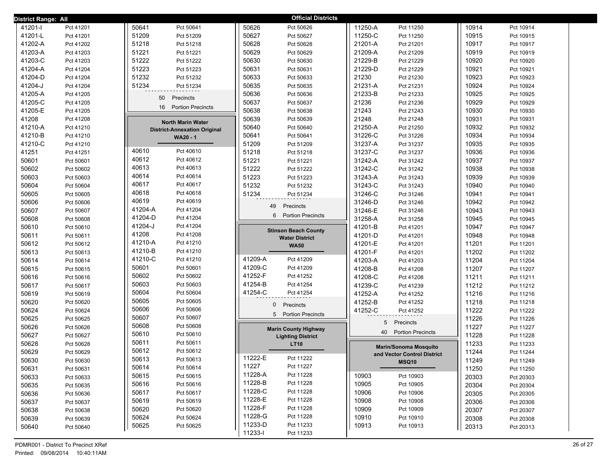| District Range: All |           |                                          | <b>Official Districts</b>     |                                |       |           |
|---------------------|-----------|------------------------------------------|-------------------------------|--------------------------------|-------|-----------|
| 41201-l             | Pct 41201 | 50641<br>Pct 50641                       | 50626<br>Pct 50626            | 11250-A<br>Pct 11250           | 10914 | Pct 10914 |
| 41201-L             | Pct 41201 | 51209<br>Pct 51209                       | 50627<br>Pct 50627            | 11250-C<br>Pct 11250           | 10915 | Pct 10915 |
| 41202-A             | Pct 41202 | 51218<br>Pct 51218                       | 50628<br>Pct 50628            | 21201-A<br>Pct 21201           | 10917 | Pct 10917 |
| 41203-A             | Pct 41203 | 51221<br>Pct 51221                       | 50629<br>Pct 50629            | 21209-A<br>Pct 21209           | 10919 | Pct 10919 |
| 41203-C             | Pct 41203 | 51222<br>Pct 51222                       | 50630<br>Pct 50630            | 21229-B<br>Pct 21229           | 10920 | Pct 10920 |
| 41204-A             | Pct 41204 | 51223<br>Pct 51223                       | 50631<br>Pct 50631            | 21229-D<br>Pct 21229           | 10921 | Pct 10921 |
| 41204-D             | Pct 41204 | 51232<br>Pct 51232                       | 50633<br>Pct 50633            | 21230<br>Pct 21230             | 10923 | Pct 10923 |
| 41204-J             | Pct 41204 | 51234<br>Pct 51234                       | 50635<br>Pct 50635            | 21231-A<br>Pct 21231           | 10924 | Pct 10924 |
| 41205-A             | Pct 41205 | 50<br>Precincts                          | 50636<br>Pct 50636            | 21233-B<br>Pct 21233           | 10925 | Pct 10925 |
| 41205-C             | Pct 41205 |                                          | 50637<br>Pct 50637            | 21236<br>Pct 21236             | 10929 | Pct 10929 |
| 41205-E             | Pct 41205 | 16<br><b>Portion Precincts</b>           | 50638<br>Pct 50638            | 21243<br>Pct 21243             | 10930 | Pct 10930 |
| 41208               | Pct 41208 | <b>North Marin Water</b>                 | 50639<br>Pct 50639            | 21248<br>Pct 21248             | 10931 | Pct 10931 |
| 41210-A             | Pct 41210 | <b>District-Annexation Original</b>      | 50640<br>Pct 50640            | 21250-A<br>Pct 21250           | 10932 | Pct 10932 |
| 41210-B             | Pct 41210 | <b>WA20 - 1</b>                          | 50641<br>Pct 50641            | 31226-C<br>Pct 31226           | 10934 | Pct 10934 |
| 41210-C             | Pct 41210 |                                          | 51209<br>Pct 51209            | 31237-A<br>Pct 31237           | 10935 | Pct 10935 |
| 41251               | Pct 41251 | 40610<br>Pct 40610                       | 51218<br>Pct 51218            | 31237-C<br>Pct 31237           | 10936 | Pct 10936 |
| 50601               | Pct 50601 | 40612<br>Pct 40612                       | 51221<br>Pct 51221            | 31242-A<br>Pct 31242           | 10937 | Pct 10937 |
| 50602               | Pct 50602 | 40613<br>Pct 40613                       | 51222<br>Pct 51222            | 31242-C<br>Pct 31242           | 10938 | Pct 10938 |
| 50603               | Pct 50603 | 40614<br>Pct 40614                       | 51223<br>Pct 51223            | 31243-A<br>Pct 31243           | 10939 | Pct 10939 |
| 50604               | Pct 50604 | 40617<br>Pct 40617                       | 51232<br>Pct 51232            | 31243-C<br>Pct 31243           | 10940 | Pct 10940 |
| 50605               | Pct 50605 | 40618<br>Pct 40618                       | 51234<br>Pct 51234            | 31246-C<br>Pct 31246           | 10941 | Pct 10941 |
| 50606               | Pct 50606 | 40619<br>Pct 40619                       | 49<br>Precincts               | 31246-D<br>Pct 31246           | 10942 | Pct 10942 |
| 50607               | Pct 50607 | 41204-A<br>Pct 41204                     | <b>Portion Precincts</b><br>6 | 31246-E<br>Pct 31246           | 10943 | Pct 10943 |
| 50608               | Pct 50608 | 41204-D<br>Pct 41204                     |                               | 31258-A<br>Pct 31258           | 10945 | Pct 10945 |
| 50610               | Pct 50610 | 41204-J<br>Pct 41204                     | <b>Stinson Beach County</b>   | 41201-B<br>Pct 41201           | 10947 | Pct 10947 |
| 50611               | Pct 50611 | 41208<br>Pct 41208                       | <b>Water District</b>         | 41201-D<br>Pct 41201           | 10948 | Pct 10948 |
| 50612               | Pct 50612 | 41210-A<br>Pct 41210                     | <b>WA50</b>                   | 41201-E<br>Pct 41201           | 11201 | Pct 11201 |
| 50613               | Pct 50613 | 41210-B<br>Pct 41210                     |                               | 41201-F<br>Pct 41201           | 11202 | Pct 11202 |
| 50614               | Pct 50614 | 41210-C<br>Pct 41210                     | 41209-A<br>Pct 41209          | 41203-A<br>Pct 41203           | 11204 | Pct 11204 |
| 50615               | Pct 50615 | 50601<br>Pct 50601                       | 41209-C<br>Pct 41209          | 41208-B<br>Pct 41208           | 11207 | Pct 11207 |
| 50616               | Pct 50616 | 50602<br>Pct 50602                       | 41252-F<br>Pct 41252          | 41208-C<br>Pct 41208           | 11211 | Pct 11211 |
| 50617               | Pct 50617 | 50603<br>Pct 50603                       | 41254-B<br>Pct 41254          | 41239-C<br>Pct 41239           | 11212 | Pct 11212 |
| 50619               | Pct 50619 | 50604<br>Pct 50604<br>50605              | 41254-C<br>Pct 41254          | 41252-A<br>Pct 41252           | 11216 | Pct 11216 |
| 50620               | Pct 50620 | Pct 50605<br>50606                       | $\mathbf 0$<br>Precincts      | 41252-B<br>Pct 41252           | 11218 | Pct 11218 |
| 50624               | Pct 50624 | Pct 50606                                | 5 Portion Precincts           | 41252-C<br>Pct 41252           | 11222 | Pct 11222 |
| 50625               | Pct 50625 | 50607<br>Pct 50607<br>50608<br>Pct 50608 |                               | 5<br>Precincts                 | 11226 | Pct 11226 |
| 50626               | Pct 50626 | 50610<br>Pct 50610                       | <b>Marin County Highway</b>   | <b>Portion Precincts</b><br>40 | 11227 | Pct 11227 |
| 50627               | Pct 50627 | 50611<br>Pct 50611                       | <b>Lighting District</b>      |                                | 11228 | Pct 11228 |
| 50628               | Pct 50628 | 50612<br>Pct 50612                       | <b>LT10</b>                   | <b>Marin/Sonoma Mosquito</b>   | 11233 | Pct 11233 |
| 50629               | Pct 50629 | 50613                                    | 11222-E<br>Pct 11222          | and Vector Control District    | 11244 | Pct 11244 |
| 50630               | Pct 50630 | Pct 50613<br>50614<br>Pct 50614          | 11227<br>Pct 11227            | MSQ10                          | 11249 | Pct 11249 |
| 50631               | Pct 50631 | 50615<br>Pct 50615                       | 11228-A<br>Pct 11228          | 10903<br>Pct 10903             | 11250 | Pct 11250 |
| 50633               | Pct 50633 | 50616<br>Pct 50616                       | 11228-B<br>Pct 11228          | 10905<br>Pct 10905             | 20303 | Pct 20303 |
| 50635               | Pct 50635 | 50617<br>Pct 50617                       | 11228-C<br>Pct 11228          | 10906<br>Pct 10906             | 20304 | Pct 20304 |
| 50636               | Pct 50636 | 50619<br>Pct 50619                       | 11228-E<br>Pct 11228          | 10908<br>Pct 10908             | 20305 | Pct 20305 |
| 50637               | Pct 50637 | 50620<br>Pct 50620                       | 11228-F<br>Pct 11228          | 10909<br>Pct 10909             | 20306 | Pct 20306 |
| 50638               | Pct 50638 | 50624<br>Pct 50624                       | 11228-G<br>Pct 11228          | 10910<br>Pct 10910             | 20307 | Pct 20307 |
| 50639               | Pct 50639 | 50625<br>Pct 50625                       | 11233-D<br>Pct 11233          | 10913<br>Pct 10913             | 20308 | Pct 20308 |
| 50640               | Pct 50640 |                                          | 11233-l<br>Pct 11233          |                                | 20313 | Pct 20313 |